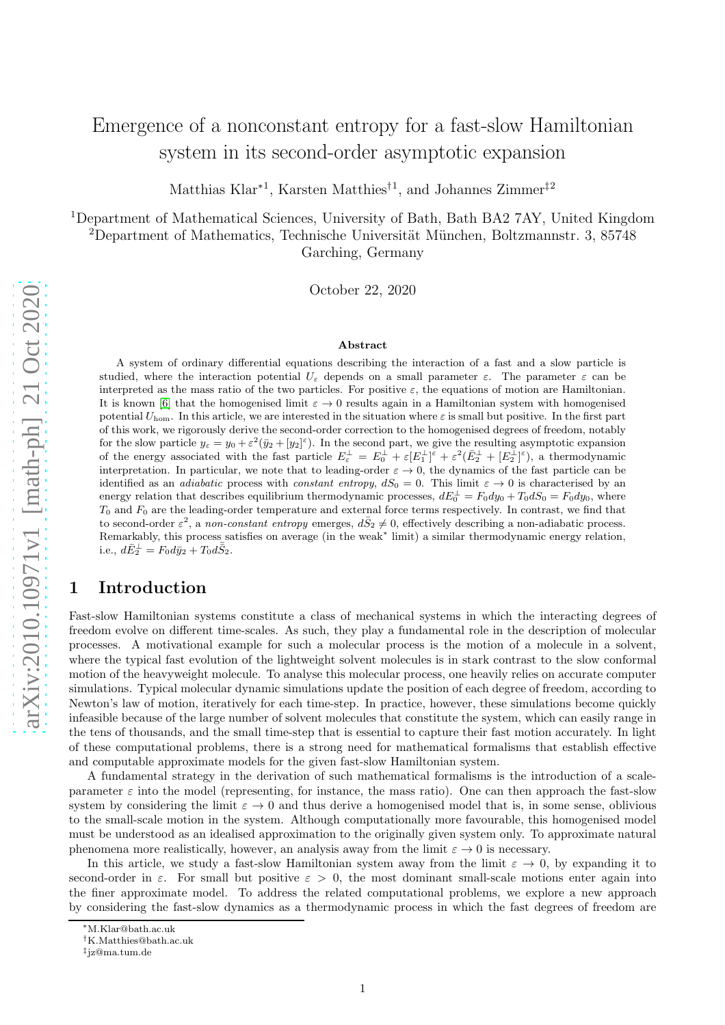# Emergence of a nonconstant entropy for a fast-slow Hamiltonian system in its second-order asymptotic expansion

Matthias Klar<sup>∗</sup><sup>1</sup> , Karsten Matthies†<sup>1</sup> , and Johannes Zimmer‡<sup>2</sup>

<sup>1</sup>Department of Mathematical Sciences, University of Bath, Bath BA2 7AY, United Kingdom <sup>2</sup>Department of Mathematics, Technische Universität München, Boltzmannstr. 3, 85748 Garching, Germany

October 22, 2020

#### Abstract

A system of ordinary differential equations describing the interaction of a fast and a slow particle is studied, where the interaction potential  $U_{\varepsilon}$  depends on a small parameter  $\varepsilon$ . The parameter  $\varepsilon$  can be interpreted as the mass ratio of the two particles. For positive  $\varepsilon$ , the equations of motion are Hamiltonian. It is known [\[6\]](#page-22-0) that the homogenised limit  $\varepsilon \to 0$  results again in a Hamiltonian system with homogenised potential  $U_{\text{hom}}$ . In this article, we are interested in the situation where  $\varepsilon$  is small but positive. In the first part of this work, we rigorously derive the second-order correction to the homogenised degrees of freedom, notably for the slow particle  $y_{\varepsilon} = y_0 + \varepsilon^2 (\bar{y}_2 + [y_2]^{\varepsilon})$ . In the second part, we give the resulting asymptotic expansion of the energy associated with the fast particle  $E_{\varepsilon}^{\perp} = E_0^{\perp} + \varepsilon [E_1^{\perp}]^{\varepsilon} + \varepsilon^2 (E_2^{\perp} + [E_2^{\perp}]^{\varepsilon})$ , a thermodynamic interpretation. In particular, we note that to leading-order  $\varepsilon \to 0$ , the dynamics of the fast particle can be identified as an *adiabatic* process with *constant entropy*,  $dS_0 = 0$ . This limit  $\varepsilon \to 0$  is characterised by an energy relation that describes equilibrium thermodynamic processes,  $dE_0^{\perp} = F_0 dy_0 + T_0 dS_0 = F_0 dy_0$ , where  $T_0$  and  $F_0$  are the leading-order temperature and external force terms respectively. In contrast, we find that to second-order  $\varepsilon^2$ , a non-constant entropy emerges,  $d\bar{S}_2 \neq 0$ , effectively describing a non-adiabatic process. Remarkably, this process satisfies on average (in the weak<sup>∗</sup> limit) a similar thermodynamic energy relation, i.e.,  $d\bar{E}_{2}^{\perp} = F_{0}d\bar{y}_{2} + T_{0}d\bar{\bar{S}}_{2}$ .

## 1 Introduction

Fast-slow Hamiltonian systems constitute a class of mechanical systems in which the interacting degrees of freedom evolve on different time-scales. As such, they play a fundamental role in the description of molecular processes. A motivational example for such a molecular process is the motion of a molecule in a solvent, where the typical fast evolution of the lightweight solvent molecules is in stark contrast to the slow conformal motion of the heavyweight molecule. To analyse this molecular process, one heavily relies on accurate computer simulations. Typical molecular dynamic simulations update the position of each degree of freedom, according to Newton's law of motion, iteratively for each time-step. In practice, however, these simulations become quickly infeasible because of the large number of solvent molecules that constitute the system, which can easily range in the tens of thousands, and the small time-step that is essential to capture their fast motion accurately. In light of these computational problems, there is a strong need for mathematical formalisms that establish effective and computable approximate models for the given fast-slow Hamiltonian system.

A fundamental strategy in the derivation of such mathematical formalisms is the introduction of a scaleparameter  $\varepsilon$  into the model (representing, for instance, the mass ratio). One can then approach the fast-slow system by considering the limit  $\varepsilon \to 0$  and thus derive a homogenised model that is, in some sense, oblivious to the small-scale motion in the system. Although computationally more favourable, this homogenised model must be understood as an idealised approximation to the originally given system only. To approximate natural phenomena more realistically, however, an analysis away from the limit  $\varepsilon \to 0$  is necessary.

In this article, we study a fast-slow Hamiltonian system away from the limit  $\varepsilon \to 0$ , by expanding it to second-order in  $\varepsilon$ . For small but positive  $\varepsilon > 0$ , the most dominant small-scale motions enter again into the finer approximate model. To address the related computational problems, we explore a new approach by considering the fast-slow dynamics as a thermodynamic process in which the fast degrees of freedom are

<sup>∗</sup>M.Klar@bath.ac.uk

<sup>†</sup>K.Matthies@bath.ac.uk

<sup>‡</sup> jz@ma.tum.de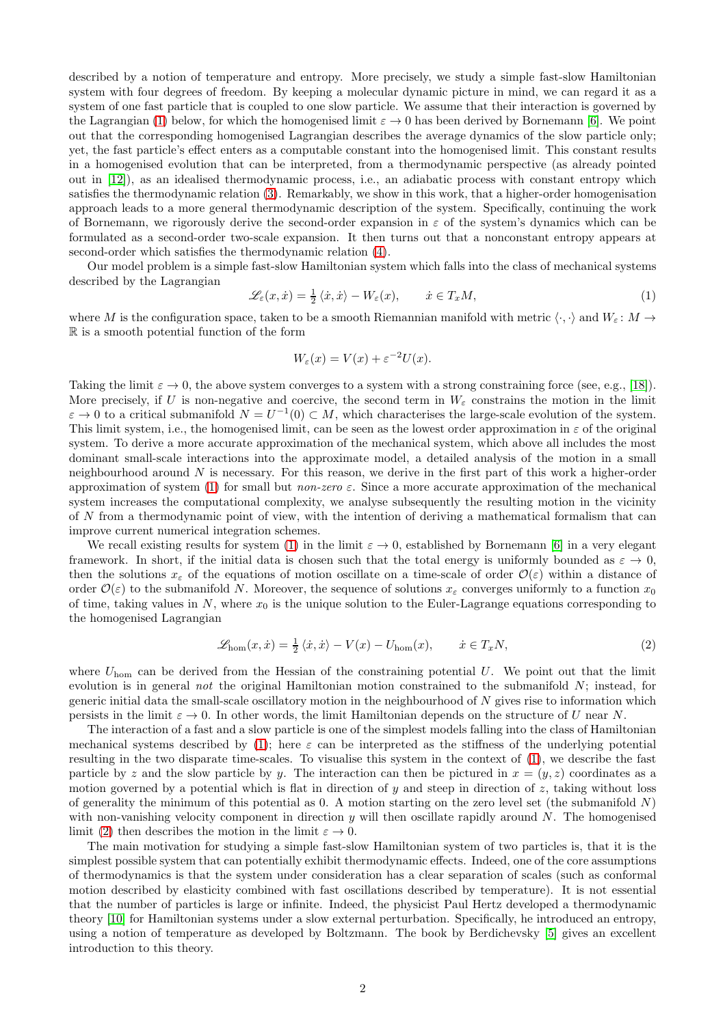described by a notion of temperature and entropy. More precisely, we study a simple fast-slow Hamiltonian system with four degrees of freedom. By keeping a molecular dynamic picture in mind, we can regard it as a system of one fast particle that is coupled to one slow particle. We assume that their interaction is governed by the Lagrangian [\(1\)](#page-1-0) below, for which the homogenised limit  $\varepsilon \to 0$  has been derived by Bornemann [\[6\]](#page-22-0). We point out that the corresponding homogenised Lagrangian describes the average dynamics of the slow particle only; yet, the fast particle's effect enters as a computable constant into the homogenised limit. This constant results in a homogenised evolution that can be interpreted, from a thermodynamic perspective (as already pointed out in [\[12\]](#page-22-1)), as an idealised thermodynamic process, i.e., an adiabatic process with constant entropy which satisfies the thermodynamic relation [\(3\)](#page-2-0). Remarkably, we show in this work, that a higher-order homogenisation approach leads to a more general thermodynamic description of the system. Specifically, continuing the work of Bornemann, we rigorously derive the second-order expansion in  $\varepsilon$  of the system's dynamics which can be formulated as a second-order two-scale expansion. It then turns out that a nonconstant entropy appears at second-order which satisfies the thermodynamic relation [\(4\)](#page-2-1).

Our model problem is a simple fast-slow Hamiltonian system which falls into the class of mechanical systems described by the Lagrangian

<span id="page-1-0"></span>
$$
\mathcal{L}_{\varepsilon}(x,\dot{x}) = \frac{1}{2} \langle \dot{x}, \dot{x} \rangle - W_{\varepsilon}(x), \qquad \dot{x} \in T_x M,
$$
\n<sup>(1)</sup>

where M is the configuration space, taken to be a smooth Riemannian manifold with metric  $\langle \cdot, \cdot \rangle$  and  $W_{\varepsilon} : M \to$ R is a smooth potential function of the form

$$
W_{\varepsilon}(x) = V(x) + \varepsilon^{-2}U(x).
$$

Taking the limit  $\varepsilon \to 0$ , the above system converges to a system with a strong constraining force (see, e.g., [\[18\]](#page-23-0)). More precisely, if U is non-negative and coercive, the second term in  $W_{\varepsilon}$  constrains the motion in the limit  $\varepsilon \to 0$  to a critical submanifold  $N = U^{-1}(0) \subset M$ , which characterises the large-scale evolution of the system. This limit system, i.e., the homogenised limit, can be seen as the lowest order approximation in  $\varepsilon$  of the original system. To derive a more accurate approximation of the mechanical system, which above all includes the most dominant small-scale interactions into the approximate model, a detailed analysis of the motion in a small neighbourhood around  $N$  is necessary. For this reason, we derive in the first part of this work a higher-order approximation of system [\(1\)](#page-1-0) for small but *non-zero*  $\varepsilon$ . Since a more accurate approximation of the mechanical system increases the computational complexity, we analyse subsequently the resulting motion in the vicinity of N from a thermodynamic point of view, with the intention of deriving a mathematical formalism that can improve current numerical integration schemes.

We recall existing results for system [\(1\)](#page-1-0) in the limit  $\varepsilon \to 0$ , established by Bornemann [\[6\]](#page-22-0) in a very elegant framework. In short, if the initial data is chosen such that the total energy is uniformly bounded as  $\varepsilon \to 0$ , then the solutions  $x_{\varepsilon}$  of the equations of motion oscillate on a time-scale of order  $\mathcal{O}(\varepsilon)$  within a distance of order  $\mathcal{O}(\varepsilon)$  to the submanifold N. Moreover, the sequence of solutions  $x_{\varepsilon}$  converges uniformly to a function  $x_0$ of time, taking values in  $N$ , where  $x_0$  is the unique solution to the Euler-Lagrange equations corresponding to the homogenised Lagrangian

<span id="page-1-1"></span>
$$
\mathcal{L}_{\text{hom}}(x,\dot{x}) = \frac{1}{2} \langle \dot{x}, \dot{x} \rangle - V(x) - U_{\text{hom}}(x), \qquad \dot{x} \in T_x N,
$$
\n(2)

where  $U_{\text{hom}}$  can be derived from the Hessian of the constraining potential U. We point out that the limit evolution is in general not the original Hamiltonian motion constrained to the submanifold  $N$ ; instead, for generic initial data the small-scale oscillatory motion in the neighbourhood of  $N$  gives rise to information which persists in the limit  $\varepsilon \to 0$ . In other words, the limit Hamiltonian depends on the structure of U near N.

The interaction of a fast and a slow particle is one of the simplest models falling into the class of Hamiltonian mechanical systems described by [\(1\)](#page-1-0); here  $\varepsilon$  can be interpreted as the stiffness of the underlying potential resulting in the two disparate time-scales. To visualise this system in the context of [\(1\)](#page-1-0), we describe the fast particle by z and the slow particle by y. The interaction can then be pictured in  $x = (y, z)$  coordinates as a motion governed by a potential which is flat in direction of y and steep in direction of z, taking without loss of generality the minimum of this potential as 0. A motion starting on the zero level set (the submanifold  $N$ ) with non-vanishing velocity component in direction  $y$  will then oscillate rapidly around  $N$ . The homogenised limit [\(2\)](#page-1-1) then describes the motion in the limit  $\varepsilon \to 0$ .

The main motivation for studying a simple fast-slow Hamiltonian system of two particles is, that it is the simplest possible system that can potentially exhibit thermodynamic effects. Indeed, one of the core assumptions of thermodynamics is that the system under consideration has a clear separation of scales (such as conformal motion described by elasticity combined with fast oscillations described by temperature). It is not essential that the number of particles is large or infinite. Indeed, the physicist Paul Hertz developed a thermodynamic theory [\[10\]](#page-22-2) for Hamiltonian systems under a slow external perturbation. Specifically, he introduced an entropy, using a notion of temperature as developed by Boltzmann. The book by Berdichevsky [\[5\]](#page-22-3) gives an excellent introduction to this theory.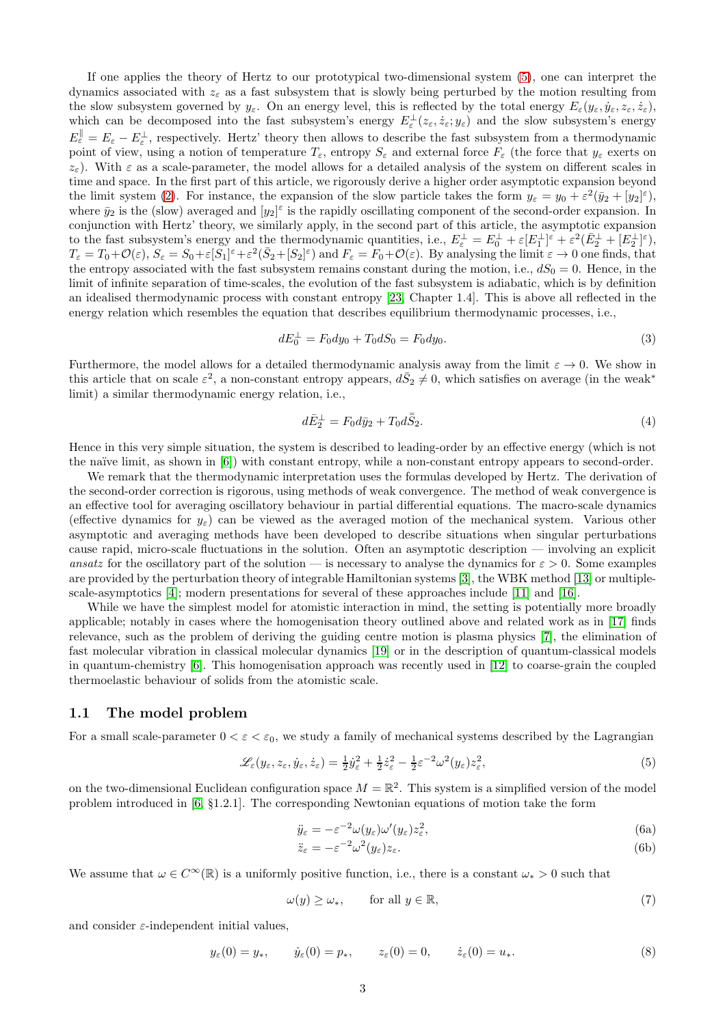If one applies the theory of Hertz to our prototypical two-dimensional system [\(5\)](#page-2-2), one can interpret the dynamics associated with  $z<sub>\epsilon</sub>$  as a fast subsystem that is slowly being perturbed by the motion resulting from the slow subsystem governed by  $y_{\varepsilon}$ . On an energy level, this is reflected by the total energy  $E_{\varepsilon}(y_{\varepsilon}, \dot{y}_{\varepsilon}, z_{\varepsilon}, \dot{z}_{\varepsilon})$ , which can be decomposed into the fast subsystem's energy  $E_{\varepsilon}^{\perp}(z_{\varepsilon},\dot{z}_{\varepsilon};y_{\varepsilon})$  and the slow subsystem's energy  $E_{\varepsilon}^{\parallel} = E_{\varepsilon} - E_{\varepsilon}^{\perp}$ , respectively. Hertz' theory then allows to describe the fast subsystem from a thermodynamic point of view, using a notion of temperature  $T_{\varepsilon}$ , entropy  $S_{\varepsilon}$  and external force  $F_{\varepsilon}$  (the force that  $y_{\varepsilon}$  exerts on  $z_{\varepsilon}$ ). With  $\varepsilon$  as a scale-parameter, the model allows for a detailed analysis of the system on different scales in time and space. In the first part of this article, we rigorously derive a higher order asymptotic expansion beyond the limit system [\(2\)](#page-1-1). For instance, the expansion of the slow particle takes the form  $y_{\varepsilon} = y_0 + \varepsilon^2 (\bar{y}_2 + [y_2]^{\varepsilon})$ , where  $\bar{y}_2$  is the (slow) averaged and  $[y_2]^\varepsilon$  is the rapidly oscillating component of the second-order expansion. In conjunction with Hertz' theory, we similarly apply, in the second part of this article, the asymptotic expansion to the fast subsystem's energy and the thermodynamic quantities, i.e.,  $E_{\varepsilon}^{\perp} = E_0^{\perp} + \varepsilon [E_1^{\perp}]^{\varepsilon} + \varepsilon^2 (\bar{E}_2^{\perp} + [E_2^{\perp}]^{\varepsilon})$ ,  $T_{\varepsilon} = T_0 + \mathcal{O}(\varepsilon), S_{\varepsilon} = S_0 + \varepsilon [S_1]^{\varepsilon} + \varepsilon^2 (\bar{S}_2 + [S_2]^{\varepsilon})$  and  $F_{\varepsilon} = F_0 + \mathcal{O}(\varepsilon)$ . By analysing the limit  $\varepsilon \to 0$  one finds, that the entropy associated with the fast subsystem remains constant during the motion, i.e.,  $dS_0 = 0$ . Hence, in the limit of infinite separation of time-scales, the evolution of the fast subsystem is adiabatic, which is by definition an idealised thermodynamic process with constant entropy [\[23,](#page-23-1) Chapter 1.4]. This is above all reflected in the energy relation which resembles the equation that describes equilibrium thermodynamic processes, i.e.,

<span id="page-2-0"></span>
$$
dE_0^{\perp} = F_0 dy_0 + T_0 dS_0 = F_0 dy_0.
$$
\n(3)

Furthermore, the model allows for a detailed thermodynamic analysis away from the limit  $\varepsilon \to 0$ . We show in this article that on scale  $\varepsilon^2$ , a non-constant entropy appears,  $d\bar{S}_2 \neq 0$ , which satisfies on average (in the weak<sup>\*</sup> limit) a similar thermodynamic energy relation, i.e.,

<span id="page-2-1"></span>
$$
d\bar{E}_2^{\perp} = F_0 d\bar{y}_2 + T_0 d\bar{S}_2. \tag{4}
$$

Hence in this very simple situation, the system is described to leading-order by an effective energy (which is not the naïve limit, as shown in [\[6\]](#page-22-0)) with constant entropy, while a non-constant entropy appears to second-order.

We remark that the thermodynamic interpretation uses the formulas developed by Hertz. The derivation of the second-order correction is rigorous, using methods of weak convergence. The method of weak convergence is an effective tool for averaging oscillatory behaviour in partial differential equations. The macro-scale dynamics (effective dynamics for  $y_{\varepsilon}$ ) can be viewed as the averaged motion of the mechanical system. Various other asymptotic and averaging methods have been developed to describe situations when singular perturbations cause rapid, micro-scale fluctuations in the solution. Often an asymptotic description — involving an explicit ansatz for the oscillatory part of the solution — is necessary to analyse the dynamics for  $\varepsilon > 0$ . Some examples are provided by the perturbation theory of integrable Hamiltonian systems [\[3\]](#page-22-4), the WBK method [\[13\]](#page-22-5) or multiplescale-asymptotics [\[4\]](#page-22-6); modern presentations for several of these approaches include [\[11\]](#page-22-7) and [\[16\]](#page-23-2).

While we have the simplest model for atomistic interaction in mind, the setting is potentially more broadly applicable; notably in cases where the homogenisation theory outlined above and related work as in [\[17\]](#page-23-3) finds relevance, such as the problem of deriving the guiding centre motion is plasma physics [\[7\]](#page-22-8), the elimination of fast molecular vibration in classical molecular dynamics [\[19\]](#page-23-4) or in the description of quantum-classical models in quantum-chemistry [\[6\]](#page-22-0). This homogenisation approach was recently used in [\[12\]](#page-22-1) to coarse-grain the coupled thermoelastic behaviour of solids from the atomistic scale.

#### 1.1 The model problem

For a small scale-parameter  $0 < \varepsilon < \varepsilon_0$ , we study a family of mechanical systems described by the Lagrangian

<span id="page-2-2"></span>
$$
\mathcal{L}_{\varepsilon}(y_{\varepsilon}, z_{\varepsilon}, \dot{y}_{\varepsilon}, \dot{z}_{\varepsilon}) = \frac{1}{2} \dot{y}_{\varepsilon}^{2} + \frac{1}{2} \dot{z}_{\varepsilon}^{2} - \frac{1}{2} \varepsilon^{-2} \omega^{2} (y_{\varepsilon}) z_{\varepsilon}^{2},
$$
\n
$$
\tag{5}
$$

on the two-dimensional Euclidean configuration space  $M = \mathbb{R}^2$ . This system is a simplified version of the model problem introduced in [\[6,](#page-22-0) §1.2.1]. The corresponding Newtonian equations of motion take the form

$$
\ddot{y}_{\varepsilon} = -\varepsilon^{-2} \omega(y_{\varepsilon}) \omega'(y_{\varepsilon}) z_{\varepsilon}^2,\tag{6a}
$$

$$
\ddot{z}_{\varepsilon} = -\varepsilon^{-2} \omega^2 (y_{\varepsilon}) z_{\varepsilon}.
$$
\n(6b)

We assume that  $\omega \in C^{\infty}(\mathbb{R})$  is a uniformly positive function, i.e., there is a constant  $\omega_* > 0$  such that

<span id="page-2-4"></span>
$$
\omega(y) \ge \omega_*, \qquad \text{for all } y \in \mathbb{R}, \tag{7}
$$

and consider  $\varepsilon$ -independent initial values,

<span id="page-2-3"></span>
$$
y_{\varepsilon}(0) = y_*, \qquad \dot{y}_{\varepsilon}(0) = p_*, \qquad z_{\varepsilon}(0) = 0, \qquad \dot{z}_{\varepsilon}(0) = u_*.
$$
 (8)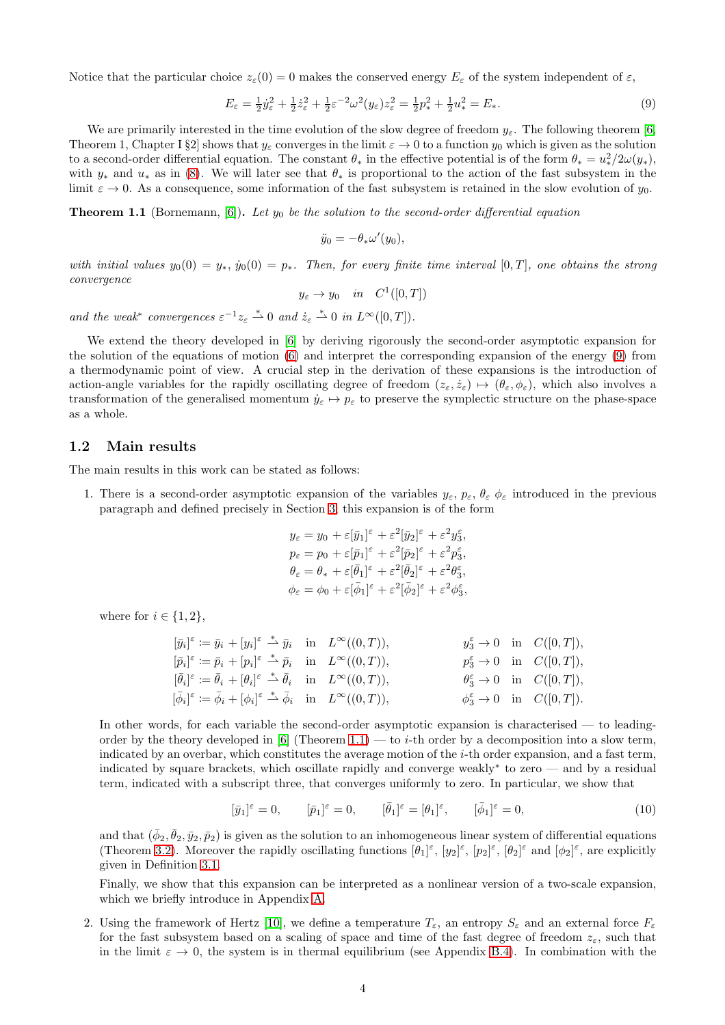Notice that the particular choice  $z_{\epsilon}(0) = 0$  makes the conserved energy  $E_{\epsilon}$  of the system independent of  $\epsilon$ ,

<span id="page-3-0"></span>
$$
E_{\varepsilon} = \frac{1}{2}\dot{y}_{\varepsilon}^2 + \frac{1}{2}\dot{z}_{\varepsilon}^2 + \frac{1}{2}\varepsilon^{-2}\omega^2(y_{\varepsilon})z_{\varepsilon}^2 = \frac{1}{2}p_*^2 + \frac{1}{2}u_*^2 = E_*.
$$
\n
$$
(9)
$$

We are primarily interested in the time evolution of the slow degree of freedom  $y_{\varepsilon}$ . The following theorem [\[6,](#page-22-0) Theorem 1, Chapter I §2] shows that  $y_\varepsilon$  converges in the limit  $\varepsilon \to 0$  to a function  $y_0$  which is given as the solution to a second-order differential equation. The constant  $\theta_*$  in the effective potential is of the form  $\theta_* = u_*^2/2\omega(y_*)$ , with  $y_*$  and  $u_*$  as in [\(8\)](#page-2-3). We will later see that  $\theta_*$  is proportional to the action of the fast subsystem in the limit  $\varepsilon \to 0$ . As a consequence, some information of the fast subsystem is retained in the slow evolution of  $y_0$ .

<span id="page-3-1"></span>**Theorem 1.1** (Bornemann, [\[6\]](#page-22-0)). Let  $y_0$  be the solution to the second-order differential equation

$$
\ddot{y}_0 = -\theta_* \omega'(y_0),
$$

with initial values  $y_0(0) = y_*$ ,  $\dot{y}_0(0) = p_*$ . Then, for every finite time interval  $[0,T]$ , one obtains the strong convergence

 $y_{\varepsilon} \to y_0$  in  $C^1([0,T])$ 

and the weak<sup>\*</sup> convergences  $\varepsilon^{-1} z_{\varepsilon} \stackrel{*}{\rightharpoonup} 0$  and  $\dot{z}_{\varepsilon} \stackrel{*}{\rightharpoonup} 0$  in  $L^{\infty}([0, T])$ .

We extend the theory developed in [\[6\]](#page-22-0) by deriving rigorously the second-order asymptotic expansion for the solution of the equations of motion (6) and interpret the corresponding expansion of the energy [\(9\)](#page-3-0) from a thermodynamic point of view. A crucial step in the derivation of these expansions is the introduction of action-angle variables for the rapidly oscillating degree of freedom  $(z_{\varepsilon}, \dot{z}_{\varepsilon}) \mapsto (\theta_{\varepsilon}, \phi_{\varepsilon})$ , which also involves a transformation of the generalised momentum  $\dot{y}_{\varepsilon} \mapsto p_{\varepsilon}$  to preserve the symplectic structure on the phase-space as a whole.

### 1.2 Main results

<span id="page-3-2"></span>The main results in this work can be stated as follows:

1. There is a second-order asymptotic expansion of the variables  $y_{\varepsilon}, p_{\varepsilon}, \theta_{\varepsilon} \phi_{\varepsilon}$  introduced in the previous paragraph and defined precisely in Section [3;](#page-6-0) this expansion is of the form

$$
y_{\varepsilon} = y_0 + \varepsilon [\bar{y}_1]^{\varepsilon} + \varepsilon^2 [\bar{y}_2]^{\varepsilon} + \varepsilon^2 y_3^{\varepsilon},
$$
  
\n
$$
p_{\varepsilon} = p_0 + \varepsilon [\bar{p}_1]^{\varepsilon} + \varepsilon^2 [\bar{p}_2]^{\varepsilon} + \varepsilon^2 p_3^{\varepsilon},
$$
  
\n
$$
\theta_{\varepsilon} = \theta_* + \varepsilon [\bar{\theta}_1]^{\varepsilon} + \varepsilon^2 [\bar{\theta}_2]^{\varepsilon} + \varepsilon^2 \theta_3^{\varepsilon},
$$
  
\n
$$
\phi_{\varepsilon} = \phi_0 + \varepsilon [\bar{\phi}_1]^{\varepsilon} + \varepsilon^2 [\bar{\phi}_2]^{\varepsilon} + \varepsilon^2 \phi_3^{\varepsilon},
$$

where for  $i \in \{1, 2\},\$ 

$$
\begin{aligned} [\bar{y}_i]^{\varepsilon} &:= \bar{y}_i + [y_i]^{\varepsilon} \stackrel{*}{\rightharpoonup} \bar{y}_i &\text{in} & L^{\infty}((0,T)), &y_3^{\varepsilon} \to 0 &\text{in} & C([0,T]),\\ [\bar{p}_i]^{\varepsilon} &:= \bar{p}_i + [p_i]^{\varepsilon} \stackrel{*}{\rightharpoonup} \bar{p}_i &\text{in} & L^{\infty}((0,T)), &p_3^{\varepsilon} \to 0 &\text{in} & C([0,T]),\\ [\bar{\theta}_i]^{\varepsilon} &:= \bar{\theta}_i + [\theta_i]^{\varepsilon} \stackrel{*}{\rightharpoonup} \bar{\theta}_i &\text{in} & L^{\infty}((0,T)), &\theta_3^{\varepsilon} \to 0 &\text{in} & C([0,T]),\\ [\bar{\phi}_i]^{\varepsilon} &:= \bar{\phi}_i + [\phi_i]^{\varepsilon} \stackrel{*}{\rightharpoonup} \bar{\phi}_i &\text{in} & L^{\infty}((0,T)), &\phi_3^{\varepsilon} \to 0 &\text{in} & C([0,T]). \end{aligned}
$$

In other words, for each variable the second-order asymptotic expansion is characterised — to leading-order by the theory developed in [\[6\]](#page-22-0) (Theorem [1.1\)](#page-3-1) — to *i*-th order by a decomposition into a slow term, indicated by an overbar, which constitutes the average motion of the  $i$ -th order expansion, and a fast term, indicated by square brackets, which oscillate rapidly and converge weakly<sup>∗</sup> to zero — and by a residual term, indicated with a subscript three, that converges uniformly to zero. In particular, we show that

<span id="page-3-3"></span>
$$
[\bar{y}_1]^\varepsilon = 0, \qquad [\bar{p}_1]^\varepsilon = 0, \qquad [\bar{\theta}_1]^\varepsilon = [\theta_1]^\varepsilon, \qquad [\bar{\phi}_1]^\varepsilon = 0,
$$
\n
$$
(10)
$$

and that  $(\bar{\phi}_2, \bar{\theta}_2, \bar{y}_2, \bar{p}_2)$  is given as the solution to an inhomogeneous linear system of differential equations (Theorem [3.2\)](#page-7-0). Moreover the rapidly oscillating functions  $[\theta_1]^\varepsilon$ ,  $[y_2]^\varepsilon$ ,  $[p_2]^\varepsilon$ ,  $[\theta_2]^\varepsilon$  and  $[\phi_2]^\varepsilon$ , are explicitly given in Definition [3.1.](#page-7-1)

Finally, we show that this expansion can be interpreted as a nonlinear version of a two-scale expansion, which we briefly introduce in Appendix [A.](#page-16-0)

2. Using the framework of Hertz [\[10\]](#page-22-2), we define a temperature  $T_{\varepsilon}$ , an entropy  $S_{\varepsilon}$  and an external force  $F_{\varepsilon}$ for the fast subsystem based on a scaling of space and time of the fast degree of freedom  $z_{\varepsilon}$ , such that in the limit  $\varepsilon \to 0$ , the system is in thermal equilibrium (see Appendix [B.4\)](#page-21-0). In combination with the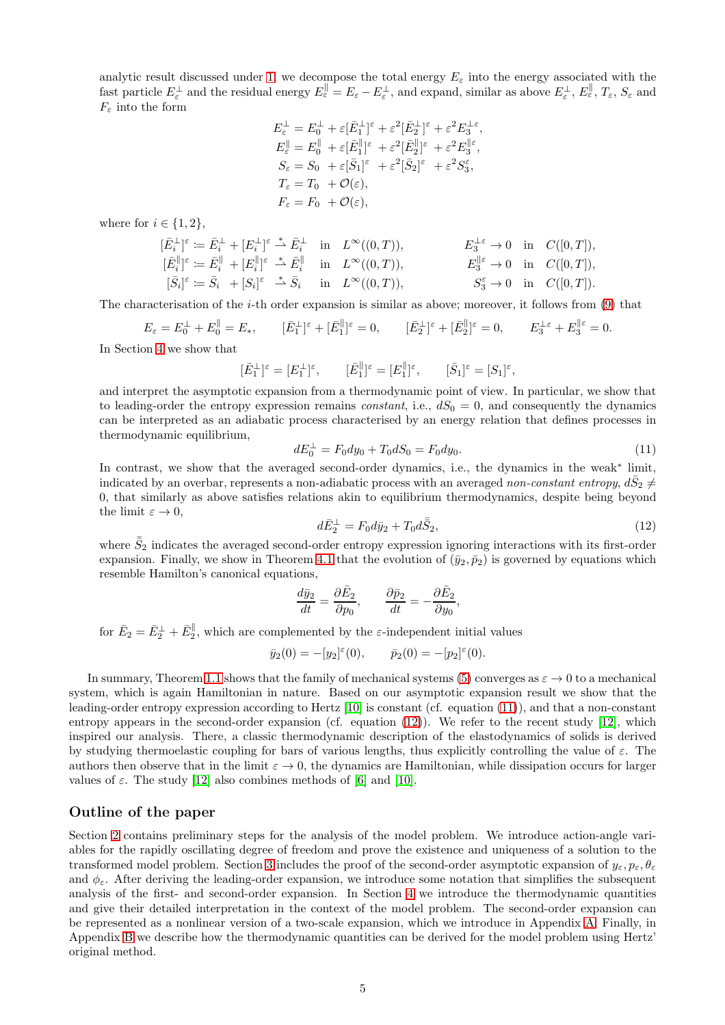analytic result discussed under [1,](#page-3-2) we decompose the total energy  $E_{\varepsilon}$  into the energy associated with the fast particle  $E_{\varepsilon}^{\perp}$  and the residual energy  $E_{\varepsilon}^{\parallel} = E_{\varepsilon} - E_{\varepsilon}^{\perp}$ , and expand, similar as above  $E_{\varepsilon}^{\perp}$ ,  $E_{\varepsilon}^{\parallel}$ ,  $T_{\varepsilon}$ ,  $S_{\varepsilon}$  and  $F<sub>\varepsilon</sub>$  into the form

$$
\begin{split} E_{\varepsilon}^{\perp} &= E_{0}^{\perp} + \varepsilon [\bar{E}_{1}^{\perp}]^{\varepsilon} + \varepsilon^{2} [\bar{E}_{2}^{\perp}]^{\varepsilon} + \varepsilon^{2} E_{3}^{\perp \varepsilon}, \\ E_{\varepsilon}^{\parallel} &= E_{0}^{\parallel} + \varepsilon [\bar{E}_{1}^{\parallel}]^{\varepsilon} + \varepsilon^{2} [\bar{E}_{2}^{\parallel}]^{\varepsilon} + \varepsilon^{2} E_{3}^{\parallel \varepsilon}, \\ S_{\varepsilon} &= S_{0} \ + \varepsilon [\bar{S}_{1}]^{\varepsilon} \ + \varepsilon^{2} [\bar{S}_{2}]^{\varepsilon} \ + \varepsilon^{2} S_{3}^{\varepsilon}, \\ T_{\varepsilon} &= T_{0} \ + \mathcal{O}(\varepsilon), \\ F_{\varepsilon} &= F_{0} \ + \mathcal{O}(\varepsilon), \end{split}
$$

where for  $i \in \{1, 2\},\$ 

$$
\begin{aligned} [\bar{E}^{\perp}_{i}]^{\varepsilon} &\coloneqq \bar{E}^{\perp}_{i} + [E^{\perp}_{i}]^{\varepsilon} \stackrel{*}{\rightharpoonup} \bar{E}^{\perp}_{i} &\text{in} &\quad L^{\infty}((0,T)), &\quad E^{\perp\varepsilon}_{3} \to 0 &\text{in} &\quad C([0,T]),\\ [\bar{E}^{\parallel}_{i}]^{\varepsilon} &\coloneqq \bar{E}^{\parallel}_{i} + [E^{\parallel}_{i}]^{\varepsilon} \stackrel{*}{\rightharpoonup} \bar{E}^{\parallel}_{i} &\text{in} &\quad L^{\infty}((0,T)), &\quad E^{\parallel\varepsilon}_{3} \to 0 &\text{in} &\quad C([0,T]),\\ [\bar{S}_{i}]^{\varepsilon} &\coloneqq \bar{S}_{i} &\quad + [S_{i}]^{\varepsilon} \stackrel{*}{\rightharpoonup} \bar{S}_{i} &\text{in} &\quad L^{\infty}((0,T)), &\quad S^{\varepsilon}_{3} \to 0 &\text{in} &\quad C([0,T]). \end{aligned}
$$

The characterisation of the i-th order expansion is similar as above; moreover, it follows from [\(9\)](#page-3-0) that

$$
E_{\varepsilon} = E_0^{\perp} + E_0^{\parallel} = E_*, \qquad [\bar{E}_1^{\perp}]^{\varepsilon} + [\bar{E}_1^{\parallel}]^{\varepsilon} = 0, \qquad [\bar{E}_2^{\perp}]^{\varepsilon} + [\bar{E}_2^{\parallel}]^{\varepsilon} = 0, \qquad E_3^{\perp \varepsilon} + E_3^{\parallel \varepsilon} = 0.
$$

In Section [4](#page-12-0) we show that

$$
[\bar{E}_1^{\perp}]^{\varepsilon} = [E_1^{\perp}]^{\varepsilon}, \qquad [\bar{E}_1^{\parallel}]^{\varepsilon} = [E_1^{\parallel}]^{\varepsilon}, \qquad [\bar{S}_1]^{\varepsilon} = [S_1]^{\varepsilon},
$$

and interpret the asymptotic expansion from a thermodynamic point of view. In particular, we show that to leading-order the entropy expression remains *constant*, i.e.,  $dS_0 = 0$ , and consequently the dynamics can be interpreted as an adiabatic process characterised by an energy relation that defines processes in thermodynamic equilibrium,

<span id="page-4-0"></span>
$$
dE_0^{\perp} = F_0 dy_0 + T_0 dS_0 = F_0 dy_0.
$$
\n(11)

In contrast, we show that the averaged second-order dynamics, i.e., the dynamics in the weak<sup>∗</sup> limit, indicated by an overbar, represents a non-adiabatic process with an averaged non-constant entropy,  $d\bar{S}_2 \neq 0$ 0, that similarly as above satisfies relations akin to equilibrium thermodynamics, despite being beyond the limit  $\varepsilon \to 0$ ,

<span id="page-4-1"></span>
$$
d\bar{E}_2^{\perp} = F_0 d\bar{y}_2 + T_0 d\bar{S}_2, \tag{12}
$$

where  $\bar{S}_2$  indicates the averaged second-order entropy expression ignoring interactions with its first-order expansion. Finally, we show in Theorem [4.1](#page-15-0) that the evolution of  $(\bar{y}_2, \bar{p}_2)$  is governed by equations which resemble Hamilton's canonical equations,

$$
\frac{d\bar{y}_2}{dt} = \frac{\partial \bar{E}_2}{\partial p_0}, \qquad \frac{\partial \bar{p}_2}{dt} = -\frac{\partial \bar{E}_2}{\partial y_0},
$$

for  $\bar{E}_2 = \bar{E}_2^{\perp} + \bar{E}_2^{\parallel}$ , which are complemented by the  $\varepsilon$ -independent initial values

$$
\bar{y}_2(0) = -[y_2]^\varepsilon(0), \qquad \bar{p}_2(0) = -[p_2]^\varepsilon(0).
$$

In summary, Theorem [1.1](#page-3-1) shows that the family of mechanical systems [\(5\)](#page-2-2) converges as  $\varepsilon \to 0$  to a mechanical system, which is again Hamiltonian in nature. Based on our asymptotic expansion result we show that the leading-order entropy expression according to Hertz [\[10\]](#page-22-2) is constant (cf. equation [\(11\)](#page-4-0)), and that a non-constant entropy appears in the second-order expansion (cf. equation  $(12)$ ). We refer to the recent study [\[12\]](#page-22-1), which inspired our analysis. There, a classic thermodynamic description of the elastodynamics of solids is derived by studying thermoelastic coupling for bars of various lengths, thus explicitly controlling the value of  $\varepsilon$ . The authors then observe that in the limit  $\varepsilon \to 0$ , the dynamics are Hamiltonian, while dissipation occurs for larger values of  $\varepsilon$ . The study [\[12\]](#page-22-1) also combines methods of [\[6\]](#page-22-0) and [\[10\]](#page-22-2).

## Outline of the paper

Section [2](#page-5-0) contains preliminary steps for the analysis of the model problem. We introduce action-angle variables for the rapidly oscillating degree of freedom and prove the existence and uniqueness of a solution to the transformed model problem. Section [3](#page-6-0) includes the proof of the second-order asymptotic expansion of  $y_{\varepsilon}, p_{\varepsilon}, \theta_{\varepsilon}$ and  $\phi_{\varepsilon}$ . After deriving the leading-order expansion, we introduce some notation that simplifies the subsequent analysis of the first- and second-order expansion. In Section [4](#page-12-0) we introduce the thermodynamic quantities and give their detailed interpretation in the context of the model problem. The second-order expansion can be represented as a nonlinear version of a two-scale expansion, which we introduce in Appendix [A.](#page-16-0) Finally, in Appendix [B](#page-18-0) we describe how the thermodynamic quantities can be derived for the model problem using Hertz' original method.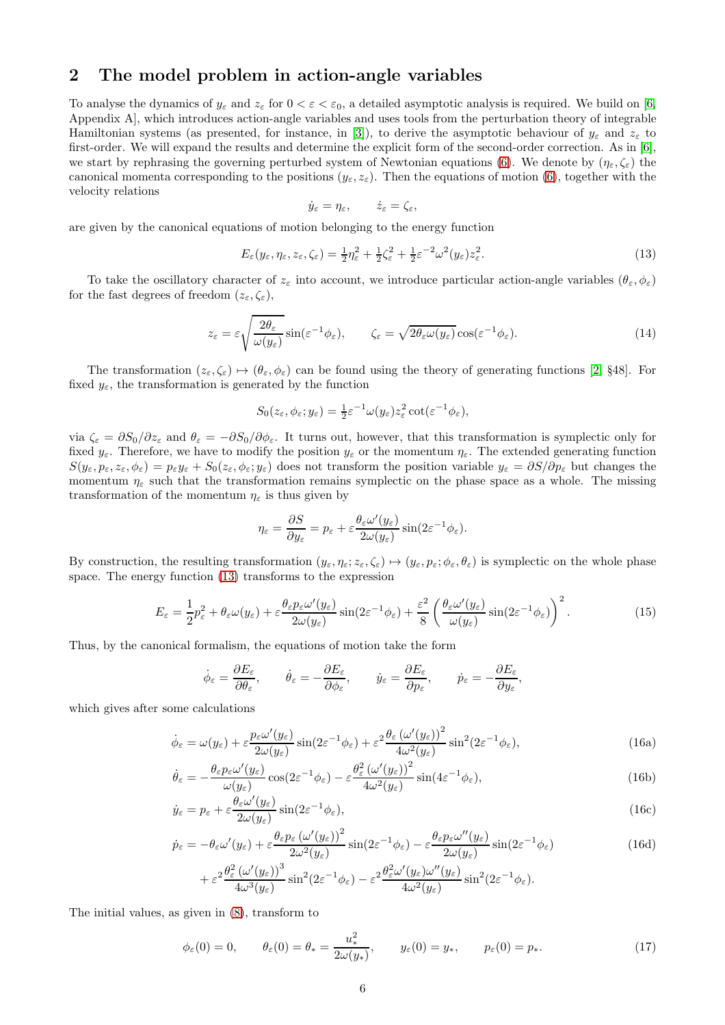## <span id="page-5-0"></span>2 The model problem in action-angle variables

To analyse the dynamics of  $y_{\varepsilon}$  and  $z_{\varepsilon}$  for  $0 < \varepsilon < \varepsilon_0$ , a detailed asymptotic analysis is required. We build on [\[6,](#page-22-0) Appendix A], which introduces action-angle variables and uses tools from the perturbation theory of integrable Hamiltonian systems (as presented, for instance, in [\[3\]](#page-22-4)), to derive the asymptotic behaviour of  $y_{\varepsilon}$  and  $z_{\varepsilon}$  to first-order. We will expand the results and determine the explicit form of the second-order correction. As in [\[6\]](#page-22-0), we start by rephrasing the governing perturbed system of Newtonian equations (6). We denote by  $(\eta_{\varepsilon}, \zeta_{\varepsilon})$  the canonical momenta corresponding to the positions  $(y_{\varepsilon}, z_{\varepsilon})$ . Then the equations of motion (6), together with the velocity relations

$$
\dot{y}_{\varepsilon} = \eta_{\varepsilon}, \qquad \dot{z}_{\varepsilon} = \zeta_{\varepsilon},
$$

are given by the canonical equations of motion belonging to the energy function

<span id="page-5-1"></span>
$$
E_{\varepsilon}(y_{\varepsilon}, \eta_{\varepsilon}, z_{\varepsilon}, \zeta_{\varepsilon}) = \frac{1}{2} \eta_{\varepsilon}^2 + \frac{1}{2} \zeta_{\varepsilon}^2 + \frac{1}{2} \varepsilon^{-2} \omega^2 (y_{\varepsilon}) z_{\varepsilon}^2.
$$
\n(13)

To take the oscillatory character of  $z_{\varepsilon}$  into account, we introduce particular action-angle variables  $(\theta_{\varepsilon}, \phi_{\varepsilon})$ for the fast degrees of freedom  $(z_{\varepsilon}, \zeta_{\varepsilon})$ ,

<span id="page-5-8"></span>
$$
z_{\varepsilon} = \varepsilon \sqrt{\frac{2\theta_{\varepsilon}}{\omega(y_{\varepsilon})}} \sin(\varepsilon^{-1}\phi_{\varepsilon}), \qquad \zeta_{\varepsilon} = \sqrt{2\theta_{\varepsilon}\omega(y_{\varepsilon})} \cos(\varepsilon^{-1}\phi_{\varepsilon}). \tag{14}
$$

The transformation  $(z_{\varepsilon}, \zeta_{\varepsilon}) \mapsto (\theta_{\varepsilon}, \phi_{\varepsilon})$  can be found using the theory of generating functions [\[2,](#page-22-9) §48]. For fixed  $y_{\varepsilon}$ , the transformation is generated by the function

$$
S_0(z_{\varepsilon}, \phi_{\varepsilon}; y_{\varepsilon}) = \frac{1}{2} \varepsilon^{-1} \omega(y_{\varepsilon}) z_{\varepsilon}^2 \cot(\varepsilon^{-1} \phi_{\varepsilon}),
$$

via  $\zeta_{\varepsilon} = \partial S_0/\partial z_{\varepsilon}$  and  $\theta_{\varepsilon} = -\partial S_0/\partial \phi_{\varepsilon}$ . It turns out, however, that this transformation is symplectic only for fixed  $y_{\varepsilon}$ . Therefore, we have to modify the position  $y_{\varepsilon}$  or the momentum  $\eta_{\varepsilon}$ . The extended generating function  $S(y_{\varepsilon}, p_{\varepsilon}, z_{\varepsilon}, \phi_{\varepsilon}) = p_{\varepsilon}y_{\varepsilon} + S_0(z_{\varepsilon}, \phi_{\varepsilon}; y_{\varepsilon})$  does not transform the position variable  $y_{\varepsilon} = \partial S/\partial p_{\varepsilon}$  but changes the momentum  $\eta_{\varepsilon}$  such that the transformation remains symplectic on the phase space as a whole. The missing transformation of the momentum  $\eta_{\varepsilon}$  is thus given by

$$
\eta_{\varepsilon} = \frac{\partial S}{\partial y_{\varepsilon}} = p_{\varepsilon} + \varepsilon \frac{\theta_{\varepsilon} \omega'(y_{\varepsilon})}{2\omega(y_{\varepsilon})} \sin(2\varepsilon^{-1} \phi_{\varepsilon}).
$$

By construction, the resulting transformation  $(y_{\varepsilon}, \eta_{\varepsilon}; z_{\varepsilon}, \zeta_{\varepsilon}) \mapsto (y_{\varepsilon}, p_{\varepsilon}; \phi_{\varepsilon}, \theta_{\varepsilon})$  is symplectic on the whole phase space. The energy function [\(13\)](#page-5-1) transforms to the expression

<span id="page-5-7"></span>
$$
E_{\varepsilon} = \frac{1}{2}p_{\varepsilon}^2 + \theta_{\varepsilon}\omega(y_{\varepsilon}) + \varepsilon \frac{\theta_{\varepsilon}p_{\varepsilon}\omega'(y_{\varepsilon})}{2\omega(y_{\varepsilon})}\sin(2\varepsilon^{-1}\phi_{\varepsilon}) + \frac{\varepsilon^2}{8}\left(\frac{\theta_{\varepsilon}\omega'(y_{\varepsilon})}{\omega(y_{\varepsilon})}\sin(2\varepsilon^{-1}\phi_{\varepsilon})\right)^2.
$$
 (15)

Thus, by the canonical formalism, the equations of motion take the form

<span id="page-5-6"></span><span id="page-5-3"></span>
$$
\dot{\phi}_{\varepsilon} = \frac{\partial E_{\varepsilon}}{\partial \theta_{\varepsilon}}, \qquad \dot{\theta}_{\varepsilon} = -\frac{\partial E_{\varepsilon}}{\partial \phi_{\varepsilon}}, \qquad \dot{y}_{\varepsilon} = \frac{\partial E_{\varepsilon}}{\partial p_{\varepsilon}}, \qquad \dot{p}_{\varepsilon} = -\frac{\partial E_{\varepsilon}}{\partial y_{\varepsilon}},
$$

which gives after some calculations

$$
\dot{\phi}_{\varepsilon} = \omega(y_{\varepsilon}) + \varepsilon \frac{p_{\varepsilon} \omega'(y_{\varepsilon})}{2\omega(y_{\varepsilon})} \sin(2\varepsilon^{-1}\phi_{\varepsilon}) + \varepsilon^{2} \frac{\theta_{\varepsilon} (\omega'(y_{\varepsilon}))^{2}}{4\omega^{2}(y_{\varepsilon})} \sin^{2}(2\varepsilon^{-1}\phi_{\varepsilon}), \tag{16a}
$$

$$
\dot{\theta}_{\varepsilon} = -\frac{\theta_{\varepsilon} p_{\varepsilon} \omega'(y_{\varepsilon})}{\omega(y_{\varepsilon})} \cos(2\varepsilon^{-1} \phi_{\varepsilon}) - \varepsilon \frac{\theta_{\varepsilon}^2 (\omega'(y_{\varepsilon}))^2}{4\omega^2(y_{\varepsilon})} \sin(4\varepsilon^{-1} \phi_{\varepsilon}), \tag{16b}
$$

$$
\dot{y}_{\varepsilon} = p_{\varepsilon} + \varepsilon \frac{\theta_{\varepsilon} \omega'(y_{\varepsilon})}{2\omega(y_{\varepsilon})} \sin(2\varepsilon^{-1} \phi_{\varepsilon}), \tag{16c}
$$

$$
\dot{p}_{\varepsilon} = -\theta_{\varepsilon}\omega'(y_{\varepsilon}) + \varepsilon \frac{\theta_{\varepsilon} p_{\varepsilon} \left(\omega'(y_{\varepsilon})\right)^2}{2\omega^2(y_{\varepsilon})} \sin(2\varepsilon^{-1}\phi_{\varepsilon}) - \varepsilon \frac{\theta_{\varepsilon} p_{\varepsilon}\omega''(y_{\varepsilon})}{2\omega(y_{\varepsilon})} \sin(2\varepsilon^{-1}\phi_{\varepsilon})
$$
(16d)

<span id="page-5-5"></span><span id="page-5-4"></span>
$$
+\varepsilon^2 \frac{\theta_\varepsilon^2 \left(\omega'(y_\varepsilon)\right)^3}{4\omega^3(y_\varepsilon)}\sin^2(2\varepsilon^{-1}\phi_\varepsilon) - \varepsilon^2 \frac{\theta_\varepsilon^2 \omega'(y_\varepsilon)\omega''(y_\varepsilon)}{4\omega^2(y_\varepsilon)}\sin^2(2\varepsilon^{-1}\phi_\varepsilon).
$$

The initial values, as given in [\(8\)](#page-2-3), transform to

<span id="page-5-2"></span>
$$
\phi_{\varepsilon}(0) = 0, \qquad \theta_{\varepsilon}(0) = \theta_{*} = \frac{u_{*}^{2}}{2\omega(y_{*})}, \qquad y_{\varepsilon}(0) = y_{*}, \qquad p_{\varepsilon}(0) = p_{*}.
$$
\n(17)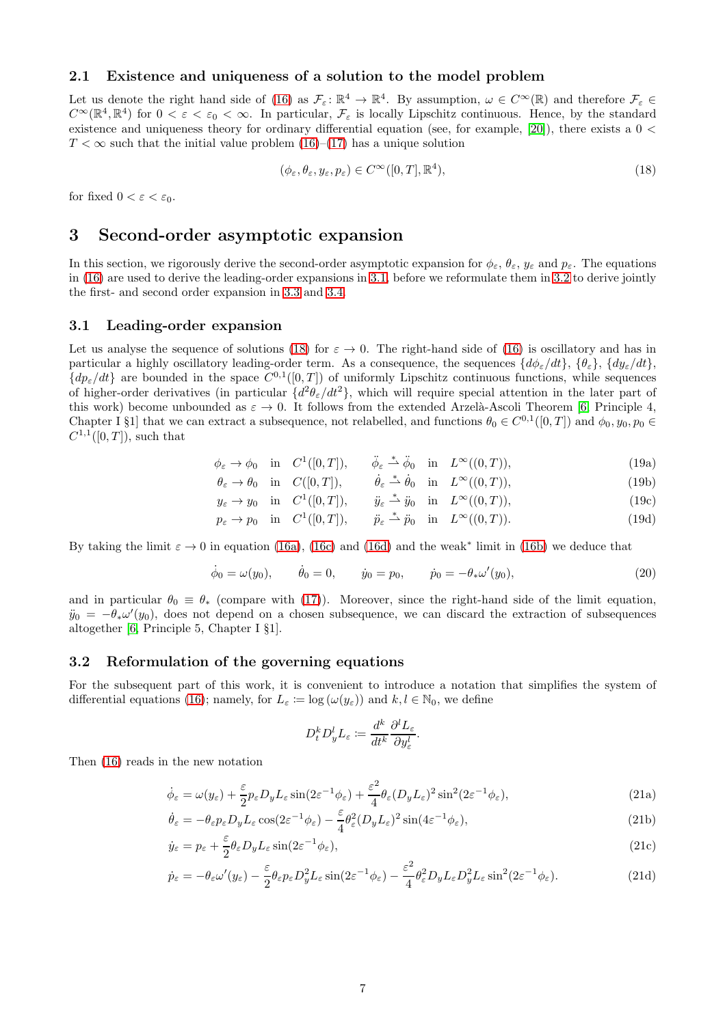## 2.1 Existence and uniqueness of a solution to the model problem

Let us denote the right hand side of (16) as  $\mathcal{F}_{\varepsilon} \colon \mathbb{R}^4 \to \mathbb{R}^4$ . By assumption,  $\omega \in C^{\infty}(\mathbb{R})$  and therefore  $\mathcal{F}_{\varepsilon} \in$  $C^{\infty}(\mathbb{R}^{4}, \mathbb{R}^{4})$  for  $0 < \varepsilon < \varepsilon_{0} < \infty$ . In particular,  $\mathcal{F}_{\varepsilon}$  is locally Lipschitz continuous. Hence, by the standard existence and uniqueness theory for ordinary differential equation (see, for example, [\[20\]](#page-23-5)), there exists a  $0 \leq$  $T < \infty$  such that the initial value problem (16)–[\(17\)](#page-5-2) has a unique solution

<span id="page-6-3"></span>
$$
(\phi_{\varepsilon}, \theta_{\varepsilon}, y_{\varepsilon}, p_{\varepsilon}) \in C^{\infty}([0, T], \mathbb{R}^{4}),
$$
\n(18)

<span id="page-6-0"></span>for fixed  $0 < \varepsilon < \varepsilon_0$ .

## 3 Second-order asymptotic expansion

In this section, we rigorously derive the second-order asymptotic expansion for  $\phi_{\varepsilon}$ ,  $\theta_{\varepsilon}$ ,  $y_{\varepsilon}$  and  $p_{\varepsilon}$ . The equations in (16) are used to derive the leading-order expansions in [3.1,](#page-6-1) before we reformulate them in [3.2](#page-6-2) to derive jointly the first- and second order expansion in [3.3](#page-7-2) and [3.4.](#page-8-0)

## <span id="page-6-1"></span>3.1 Leading-order expansion

Let us analyse the sequence of solutions [\(18\)](#page-6-3) for  $\varepsilon \to 0$ . The right-hand side of (16) is oscillatory and has in particular a highly oscillatory leading-order term. As a consequence, the sequences  $\{d\phi_{\varepsilon}/dt\}$ ,  $\{\theta_{\varepsilon}\}$ ,  $\{d\psi_{\varepsilon}/dt\}$ ,  $\{dp_{\varepsilon}/dt\}$  are bounded in the space  $C^{0,1}([0,T])$  of uniformly Lipschitz continuous functions, while sequences of higher-order derivatives (in particular  $\{d^2\theta_{\varepsilon}/dt^2\}$ , which will require special attention in the later part of this work) become unbounded as  $\varepsilon \to 0$ . It follows from the extended Arzelà-Ascoli Theorem [\[6,](#page-22-0) Principle 4, Chapter I §1] that we can extract a subsequence, not relabelled, and functions  $\theta_0 \in C^{0,1}([0,T])$  and  $\phi_0, y_0, p_0 \in C^{0,1}([0,T])$  $C^{1,1}([0,T])$ , such that

$$
\phi_{\varepsilon} \to \phi_0 \quad \text{in} \quad C^1([0, T]), \qquad \ddot{\phi}_{\varepsilon} \stackrel{*}{\rightharpoonup} \ddot{\phi}_0 \quad \text{in} \quad L^{\infty}((0, T)), \tag{19a}
$$

$$
\theta_{\varepsilon} \to \theta_0 \quad \text{in} \quad C([0, T]), \qquad \dot{\theta}_{\varepsilon} \stackrel{*}{\rightharpoonup} \dot{\theta}_0 \quad \text{in} \quad L^{\infty}((0, T)), \tag{19b}
$$

$$
y_{\varepsilon} \to y_0
$$
 in  $C^1([0,T]),$   $\ddot{y}_{\varepsilon} \stackrel{*}{\rightharpoonup} \ddot{y}_0$  in  $L^{\infty}((0,T)),$  (19c)

$$
p_{\varepsilon} \to p_0 \quad \text{in} \quad C^1([0, T]), \qquad \ddot{p}_{\varepsilon} \stackrel{*}{\rightharpoonup} \ddot{p}_0 \quad \text{in} \quad L^{\infty}((0, T)). \tag{19d}
$$

By taking the limit  $\varepsilon \to 0$  in equation [\(16a\)](#page-5-3), [\(16c\)](#page-5-4) and [\(16d\)](#page-5-5) and the weak\* limit in [\(16b\)](#page-5-6) we deduce that

<span id="page-6-8"></span>
$$
\dot{\phi}_0 = \omega(y_0), \qquad \dot{\theta}_0 = 0, \qquad \dot{y}_0 = p_0, \qquad \dot{p}_0 = -\theta_* \omega'(y_0), \tag{20}
$$

and in particular  $\theta_0 \equiv \theta_*$  (compare with [\(17\)](#page-5-2)). Moreover, since the right-hand side of the limit equation,  $\ddot{y}_0 = -\theta_*\omega'(y_0)$ , does not depend on a chosen subsequence, we can discard the extraction of subsequences altogether [\[6,](#page-22-0) Principle 5, Chapter I §1].

### <span id="page-6-2"></span>3.2 Reformulation of the governing equations

For the subsequent part of this work, it is convenient to introduce a notation that simplifies the system of differential equations (16); namely, for  $L_{\varepsilon} := \log (\omega(y_{\varepsilon}))$  and  $k, l \in \mathbb{N}_0$ , we define

<span id="page-6-9"></span><span id="page-6-7"></span><span id="page-6-6"></span><span id="page-6-5"></span><span id="page-6-4"></span>
$$
D_t^k D_y^l L_\varepsilon \coloneqq \frac{d^k}{dt^k} \frac{\partial^l L_\varepsilon}{\partial y_\varepsilon^l}.
$$

Then (16) reads in the new notation

$$
\dot{\phi}_{\varepsilon} = \omega(y_{\varepsilon}) + \frac{\varepsilon}{2} p_{\varepsilon} D_y L_{\varepsilon} \sin(2\varepsilon^{-1} \phi_{\varepsilon}) + \frac{\varepsilon^2}{4} \theta_{\varepsilon} (D_y L_{\varepsilon})^2 \sin^2(2\varepsilon^{-1} \phi_{\varepsilon}), \tag{21a}
$$

$$
\dot{\theta}_{\varepsilon} = -\theta_{\varepsilon} p_{\varepsilon} D_y L_{\varepsilon} \cos(2\varepsilon^{-1} \phi_{\varepsilon}) - \frac{\varepsilon}{4} \theta_{\varepsilon}^2 (D_y L_{\varepsilon})^2 \sin(4\varepsilon^{-1} \phi_{\varepsilon}), \tag{21b}
$$

$$
\dot{y}_{\varepsilon} = p_{\varepsilon} + \frac{\varepsilon}{2} \theta_{\varepsilon} D_y L_{\varepsilon} \sin(2\varepsilon^{-1} \phi_{\varepsilon}), \tag{21c}
$$

$$
\dot{p}_{\varepsilon} = -\theta_{\varepsilon}\omega'(y_{\varepsilon}) - \frac{\varepsilon}{2}\theta_{\varepsilon}p_{\varepsilon}D_y^2L_{\varepsilon}\sin(2\varepsilon^{-1}\phi_{\varepsilon}) - \frac{\varepsilon^2}{4}\theta_{\varepsilon}^2D_yL_{\varepsilon}D_y^2L_{\varepsilon}\sin^2(2\varepsilon^{-1}\phi_{\varepsilon}).
$$
\n(21d)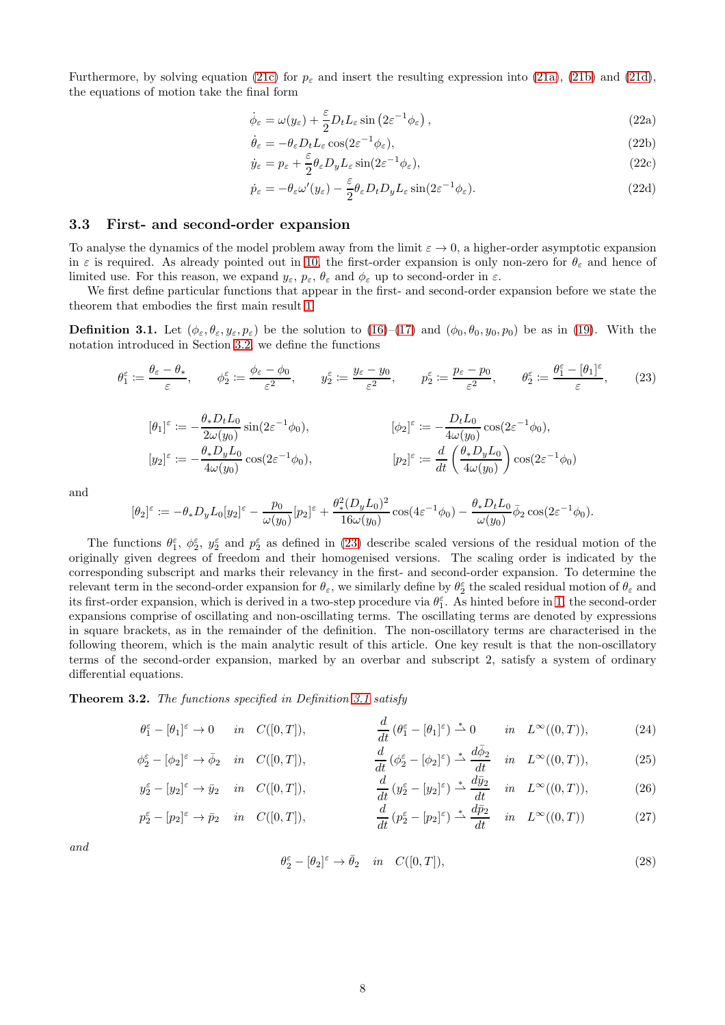Furthermore, by solving equation [\(21c\)](#page-6-4) for  $p_{\varepsilon}$  and insert the resulting expression into [\(21a\)](#page-6-5), [\(21b\)](#page-6-6) and [\(21d\)](#page-6-7), the equations of motion take the final form

<span id="page-7-5"></span><span id="page-7-4"></span>
$$
\dot{\phi}_{\varepsilon} = \omega(y_{\varepsilon}) + \frac{\varepsilon}{2} D_t L_{\varepsilon} \sin \left( 2\varepsilon^{-1} \phi_{\varepsilon} \right), \tag{22a}
$$

$$
\dot{\theta}_{\varepsilon} = -\theta_{\varepsilon} D_t L_{\varepsilon} \cos(2\varepsilon^{-1} \phi_{\varepsilon}),\tag{22b}
$$

$$
\dot{y}_{\varepsilon} = p_{\varepsilon} + \frac{\varepsilon}{2} \theta_{\varepsilon} D_y L_{\varepsilon} \sin(2\varepsilon^{-1} \phi_{\varepsilon}), \tag{22c}
$$

<span id="page-7-7"></span><span id="page-7-6"></span>
$$
\dot{p}_{\varepsilon} = -\theta_{\varepsilon}\omega'(y_{\varepsilon}) - \frac{\varepsilon}{2}\theta_{\varepsilon}D_{t}D_{y}L_{\varepsilon}\sin(2\varepsilon^{-1}\phi_{\varepsilon}).
$$
\n(22d)

#### <span id="page-7-2"></span>3.3 First- and second-order expansion

To analyse the dynamics of the model problem away from the limit  $\varepsilon \to 0$ , a higher-order asymptotic expansion in  $\varepsilon$  is required. As already pointed out in [10,](#page-3-3) the first-order expansion is only non-zero for  $\theta_{\varepsilon}$  and hence of limited use. For this reason, we expand  $y_{\varepsilon}, p_{\varepsilon}, \theta_{\varepsilon}$  and  $\phi_{\varepsilon}$  up to second-order in  $\varepsilon$ .

We first define particular functions that appear in the first- and second-order expansion before we state the theorem that embodies the first main result [1.](#page-3-2)

<span id="page-7-1"></span>**Definition 3.1.** Let  $(\phi_{\varepsilon}, \theta_{\varepsilon}, y_{\varepsilon}, p_{\varepsilon})$  be the solution to  $(16)-(17)$  $(16)-(17)$  and  $(\phi_0, \theta_0, y_0, p_0)$  be as in (19). With the notation introduced in Section [3.2,](#page-6-2) we define the functions

<span id="page-7-3"></span>
$$
\theta_1^{\varepsilon} := \frac{\theta_{\varepsilon} - \theta_*}{\varepsilon}, \qquad \phi_2^{\varepsilon} := \frac{\phi_{\varepsilon} - \phi_0}{\varepsilon^2}, \qquad y_2^{\varepsilon} := \frac{y_{\varepsilon} - y_0}{\varepsilon^2}, \qquad p_2^{\varepsilon} := \frac{p_{\varepsilon} - p_0}{\varepsilon^2}, \qquad \theta_2^{\varepsilon} := \frac{\theta_1^{\varepsilon} - [\theta_1]^{\varepsilon}}{\varepsilon}, \tag{23}
$$

$$
[\theta_1]^\varepsilon := -\frac{\theta_* D_t L_0}{2\omega(y_0)} \sin(2\varepsilon^{-1}\phi_0), \qquad [\phi_2]^\varepsilon := -\frac{D_t L_0}{4\omega(y_0)} \cos(2\varepsilon^{-1}\phi_0),
$$
  
\n
$$
[y_2]^\varepsilon := -\frac{\theta_* D_y L_0}{4\omega(y_0)} \cos(2\varepsilon^{-1}\phi_0), \qquad [p_2]^\varepsilon := \frac{d}{dt} \left(\frac{\theta_* D_y L_0}{4\omega(y_0)}\right) \cos(2\varepsilon^{-1}\phi_0)
$$

and

$$
[\theta_2]^\varepsilon \coloneqq -\theta_* D_y L_0[y_2]^\varepsilon - \frac{p_0}{\omega(y_0)} [p_2]^\varepsilon + \frac{\theta_*^2 (D_y L_0)^2}{16\omega(y_0)} \cos(4\varepsilon^{-1} \phi_0) - \frac{\theta_* D_t L_0}{\omega(y_0)} \bar{\phi}_2 \cos(2\varepsilon^{-1} \phi_0).
$$

The functions  $\theta_1^{\varepsilon}$ ,  $\phi_2^{\varepsilon}$ ,  $y_2^{\varepsilon}$  and  $p_2^{\varepsilon}$  as defined in [\(23\)](#page-7-3) describe scaled versions of the residual motion of the originally given degrees of freedom and their homogenised versions. The scaling order is indicated by the corresponding subscript and marks their relevancy in the first- and second-order expansion. To determine the relevant term in the second-order expansion for  $\theta_{\varepsilon}$ , we similarly define by  $\theta_2^{\varepsilon}$  the scaled residual motion of  $\theta_{\varepsilon}$  and its first-order expansion, which is derived in a two-step procedure via  $\theta_1^{\varepsilon}$ . As hinted before in [1,](#page-3-2) the second-order expansions comprise of oscillating and non-oscillating terms. The oscillating terms are denoted by expressions in square brackets, as in the remainder of the definition. The non-oscillatory terms are characterised in the following theorem, which is the main analytic result of this article. One key result is that the non-oscillatory terms of the second-order expansion, marked by an overbar and subscript 2, satisfy a system of ordinary differential equations.

<span id="page-7-0"></span>Theorem 3.2. The functions specified in Definition [3.1](#page-7-1) satisfy

$$
\theta_1^{\varepsilon} - [\theta_1]^{\varepsilon} \to 0 \quad in \quad C([0, T]), \qquad \frac{d}{dt} (\theta_1^{\varepsilon} - [\theta_1]^{\varepsilon}) \stackrel{*}{\rightharpoonup} 0 \quad in \quad L^{\infty}((0, T)), \qquad (24)
$$

$$
\phi_2^{\varepsilon} - [\phi_2]^{\varepsilon} \to \bar{\phi}_2 \quad in \quad C([0, T]), \qquad \qquad \frac{d}{dt} \left( \phi_2^{\varepsilon} - [\phi_2]^{\varepsilon} \right) \stackrel{*}{\to} \frac{d\bar{\phi}_2}{dt} \quad in \quad L^{\infty}((0, T)), \tag{25}
$$

$$
y_2^{\varepsilon} - [y_2]^{\varepsilon} \to \bar{y}_2 \quad \text{in} \quad C([0, T]), \qquad \qquad \frac{d}{dt} \left( y_2^{\varepsilon} - [y_2]^{\varepsilon} \right) \stackrel{*}{\rightharpoonup} \frac{d\bar{y}_2}{dt} \quad \text{in} \quad L^{\infty}((0, T)), \tag{26}
$$

$$
p_2^{\varepsilon} - [p_2]^{\varepsilon} \to \bar{p}_2 \quad in \quad C([0, T]), \qquad \frac{d}{dt} (p_2^{\varepsilon} - [p_2]^{\varepsilon}) \stackrel{*}{\rightharpoonup} \frac{d\bar{p}_2}{dt} \quad in \quad L^{\infty}((0, T)) \tag{27}
$$

and

<span id="page-7-11"></span><span id="page-7-10"></span><span id="page-7-9"></span><span id="page-7-8"></span>
$$
\theta_2^{\varepsilon} - [\theta_2]^{\varepsilon} \to \bar{\theta}_2 \quad in \quad C([0, T]), \tag{28}
$$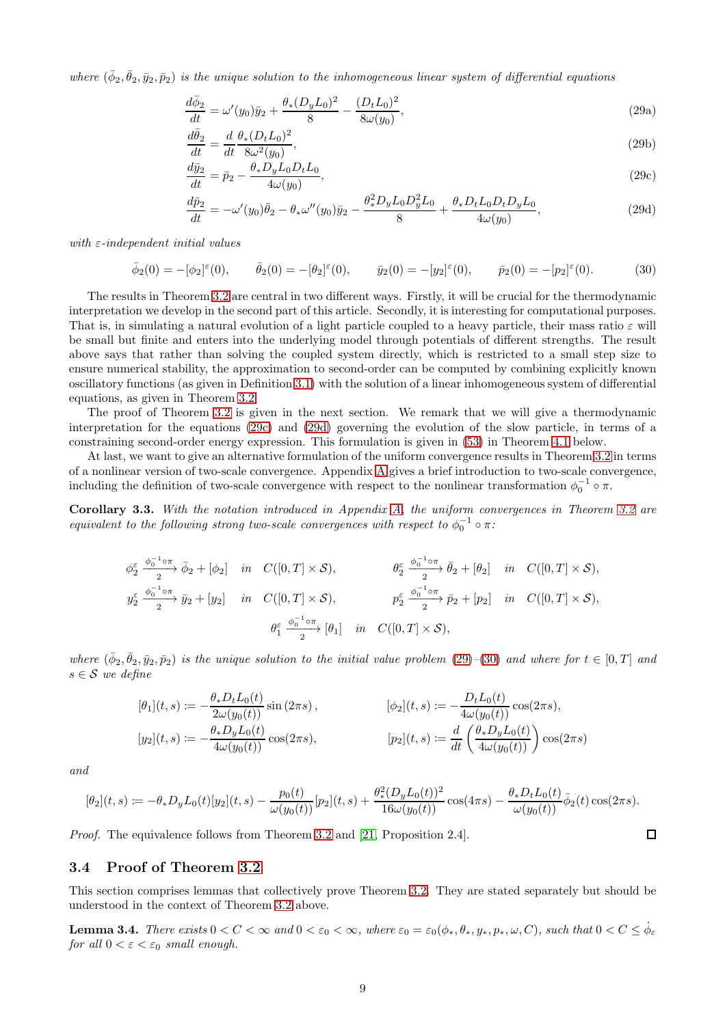where  $(\bar{\phi}_2, \bar{\theta}_2, \bar{y}_2, \bar{p}_2)$  is the unique solution to the inhomogeneous linear system of differential equations

<span id="page-8-5"></span>
$$
\frac{d\bar{\phi}_2}{dt} = \omega'(y_0)\bar{y}_2 + \frac{\theta_*(D_y L_0)^2}{8} - \frac{(D_t L_0)^2}{8\omega(y_0)},
$$
\n(29a)

$$
\frac{d\bar{\theta}_2}{dt} = \frac{d}{dt} \frac{\theta_*(D_t L_0)^2}{8\omega^2(y_0)},\tag{29b}
$$

<span id="page-8-6"></span><span id="page-8-1"></span>
$$
\frac{d\bar{y}_2}{dt} = \bar{p}_2 - \frac{\theta_* D_y L_0 D_t L_0}{4\omega(y_0)},
$$
\n(29c)

<span id="page-8-2"></span>
$$
\frac{d\bar{p}_2}{dt} = -\omega'(y_0)\bar{\theta}_2 - \theta_*\omega''(y_0)\bar{y}_2 - \frac{\theta_*^2 D_y L_0 D_y^2 L_0}{8} + \frac{\theta_* D_t L_0 D_t D_y L_0}{4\omega(y_0)},
$$
\n(29d)

with  $\varepsilon$ -independent initial values

<span id="page-8-3"></span>
$$
\bar{\phi}_2(0) = -[\phi_2]^{\varepsilon}(0), \qquad \bar{\theta}_2(0) = -[\theta_2]^{\varepsilon}(0), \qquad \bar{y}_2(0) = -[y_2]^{\varepsilon}(0), \qquad \bar{p}_2(0) = -[p_2]^{\varepsilon}(0). \tag{30}
$$

The results in Theorem [3.2](#page-7-0) are central in two different ways. Firstly, it will be crucial for the thermodynamic interpretation we develop in the second part of this article. Secondly, it is interesting for computational purposes. That is, in simulating a natural evolution of a light particle coupled to a heavy particle, their mass ratio  $\varepsilon$  will be small but finite and enters into the underlying model through potentials of different strengths. The result above says that rather than solving the coupled system directly, which is restricted to a small step size to ensure numerical stability, the approximation to second-order can be computed by combining explicitly known oscillatory functions (as given in Definition [3.1\)](#page-7-1) with the solution of a linear inhomogeneous system of differential equations, as given in Theorem [3.2.](#page-7-0)

The proof of Theorem [3.2](#page-7-0) is given in the next section. We remark that we will give a thermodynamic interpretation for the equations [\(29c\)](#page-8-1) and [\(29d\)](#page-8-2) governing the evolution of the slow particle, in terms of a constraining second-order energy expression. This formulation is given in [\(53\)](#page-15-1) in Theorem [4.1](#page-15-0) below.

At last, we want to give an alternative formulation of the uniform convergence results in Theorem [3.2](#page-7-0) in terms of a nonlinear version of two-scale convergence. Appendix [A](#page-16-0) gives a brief introduction to two-scale convergence, including the definition of two-scale convergence with respect to the nonlinear transformation  $\phi_0^{-1} \circ \pi$ .

<span id="page-8-7"></span>Corollary 3.3. With the notation introduced in Appendix [A,](#page-16-0) the uniform convergences in Theorem [3.2](#page-7-0) are equivalent to the following strong two-scale convergences with respect to  $\phi_0^{-1} \circ \pi$ :

$$
\phi_2^{\varepsilon} \xrightarrow{\phi_0^{-1} \circ \pi} \bar{\phi}_2 + [\phi_2] \quad in \quad C([0, T] \times \mathcal{S}), \qquad \qquad \theta_2^{\varepsilon} \xrightarrow{\phi_0^{-1} \circ \pi} \bar{\phi}_2 + [\theta_2] \quad in \quad C([0, T] \times \mathcal{S}),
$$
  

$$
y_2^{\varepsilon} \xrightarrow{\phi_0^{-1} \circ \pi} \bar{y}_2 + [y_2] \quad in \quad C([0, T] \times \mathcal{S}), \qquad \qquad p_2^{\varepsilon} \xrightarrow{\phi_0^{-1} \circ \pi} \bar{p}_2 + [p_2] \quad in \quad C([0, T] \times \mathcal{S}),
$$
  

$$
\theta_1^{\varepsilon} \xrightarrow{\phi_0^{-1} \circ \pi} [\theta_1] \quad in \quad C([0, T] \times \mathcal{S}),
$$

where  $(\bar{\phi}_2, \bar{\theta}_2, \bar{y}_2, \bar{p}_2)$  is the unique solution to the initial value problem (29)–[\(30\)](#page-8-3) and where for  $t \in [0, T]$  and  $s \in \mathcal{S}$  we define

$$
[\theta_1](t,s) := -\frac{\theta_* D_t L_0(t)}{2\omega(y_0(t))} \sin(2\pi s), \qquad [\phi_2](t,s) := -\frac{D_t L_0(t)}{4\omega(y_0(t))} \cos(2\pi s),
$$
  
\n
$$
[y_2](t,s) := -\frac{\theta_* D_y L_0(t)}{4\omega(y_0(t))} \cos(2\pi s), \qquad [p_2](t,s) := \frac{d}{dt} \left(\frac{\theta_* D_y L_0(t)}{4\omega(y_0(t))}\right) \cos(2\pi s)
$$

and

$$
[\theta_2](t,s) := -\theta_* D_y L_0(t)[y_2](t,s) - \frac{p_0(t)}{\omega(y_0(t))}[p_2](t,s) + \frac{\theta_*^2 (D_y L_0(t))^2}{16\omega(y_0(t))} \cos(4\pi s) - \frac{\theta_* D_t L_0(t)}{\omega(y_0(t))} \bar{\phi}_2(t) \cos(2\pi s).
$$

 $\Box$ 

Proof. The equivalence follows from Theorem [3.2](#page-7-0) and [\[21,](#page-23-6) Proposition 2.4].

## <span id="page-8-0"></span>3.4 Proof of Theorem [3.2](#page-7-0)

This section comprises lemmas that collectively prove Theorem [3.2.](#page-7-0) They are stated separately but should be understood in the context of Theorem [3.2](#page-7-0) above.

<span id="page-8-4"></span>**Lemma 3.4.** There exists  $0 < C < \infty$  and  $0 < \varepsilon_0 < \infty$ , where  $\varepsilon_0 = \varepsilon_0(\phi_*, \theta_*, y_*, p_*, \omega, C)$ , such that  $0 < C \leq \dot{\phi}_{\varepsilon}$ for all  $0 < \varepsilon < \varepsilon_0$  small enough.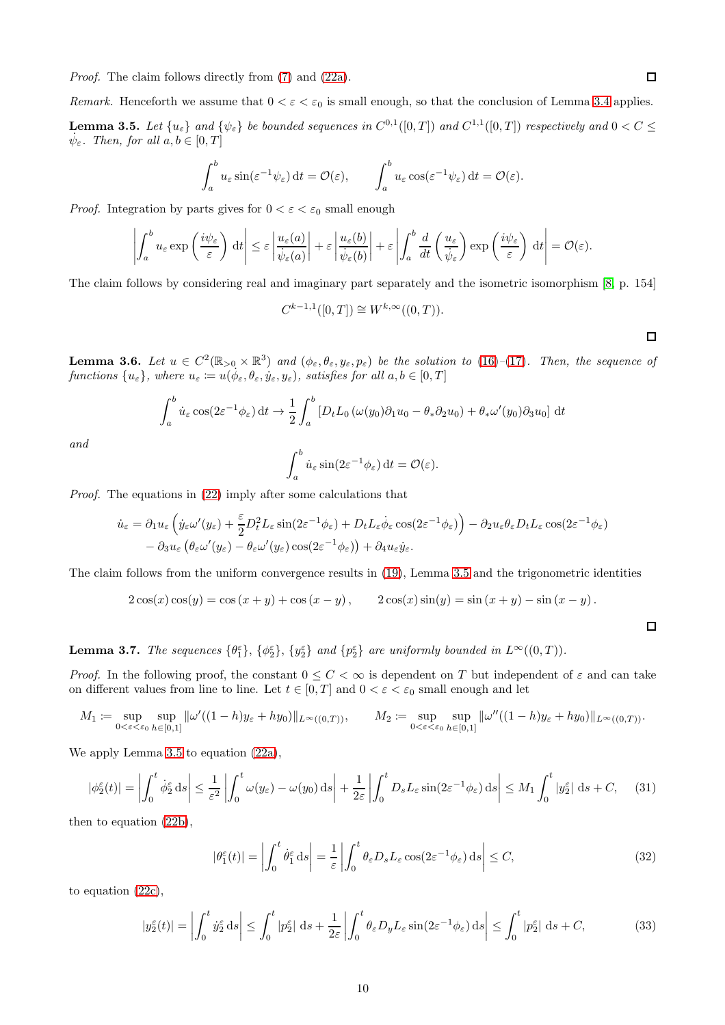Proof. The claim follows directly from [\(7\)](#page-2-4) and [\(22a\)](#page-7-4).

Remark. Henceforth we assume that  $0 < \varepsilon < \varepsilon_0$  is small enough, so that the conclusion of Lemma [3.4](#page-8-4) applies.

<span id="page-9-0"></span>**Lemma 3.5.** Let  $\{u_{\varepsilon}\}\$ and  $\{\psi_{\varepsilon}\}\$  be bounded sequences in  $C^{0,1}([0,T])$  and  $C^{1,1}([0,T])$  respectively and  $0 < C \leq C$  $\dot{\psi}_{\varepsilon}$ . Then, for all  $a, b \in [0, T]$ 

$$
\int_a^b u_\varepsilon \sin(\varepsilon^{-1} \psi_\varepsilon) dt = \mathcal{O}(\varepsilon), \qquad \int_a^b u_\varepsilon \cos(\varepsilon^{-1} \psi_\varepsilon) dt = \mathcal{O}(\varepsilon).
$$

*Proof.* Integration by parts gives for  $0 < \varepsilon < \varepsilon_0$  small enough

$$
\left| \int_a^b u_\varepsilon \exp\left(\frac{i\psi_\varepsilon}{\varepsilon}\right) dt \right| \leq \varepsilon \left| \frac{u_\varepsilon(a)}{\psi_\varepsilon(a)} \right| + \varepsilon \left| \frac{u_\varepsilon(b)}{\psi_\varepsilon(b)} \right| + \varepsilon \left| \int_a^b \frac{d}{dt} \left(\frac{u_\varepsilon}{\psi_\varepsilon}\right) \exp\left(\frac{i\psi_\varepsilon}{\varepsilon}\right) dt \right| = \mathcal{O}(\varepsilon).
$$

The claim follows by considering real and imaginary part separately and the isometric isomorphism [\[8,](#page-22-10) p. 154]

$$
C^{k-1,1}([0,T]) \cong W^{k,\infty}((0,T)).
$$

 $\Box$ 

 $\Box$ 

 $\Box$ 

<span id="page-9-1"></span>**Lemma 3.6.** Let  $u \in C^2(\mathbb{R}_{>0} \times \mathbb{R}^3)$  and  $(\phi_{\varepsilon}, \theta_{\varepsilon}, y_{\varepsilon}, p_{\varepsilon})$  be the solution to (16)–[\(17\)](#page-5-2). Then, the sequence of functions  $\{u_{\varepsilon}\}\,$ , where  $u_{\varepsilon} = u(\dot{\phi}_{\varepsilon}, \theta_{\varepsilon}, \dot{y}_{\varepsilon}, y_{\varepsilon})$ , satisfies for all  $a, b \in [0, T]$ 

$$
\int_a^b \dot{u}_{\varepsilon} \cos(2\varepsilon^{-1} \phi_{\varepsilon}) dt \to \frac{1}{2} \int_a^b \left[ D_t L_0 \left( \omega(y_0) \partial_1 u_0 - \theta_* \partial_2 u_0 \right) + \theta_* \omega'(y_0) \partial_3 u_0 \right] dt
$$

and

$$
\int_a^b \dot{u}_{\varepsilon} \sin(2\varepsilon^{-1} \phi_{\varepsilon}) dt = \mathcal{O}(\varepsilon).
$$

Proof. The equations in (22) imply after some calculations that

$$
\dot{u}_{\varepsilon} = \partial_1 u_{\varepsilon} \left( \dot{y}_{\varepsilon} \omega'(y_{\varepsilon}) + \frac{\varepsilon}{2} D_t^2 L_{\varepsilon} \sin(2\varepsilon^{-1} \phi_{\varepsilon}) + D_t L_{\varepsilon} \dot{\phi}_{\varepsilon} \cos(2\varepsilon^{-1} \phi_{\varepsilon}) \right) - \partial_2 u_{\varepsilon} \theta_{\varepsilon} D_t L_{\varepsilon} \cos(2\varepsilon^{-1} \phi_{\varepsilon})
$$

$$
- \partial_3 u_{\varepsilon} \left( \theta_{\varepsilon} \omega'(y_{\varepsilon}) - \theta_{\varepsilon} \omega'(y_{\varepsilon}) \cos(2\varepsilon^{-1} \phi_{\varepsilon}) \right) + \partial_4 u_{\varepsilon} \dot{y}_{\varepsilon}.
$$

The claim follows from the uniform convergence results in (19), Lemma [3.5](#page-9-0) and the trigonometric identities

$$
2\cos(x)\cos(y) = \cos(x+y) + \cos(x-y), \qquad 2\cos(x)\sin(y) = \sin(x+y) - \sin(x-y).
$$

<span id="page-9-4"></span>**Lemma 3.7.** The sequences  $\{\theta_1^{\varepsilon}\}, \{\phi_2^{\varepsilon}\}, \{y_2^{\varepsilon}\}\$  and  $\{p_2^{\varepsilon}\}\$  are uniformly bounded in  $L^{\infty}((0,T))$ .

*Proof.* In the following proof, the constant  $0 \leq C < \infty$  is dependent on T but independent of  $\varepsilon$  and can take on different values from line to line. Let  $t \in [0, T]$  and  $0 < \varepsilon < \varepsilon_0$  small enough and let

$$
M_1 := \sup_{0 < \varepsilon < \varepsilon_0} \sup_{h \in [0,1]} \|\omega'((1-h)y_{\varepsilon} + hy_0)\|_{L^\infty((0,T))}, \qquad M_2 := \sup_{0 < \varepsilon < \varepsilon_0} \sup_{h \in [0,1]} \|\omega''((1-h)y_{\varepsilon} + hy_0)\|_{L^\infty((0,T))}.
$$

We apply Lemma [3.5](#page-9-0) to equation  $(22a)$ ,

<span id="page-9-3"></span>
$$
|\phi_2^{\varepsilon}(t)| = \left| \int_0^t \dot{\phi}_2^{\varepsilon} \, ds \right| \le \frac{1}{\varepsilon^2} \left| \int_0^t \omega(y_{\varepsilon}) - \omega(y_0) \, ds \right| + \frac{1}{2\varepsilon} \left| \int_0^t D_s L_{\varepsilon} \sin(2\varepsilon^{-1} \phi_{\varepsilon}) \, ds \right| \le M_1 \int_0^t |y_2^{\varepsilon}| \, ds + C,\tag{31}
$$

then to equation [\(22b\)](#page-7-5),

$$
|\theta_1^{\varepsilon}(t)| = \left| \int_0^t \dot{\theta}_1^{\varepsilon} \, ds \right| = \frac{1}{\varepsilon} \left| \int_0^t \theta_{\varepsilon} D_s L_{\varepsilon} \cos(2\varepsilon^{-1} \phi_{\varepsilon}) \, ds \right| \le C,
$$
 (32)

to equation [\(22c\)](#page-7-6),

<span id="page-9-2"></span>
$$
|y_2^{\varepsilon}(t)| = \left| \int_0^t \dot{y}_2^{\varepsilon} \, ds \right| \le \int_0^t |p_2^{\varepsilon}| \, ds + \frac{1}{2\varepsilon} \left| \int_0^t \theta_{\varepsilon} D_y L_{\varepsilon} \sin(2\varepsilon^{-1} \phi_{\varepsilon}) \, ds \right| \le \int_0^t |p_2^{\varepsilon}| \, ds + C,\tag{33}
$$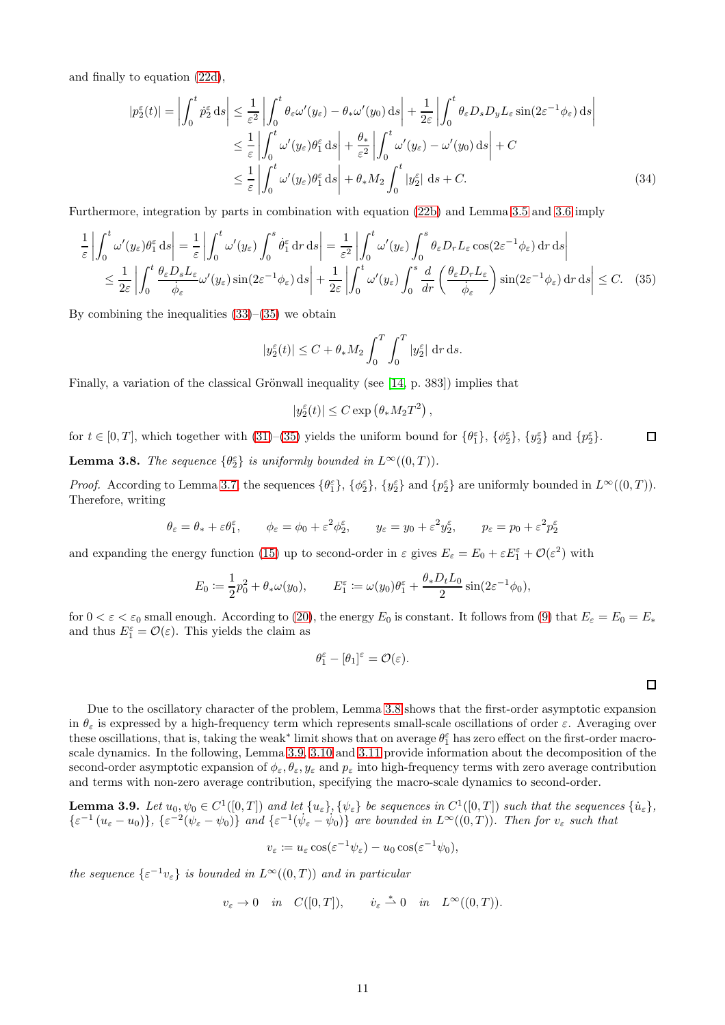and finally to equation [\(22d\)](#page-7-7),

$$
|p_2^{\varepsilon}(t)| = \left| \int_0^t p_2^{\varepsilon} ds \right| \leq \frac{1}{\varepsilon^2} \left| \int_0^t \theta_{\varepsilon} \omega'(y_{\varepsilon}) - \theta_{*} \omega'(y_0) ds \right| + \frac{1}{2\varepsilon} \left| \int_0^t \theta_{\varepsilon} D_s D_y L_{\varepsilon} \sin(2\varepsilon^{-1} \phi_{\varepsilon}) ds \right|
$$
  

$$
\leq \frac{1}{\varepsilon} \left| \int_0^t \omega'(y_{\varepsilon}) \theta_1^{\varepsilon} ds \right| + \frac{\theta_{*}}{\varepsilon^2} \left| \int_0^t \omega'(y_{\varepsilon}) - \omega'(y_0) ds \right| + C
$$
  

$$
\leq \frac{1}{\varepsilon} \left| \int_0^t \omega'(y_{\varepsilon}) \theta_1^{\varepsilon} ds \right| + \theta_{*} M_2 \int_0^t |y_2^{\varepsilon}| ds + C.
$$
 (34)

Furthermore, integration by parts in combination with equation [\(22b\)](#page-7-5) and Lemma [3.5](#page-9-0) and [3.6](#page-9-1) imply

$$
\frac{1}{\varepsilon} \left| \int_0^t \omega'(y_\varepsilon) \theta_1^\varepsilon \, ds \right| = \frac{1}{\varepsilon} \left| \int_0^t \omega'(y_\varepsilon) \int_0^s \theta_1^\varepsilon \, dr \, ds \right| = \frac{1}{\varepsilon^2} \left| \int_0^t \omega'(y_\varepsilon) \int_0^s \theta_\varepsilon D_r L_\varepsilon \cos(2\varepsilon^{-1} \phi_\varepsilon) \, dr \, ds \right|
$$
\n
$$
\leq \frac{1}{2\varepsilon} \left| \int_0^t \frac{\theta_\varepsilon D_s L_\varepsilon}{\dot{\phi}_\varepsilon} \omega'(y_\varepsilon) \sin(2\varepsilon^{-1} \phi_\varepsilon) \, ds \right| + \frac{1}{2\varepsilon} \left| \int_0^t \omega'(y_\varepsilon) \int_0^s \frac{d}{dr} \left( \frac{\theta_\varepsilon D_r L_\varepsilon}{\dot{\phi}_\varepsilon} \right) \sin(2\varepsilon^{-1} \phi_\varepsilon) \, dr \, ds \right| \leq C. \tag{35}
$$

By combining the inequalities  $(33)$ – $(35)$  we obtain

$$
|y_2^{\varepsilon}(t)| \le C + \theta_* M_2 \int_0^T \int_0^T |y_2^{\varepsilon}| \, \mathrm{d}r \, \mathrm{d}s.
$$

Finally, a variation of the classical Grönwall inequality (see [\[14,](#page-23-7) p. 383]) implies that

<span id="page-10-0"></span>
$$
|y_2^{\varepsilon}(t)| \le C \exp\left(\theta_* M_2 T^2\right),\,
$$

<span id="page-10-1"></span>for  $t \in [0, T]$ , which together with  $(31)$ – $(35)$  yields the uniform bound for  $\{\theta_1^{\varepsilon}\}, \{\phi_2^{\varepsilon}\}, \{y_2^{\varepsilon}\}\$  and  $\{p_2^{\varepsilon}\}.$  $\Box$ **Lemma 3.8.** The sequence  $\{\theta_{2}^{\varepsilon}\}\$ is uniformly bounded in  $L^{\infty}((0,T))$ .

*Proof.* According to Lemma [3.7,](#page-9-4) the sequences  $\{\theta_1^{\varepsilon}\}, \{\phi_2^{\varepsilon}\}, \{\mathbf{y}_2^{\varepsilon}\}\$  and  $\{\mathbf{p}_2^{\varepsilon}\}\$  are uniformly bounded in  $L^{\infty}((0,T))$ . Therefore, writing

$$
\theta_{\varepsilon} = \theta_{*} + \varepsilon \theta_{1}^{\varepsilon}, \qquad \phi_{\varepsilon} = \phi_{0} + \varepsilon^{2} \phi_{2}^{\varepsilon}, \qquad y_{\varepsilon} = y_{0} + \varepsilon^{2} y_{2}^{\varepsilon}, \qquad p_{\varepsilon} = p_{0} + \varepsilon^{2} p_{2}^{\varepsilon}
$$

and expanding the energy function [\(15\)](#page-5-7) up to second-order in  $\varepsilon$  gives  $E_{\varepsilon} = E_0 + \varepsilon E_1^{\varepsilon} + \mathcal{O}(\varepsilon^2)$  with

$$
E_0 := \frac{1}{2}p_0^2 + \theta_*\omega(y_0), \qquad E_1^{\varepsilon} := \omega(y_0)\theta_1^{\varepsilon} + \frac{\theta_*D_tL_0}{2}\sin(2\varepsilon^{-1}\phi_0),
$$

for  $0 < \varepsilon < \varepsilon_0$  small enough. According to [\(20\)](#page-6-8), the energy  $E_0$  is constant. It follows from [\(9\)](#page-3-0) that  $E_\varepsilon = E_0 = E_*$ and thus  $E_1^{\varepsilon} = \mathcal{O}(\varepsilon)$ . This yields the claim as

$$
\theta_1^{\varepsilon} - [\theta_1]^{\varepsilon} = \mathcal{O}(\varepsilon).
$$

 $\Box$ 

Due to the oscillatory character of the problem, Lemma [3.8](#page-10-1) shows that the first-order asymptotic expansion in  $\theta_{\varepsilon}$  is expressed by a high-frequency term which represents small-scale oscillations of order  $\varepsilon$ . Averaging over these oscillations, that is, taking the weak<sup>∗</sup> limit shows that on average  $\theta_1^{\varepsilon}$  has zero effect on the first-order macroscale dynamics. In the following, Lemma [3.9,](#page-10-2) [3.10](#page-11-0) and [3.11](#page-11-1) provide information about the decomposition of the second-order asymptotic expansion of  $\phi_{\varepsilon}, \theta_{\varepsilon}, y_{\varepsilon}$  and  $p_{\varepsilon}$  into high-frequency terms with zero average contribution and terms with non-zero average contribution, specifying the macro-scale dynamics to second-order.

<span id="page-10-2"></span>**Lemma 3.9.** Let  $u_0, \psi_0 \in C^1([0,T])$  and let  $\{u_{\varepsilon}\}, \{\psi_{\varepsilon}\}\)$  be sequences in  $C^1([0,T])$  such that the sequences  $\{\dot{u}_{\varepsilon}\},\$  $\{\varepsilon^{-1}(u_{\varepsilon}-u_0)\},\,\{\varepsilon^{-2}(\psi_{\varepsilon}-\psi_0)\}\$  and  $\{\varepsilon^{-1}(\psi_{\varepsilon}-\psi_0)\}\$  are bounded in  $L^{\infty}((0,T))$ . Then for  $v_{\varepsilon}$  such that

$$
v_{\varepsilon} := u_{\varepsilon} \cos(\varepsilon^{-1} \psi_{\varepsilon}) - u_0 \cos(\varepsilon^{-1} \psi_0),
$$

the sequence  $\{\varepsilon^{-1}v_{\varepsilon}\}\)$  is bounded in  $L^{\infty}((0,T))$  and in particular

$$
v_{\varepsilon} \to 0
$$
 in  $C([0,T]),$   $\dot{v}_{\varepsilon} \stackrel{*}{\rightharpoonup} 0$  in  $L^{\infty}((0,T)).$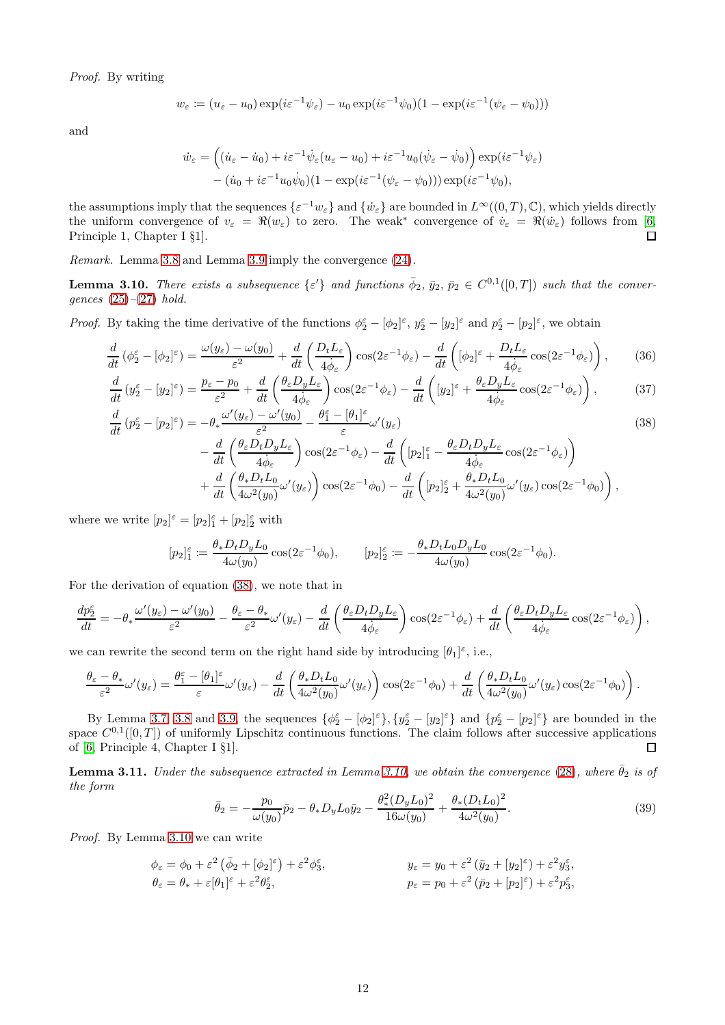Proof. By writing

$$
w_{\varepsilon} := (u_{\varepsilon} - u_0) \exp(i\varepsilon^{-1}\psi_{\varepsilon}) - u_0 \exp(i\varepsilon^{-1}\psi_0)(1 - \exp(i\varepsilon^{-1}(\psi_{\varepsilon} - \psi_0)))
$$

and

$$
\dot{w}_{\varepsilon} = ((\dot{u}_{\varepsilon} - \dot{u}_0) + i\varepsilon^{-1}\dot{\psi}_{\varepsilon}(u_{\varepsilon} - u_0) + i\varepsilon^{-1}u_0(\dot{\psi}_{\varepsilon} - \dot{\psi}_0)) \exp(i\varepsilon^{-1}\psi_{\varepsilon}) \n- (\dot{u}_0 + i\varepsilon^{-1}u_0\dot{\psi}_0)(1 - \exp(i\varepsilon^{-1}(\psi_{\varepsilon} - \psi_0))) \exp(i\varepsilon^{-1}\psi_0),
$$

the assumptions imply that the sequences  $\{\varepsilon^{-1}w_{\varepsilon}\}\$  and  $\{\dot{w}_{\varepsilon}\}\$ are bounded in  $L^{\infty}((0,T),\mathbb{C})$ , which yields directly the uniform convergence of  $v_{\varepsilon} = \Re(w_{\varepsilon})$  to zero. The weak<sup>\*</sup> convergence of  $\dot{v}_{\varepsilon} = \Re(\dot{w}_{\varepsilon})$  follows from [\[6,](#page-22-0) Principle 1, Chapter I §1].

Remark. Lemma [3.8](#page-10-1) and Lemma [3.9](#page-10-2) imply the convergence [\(24\)](#page-7-8).

<span id="page-11-0"></span>**Lemma 3.10.** There exists a subsequence  $\{\varepsilon'\}$  and functions  $\bar{\phi}_2$ ,  $\bar{y}_2$ ,  $\bar{p}_2 \in C^{0,1}([0,T])$  such that the convergences  $(25)-(27)$  $(25)-(27)$  $(25)-(27)$  hold.

*Proof.* By taking the time derivative of the functions  $\phi_2^{\varepsilon} - [\phi_2]^{\varepsilon}$ ,  $y_2^{\varepsilon} - [y_2]^{\varepsilon}$  and  $p_2^{\varepsilon} - [p_2]^{\varepsilon}$ , we obtain

$$
\frac{d}{dt}\left(\phi_2^{\varepsilon} - [\phi_2]^{\varepsilon}\right) = \frac{\omega(y_{\varepsilon}) - \omega(y_0)}{\varepsilon^2} + \frac{d}{dt}\left(\frac{D_t L_{\varepsilon}}{4\dot{\phi}_{\varepsilon}}\right) \cos(2\varepsilon^{-1}\phi_{\varepsilon}) - \frac{d}{dt}\left([\phi_2]^{\varepsilon} + \frac{D_t L_{\varepsilon}}{4\dot{\phi}_{\varepsilon}}\cos(2\varepsilon^{-1}\phi_{\varepsilon})\right),\tag{36}
$$

$$
\frac{d}{dt}\left(y_2^{\varepsilon} - [y_2]^{\varepsilon}\right) = \frac{p_{\varepsilon} - p_0}{\varepsilon^2} + \frac{d}{dt}\left(\frac{\theta_{\varepsilon}D_yL_{\varepsilon}}{4\dot{\phi}_{\varepsilon}}\right)\cos(2\varepsilon^{-1}\phi_{\varepsilon}) - \frac{d}{dt}\left([y_2]^{\varepsilon} + \frac{\theta_{\varepsilon}D_yL_{\varepsilon}}{4\dot{\phi}_{\varepsilon}}\cos(2\varepsilon^{-1}\phi_{\varepsilon})\right),\tag{37}
$$

$$
\frac{d}{dt}\left(p_2^{\varepsilon} - [p_2]^{\varepsilon}\right) = -\theta_* \frac{\omega'(y_{\varepsilon}) - \omega'(y_0)}{\varepsilon^2} - \frac{\theta_1^{\varepsilon} - [p_1]^{\varepsilon}}{\varepsilon} \omega'(y_{\varepsilon})\tag{38}
$$

<span id="page-11-2"></span>
$$
-\frac{d}{dt}\left(\frac{\theta_{\varepsilon}D_{t}D_{y}L_{\varepsilon}}{4\dot{\phi}_{\varepsilon}}\right)\cos(2\varepsilon^{-1}\phi_{\varepsilon})-\frac{d}{dt}\left([p_{2}]_{1}^{\varepsilon}-\frac{\theta_{\varepsilon}D_{t}D_{y}L_{\varepsilon}}{4\dot{\phi}_{\varepsilon}}\cos(2\varepsilon^{-1}\phi_{\varepsilon})\right) +\frac{d}{dt}\left(\frac{\theta_{*}D_{t}L_{0}}{4\omega^{2}(y_{0})}\omega'(y_{\varepsilon})\right)\cos(2\varepsilon^{-1}\phi_{0})-\frac{d}{dt}\left([p_{2}]_{2}^{\varepsilon}+\frac{\theta_{*}D_{t}L_{0}}{4\omega^{2}(y_{0})}\omega'(y_{\varepsilon})\cos(2\varepsilon^{-1}\phi_{0})\right),
$$

where we write  $[p_2]^\varepsilon = [p_2]_1^\varepsilon + [p_2]_2^\varepsilon$  with

$$
[p_2]_1^{\varepsilon} := \frac{\theta_* D_t D_y L_0}{4\omega(y_0)} \cos(2\varepsilon^{-1}\phi_0), \qquad [p_2]_2^{\varepsilon} := -\frac{\theta_* D_t L_0 D_y L_0}{4\omega(y_0)} \cos(2\varepsilon^{-1}\phi_0).
$$

For the derivation of equation [\(38\)](#page-11-2), we note that in

$$
\frac{dp_{2}^{\varepsilon}}{dt} = -\theta_{*} \frac{\omega'(y_{\varepsilon}) - \omega'(y_{0})}{\varepsilon^{2}} - \frac{\theta_{\varepsilon} - \theta_{*}}{\varepsilon^{2}} \omega'(y_{\varepsilon}) - \frac{d}{dt} \left( \frac{\theta_{\varepsilon} D_{t} D_{y} L_{\varepsilon}}{4 \dot{\phi}_{\varepsilon}} \right) \cos(2\varepsilon^{-1} \phi_{\varepsilon}) + \frac{d}{dt} \left( \frac{\theta_{\varepsilon} D_{t} D_{y} L_{\varepsilon}}{4 \dot{\phi}_{\varepsilon}} \cos(2\varepsilon^{-1} \phi_{\varepsilon}) \right),
$$

we can rewrite the second term on the right hand side by introducing  $[\theta_1]^\varepsilon$ , i.e.,

$$
\frac{\theta_{\varepsilon} - \theta_{*}}{\varepsilon^{2}} \omega'(y_{\varepsilon}) = \frac{\theta_{1}^{\varepsilon} - [\theta_{1}]^{\varepsilon}}{\varepsilon} \omega'(y_{\varepsilon}) - \frac{d}{dt} \left( \frac{\theta_{*} D_{t} L_{0}}{4\omega^{2}(y_{0})} \omega'(y_{\varepsilon}) \right) \cos(2\varepsilon^{-1} \phi_{0}) + \frac{d}{dt} \left( \frac{\theta_{*} D_{t} L_{0}}{4\omega^{2}(y_{0})} \omega'(y_{\varepsilon}) \cos(2\varepsilon^{-1} \phi_{0}) \right).
$$

By Lemma [3.7,](#page-9-4) [3.8](#page-10-1) and [3.9,](#page-10-2) the sequences  $\{\phi_2^{\varepsilon} - [\phi_2]^{\varepsilon}\}, \{y_2^{\varepsilon} - [y_2]^{\varepsilon}\}\$ and  $\{p_2^{\varepsilon} - [p_2]^{\varepsilon}\}\$ are bounded in the space  $C^{0,1}([0,T])$  of uniformly Lipschitz continuous functions. The claim follows after successive applications of [\[6,](#page-22-0) Principle 4, Chapter I §1]. П

<span id="page-11-1"></span>**Lemma 3.11.** Under the subsequence extracted in Lemma [3.10,](#page-11-0) we obtain the convergence [\(28\)](#page-7-11), where  $\bar{\theta}_2$  is of the form

<span id="page-11-3"></span>
$$
\bar{\theta}_2 = -\frac{p_0}{\omega(y_0)}\bar{p}_2 - \theta_* D_y L_0 \bar{y}_2 - \frac{\theta_*^2 (D_y L_0)^2}{16\omega(y_0)} + \frac{\theta_* (D_t L_0)^2}{4\omega^2(y_0)}.
$$
\n(39)

Proof. By Lemma [3.10](#page-11-0) we can write

$$
\phi_{\varepsilon} = \phi_0 + \varepsilon^2 \left( \bar{\phi}_2 + [\phi_2]^{\varepsilon} \right) + \varepsilon^2 \phi_3^{\varepsilon},
$$
\n
$$
y_{\varepsilon} = y_0 + \varepsilon^2 \left( \bar{y}_2 + [y_2]^{\varepsilon} \right) + \varepsilon^2 y_3^{\varepsilon},
$$
\n
$$
\theta_{\varepsilon} = \theta_* + \varepsilon [\theta_1]^{\varepsilon} + \varepsilon^2 \theta_2^{\varepsilon},
$$
\n
$$
p_{\varepsilon} = p_0 + \varepsilon^2 \left( \bar{p}_2 + [p_2]^{\varepsilon} \right) + \varepsilon^2 p_3^{\varepsilon},
$$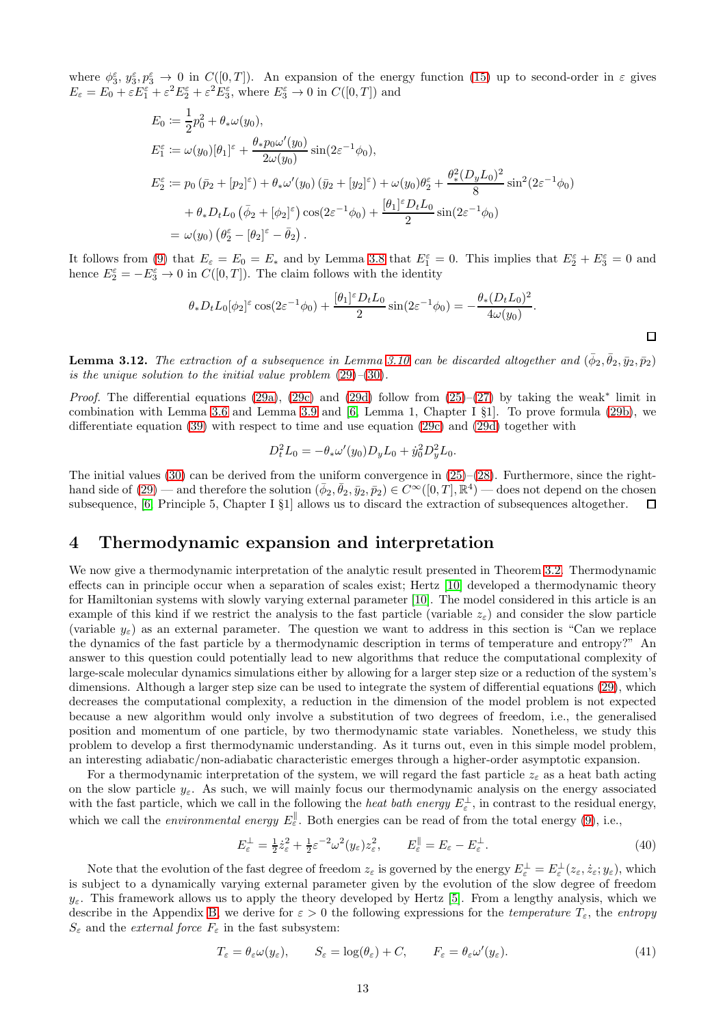where  $\phi_3^{\varepsilon}, y_3^{\varepsilon}, y_3^{\varepsilon} \to 0$  in  $C([0,T])$ . An expansion of the energy function [\(15\)](#page-5-7) up to second-order in  $\varepsilon$  gives  $E_{\varepsilon} = E_0 + \varepsilon E_1^{\varepsilon} + \varepsilon^2 E_2^{\varepsilon} + \varepsilon^2 E_3^{\varepsilon}$ , where  $E_3^{\varepsilon} \to 0$  in  $C([0, T])$  and

$$
E_0 := \frac{1}{2}p_0^2 + \theta_*\omega(y_0),
$$
  
\n
$$
E_1^{\varepsilon} := \omega(y_0)[\theta_1]^{\varepsilon} + \frac{\theta_* p_0 \omega'(y_0)}{2\omega(y_0)} \sin(2\varepsilon^{-1}\phi_0),
$$
  
\n
$$
E_2^{\varepsilon} := p_0 (\bar{p}_2 + [p_2]^{\varepsilon}) + \theta_*\omega'(y_0) (\bar{y}_2 + [y_2]^{\varepsilon}) + \omega(y_0)\theta_2^{\varepsilon} + \frac{\theta_*^2 (D_y L_0)^2}{8} \sin^2(2\varepsilon^{-1}\phi_0)
$$
  
\n
$$
+ \theta_* D_t L_0 (\bar{\phi}_2 + [\phi_2]^{\varepsilon}) \cos(2\varepsilon^{-1}\phi_0) + \frac{[\theta_1]^{\varepsilon} D_t L_0}{2} \sin(2\varepsilon^{-1}\phi_0)
$$
  
\n
$$
= \omega(y_0) (\theta_2^{\varepsilon} - [\theta_2]^{\varepsilon} - \bar{\theta}_2).
$$

It follows from [\(9\)](#page-3-0) that  $E_{\varepsilon} = E_0 = E_*$  and by Lemma [3.8](#page-10-1) that  $E_1^{\varepsilon} = 0$ . This implies that  $E_2^{\varepsilon} + E_3^{\varepsilon} = 0$  and hence  $E_2^{\varepsilon} = -E_3^{\varepsilon} \to 0$  in  $C([0, T])$ . The claim follows with the identity

$$
\theta_* D_t L_0[\phi_2]^\varepsilon \cos(2\varepsilon^{-1}\phi_0) + \frac{[\theta_1]^\varepsilon D_t L_0}{2} \sin(2\varepsilon^{-1}\phi_0) = -\frac{\theta_* (D_t L_0)^2}{4\omega(y_0)}.
$$

 $\Box$ 

**Lemma 3.12.** The extraction of a subsequence in Lemma [3.10](#page-11-0) can be discarded altogether and  $(\bar{\phi}_2, \bar{\theta}_2, \bar{y}_2, \bar{p}_2)$ is the unique solution to the initial value problem  $(29)$ – $(30)$ .

Proof. The differential equations [\(29a\)](#page-8-5), [\(29c\)](#page-8-1) and [\(29d\)](#page-8-2) follow from  $(25)-(27)$  $(25)-(27)$  by taking the weak\* limit in combination with Lemma [3.6](#page-9-1) and Lemma [3.9](#page-10-2) and [\[6,](#page-22-0) Lemma 1, Chapter I §1]. To prove formula [\(29b\)](#page-8-6), we differentiate equation [\(39\)](#page-11-3) with respect to time and use equation [\(29c\)](#page-8-1) and [\(29d\)](#page-8-2) together with

$$
D_t^2 L_0 = -\theta_* \omega'(y_0) D_y L_0 + \dot{y}_0^2 D_y^2 L_0.
$$

The initial values [\(30\)](#page-8-3) can be derived from the uniform convergence in  $(25)-(28)$  $(25)-(28)$ . Furthermore, since the righthand side of  $(29)$  — and therefore the solution  $(\bar{\phi}_2, \bar{\theta}_2, \bar{y}_2, \bar{p}_2) \in C^\infty([0,T], \mathbb{R}^4)$  — does not depend on the chosen subsequence, [\[6,](#page-22-0) Principle 5, Chapter I §1] allows us to discard the extraction of subsequences altogether.  $\Box$ 

## <span id="page-12-0"></span>4 Thermodynamic expansion and interpretation

We now give a thermodynamic interpretation of the analytic result presented in Theorem [3.2.](#page-7-0) Thermodynamic effects can in principle occur when a separation of scales exist; Hertz [\[10\]](#page-22-2) developed a thermodynamic theory for Hamiltonian systems with slowly varying external parameter [\[10\]](#page-22-2). The model considered in this article is an example of this kind if we restrict the analysis to the fast particle (variable  $z<sub>\epsilon</sub>$ ) and consider the slow particle (variable  $y_{\varepsilon}$ ) as an external parameter. The question we want to address in this section is "Can we replace the dynamics of the fast particle by a thermodynamic description in terms of temperature and entropy?" An answer to this question could potentially lead to new algorithms that reduce the computational complexity of large-scale molecular dynamics simulations either by allowing for a larger step size or a reduction of the system's dimensions. Although a larger step size can be used to integrate the system of differential equations (29), which decreases the computational complexity, a reduction in the dimension of the model problem is not expected because a new algorithm would only involve a substitution of two degrees of freedom, i.e., the generalised position and momentum of one particle, by two thermodynamic state variables. Nonetheless, we study this problem to develop a first thermodynamic understanding. As it turns out, even in this simple model problem, an interesting adiabatic/non-adiabatic characteristic emerges through a higher-order asymptotic expansion.

For a thermodynamic interpretation of the system, we will regard the fast particle  $z_{\varepsilon}$  as a heat bath acting on the slow particle  $y_{\varepsilon}$ . As such, we will mainly focus our thermodynamic analysis on the energy associated with the fast particle, which we call in the following the *heat bath energy*  $E_{\varepsilon}^{\perp}$ , in contrast to the residual energy, which we call the *environmental energy*  $E_{\varepsilon}^{\parallel}$ . Both energies can be read of from the total energy [\(9\)](#page-3-0), i.e.,

<span id="page-12-2"></span>
$$
E_{\varepsilon}^{\perp} = \frac{1}{2} \dot{z}_{\varepsilon}^2 + \frac{1}{2} \varepsilon^{-2} \omega^2 (y_{\varepsilon}) z_{\varepsilon}^2, \qquad E_{\varepsilon}^{\parallel} = E_{\varepsilon} - E_{\varepsilon}^{\perp}.
$$
 (40)

Note that the evolution of the fast degree of freedom  $z_{\varepsilon}$  is governed by the energy  $E_{\varepsilon}^{\perp} = E_{\varepsilon}^{\perp}(z_{\varepsilon}, \dot{z}_{\varepsilon}; y_{\varepsilon})$ , which is subject to a dynamically varying external parameter given by the evolution of the slow degree of freedom  $y_{\varepsilon}$ . This framework allows us to apply the theory developed by Hertz [\[5\]](#page-22-3). From a lengthy analysis, which we describe in the Appendix [B,](#page-18-0) we derive for  $\varepsilon > 0$  the following expressions for the *temperature*  $T_{\varepsilon}$ , the *entropy*  $S_{\varepsilon}$  and the  $external\; force\; \textit{F}_{\varepsilon}$  in the fast subsystem:

<span id="page-12-1"></span>
$$
T_{\varepsilon} = \theta_{\varepsilon} \omega(y_{\varepsilon}), \qquad S_{\varepsilon} = \log(\theta_{\varepsilon}) + C, \qquad F_{\varepsilon} = \theta_{\varepsilon} \omega'(y_{\varepsilon}). \tag{41}
$$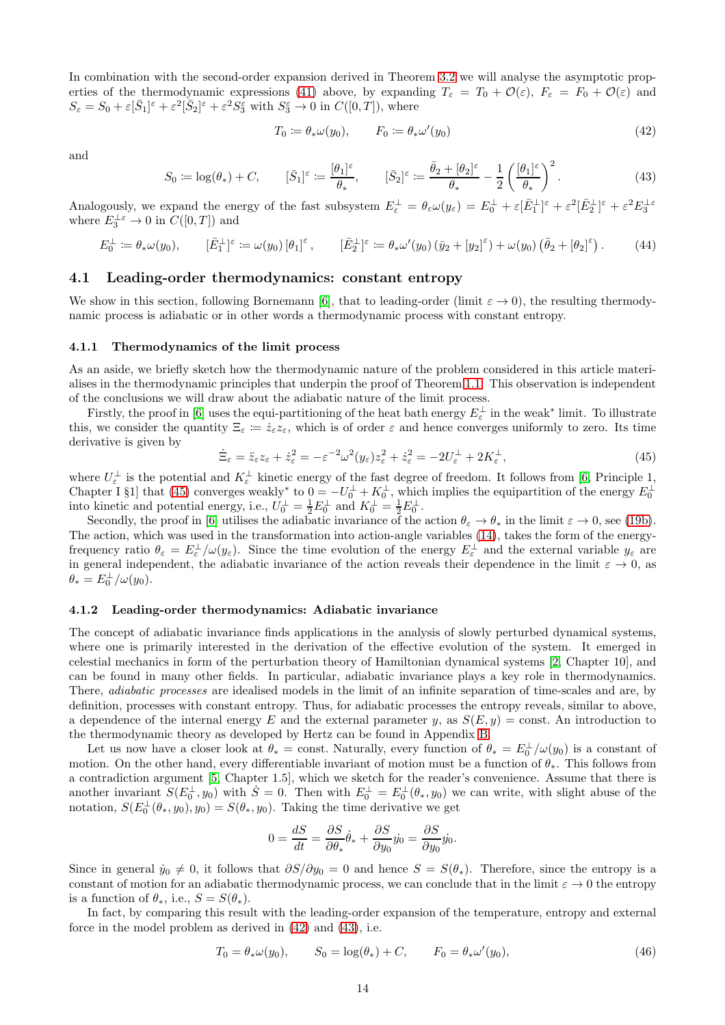In combination with the second-order expansion derived in Theorem [3.2](#page-7-0) we will analyse the asymptotic prop-erties of the thermodynamic expressions [\(41\)](#page-12-1) above, by expanding  $T_{\varepsilon} = T_0 + \mathcal{O}(\varepsilon)$ ,  $F_{\varepsilon} = F_0 + \mathcal{O}(\varepsilon)$  and  $S_{\varepsilon} = S_0 + \varepsilon [\bar{S}_1]^{\varepsilon} + \varepsilon^2 [\bar{S}_2]^{\varepsilon} + \varepsilon^2 S_3^{\varepsilon}$  with  $S_3^{\varepsilon} \to 0$  in  $C([0, T]),$  where

<span id="page-13-1"></span>
$$
T_0 := \theta_* \omega(y_0), \qquad F_0 := \theta_* \omega'(y_0) \tag{42}
$$

and

<span id="page-13-2"></span>
$$
S_0 := \log(\theta_*) + C, \qquad [\bar{S}_1]^\varepsilon := \frac{[\theta_1]^\varepsilon}{\theta_*}, \qquad [\bar{S}_2]^\varepsilon := \frac{\bar{\theta}_2 + [\theta_2]^\varepsilon}{\theta_*} - \frac{1}{2} \left( \frac{[\theta_1]^\varepsilon}{\theta_*} \right)^2. \tag{43}
$$

Analogously, we expand the energy of the fast subsystem  $E_{\varepsilon}^{\perp} = \theta_{\varepsilon} \omega(y_{\varepsilon}) = E_0^{\perp} + \varepsilon [\bar{E}_1^{\perp}]^{\varepsilon} + \varepsilon^2 [\bar{E}_2^{\perp}]^{\varepsilon} + \varepsilon^2 E_3^{\perp \varepsilon}$ where  $E_3^{\perp \varepsilon} \to 0$  in  $C([0,T])$  and

<span id="page-13-3"></span>
$$
E_0^{\perp} := \theta_* \omega(y_0), \qquad [\bar{E}_1^{\perp}]^{\varepsilon} := \omega(y_0) \left[\theta_1\right]^{\varepsilon}, \qquad [\bar{E}_2^{\perp}]^{\varepsilon} := \theta_* \omega'(y_0) \left(\bar{y}_2 + [y_2]^{\varepsilon}\right) + \omega(y_0) \left(\bar{\theta}_2 + [\theta_2]^{\varepsilon}\right). \tag{44}
$$

### 4.1 Leading-order thermodynamics: constant entropy

We show in this section, following Bornemann [\[6\]](#page-22-0), that to leading-order (limit  $\varepsilon \to 0$ ), the resulting thermodynamic process is adiabatic or in other words a thermodynamic process with constant entropy.

#### 4.1.1 Thermodynamics of the limit process

As an aside, we briefly sketch how the thermodynamic nature of the problem considered in this article materialises in the thermodynamic principles that underpin the proof of Theorem [1.1.](#page-3-1) This observation is independent of the conclusions we will draw about the adiabatic nature of the limit process.

Firstly, the proof in [\[6\]](#page-22-0) uses the equi-partitioning of the heat bath energy  $E_{\varepsilon}^{\perp}$  in the weak\* limit. To illustrate this, we consider the quantity  $\Xi_{\varepsilon} := \dot{z}_{\varepsilon} z_{\varepsilon}$ , which is of order  $\varepsilon$  and hence converges uniformly to zero. Its time derivative is given by

<span id="page-13-0"></span>
$$
\dot{\Xi}_{\varepsilon} = \ddot{z}_{\varepsilon} z_{\varepsilon} + \dot{z}_{\varepsilon}^2 = -\varepsilon^{-2} \omega^2 (y_{\varepsilon}) z_{\varepsilon}^2 + \dot{z}_{\varepsilon}^2 = -2U_{\varepsilon}^{\perp} + 2K_{\varepsilon}^{\perp},\tag{45}
$$

where  $U_{\varepsilon}^{\perp}$  is the potential and  $K_{\varepsilon}^{\perp}$  kinetic energy of the fast degree of freedom. It follows from [\[6,](#page-22-0) Principle 1, where  $U_{\varepsilon}$  is the potential and  $K_{\varepsilon}$  kinetic energy of the last degree of needom. It follows from [0, 1 finctple 1, Chapter I §1] that [\(45\)](#page-13-0) converges weakly\* to  $0 = -U_0^{\perp} + K_0^{\perp}$ , which implies the equipart

Secondly, the proof in [\[6\]](#page-22-0) utilises the adiabatic invariance of the action  $\theta_{\varepsilon} \to \theta_*$  in the limit  $\varepsilon \to 0$ , see [\(19b\)](#page-6-9). The action, which was used in the transformation into action-angle variables [\(14\)](#page-5-8), takes the form of the energyfrequency ratio  $\theta_{\varepsilon} = E_{\varepsilon}^{\perp}/\omega(y_{\varepsilon})$ . Since the time evolution of the energy  $E_{\varepsilon}^{\perp}$  and the external variable  $y_{\varepsilon}$  are in general independent, the adiabatic invariance of the action reveals their dependence in the limit  $\varepsilon \to 0$ , as  $\theta_* = E_0^{\perp}/\omega(y_0).$ 

#### 4.1.2 Leading-order thermodynamics: Adiabatic invariance

The concept of adiabatic invariance finds applications in the analysis of slowly perturbed dynamical systems, where one is primarily interested in the derivation of the effective evolution of the system. It emerged in celestial mechanics in form of the perturbation theory of Hamiltonian dynamical systems [\[2,](#page-22-9) Chapter 10], and can be found in many other fields. In particular, adiabatic invariance plays a key role in thermodynamics. There, *adiabatic processes* are idealised models in the limit of an infinite separation of time-scales and are, by definition, processes with constant entropy. Thus, for adiabatic processes the entropy reveals, similar to above, a dependence of the internal energy E and the external parameter y, as  $S(E, y) = \text{const.}$  An introduction to the thermodynamic theory as developed by Hertz can be found in Appendix [B.](#page-18-0)

Let us now have a closer look at  $\theta_* = \text{const.}$  Naturally, every function of  $\theta_* = E_0^{\perp}/\omega(y_0)$  is a constant of motion. On the other hand, every differentiable invariant of motion must be a function of  $\theta_*$ . This follows from a contradiction argument [\[5,](#page-22-3) Chapter 1.5], which we sketch for the reader's convenience. Assume that there is another invariant  $S(E_0^{\perp}, y_0)$  with  $S = 0$ . Then with  $E_0^{\perp} = E_0^{\perp}(\theta_*, y_0)$  we can write, with slight abuse of the notation,  $S(E_0^{\perp}(\theta_*, y_0), y_0) = S(\theta_*, y_0)$ . Taking the time derivative we get

$$
0 = \frac{dS}{dt} = \frac{\partial S}{\partial \theta_*} \dot{\theta}_* + \frac{\partial S}{\partial y_0} \dot{y}_0 = \frac{\partial S}{\partial y_0} \dot{y}_0.
$$

Since in general  $\dot{y}_0 \neq 0$ , it follows that  $\partial S/\partial y_0 = 0$  and hence  $S = S(\theta_*)$ . Therefore, since the entropy is a constant of motion for an adiabatic thermodynamic process, we can conclude that in the limit  $\varepsilon \to 0$  the entropy is a function of  $\theta_*$ , i.e.,  $S = S(\theta_*)$ .

In fact, by comparing this result with the leading-order expansion of the temperature, entropy and external force in the model problem as derived in [\(42\)](#page-13-1) and [\(43\)](#page-13-2), i.e.

<span id="page-13-4"></span>
$$
T_0 = \theta_* \omega(y_0), \qquad S_0 = \log(\theta_*) + C, \qquad F_0 = \theta_* \omega'(y_0), \tag{46}
$$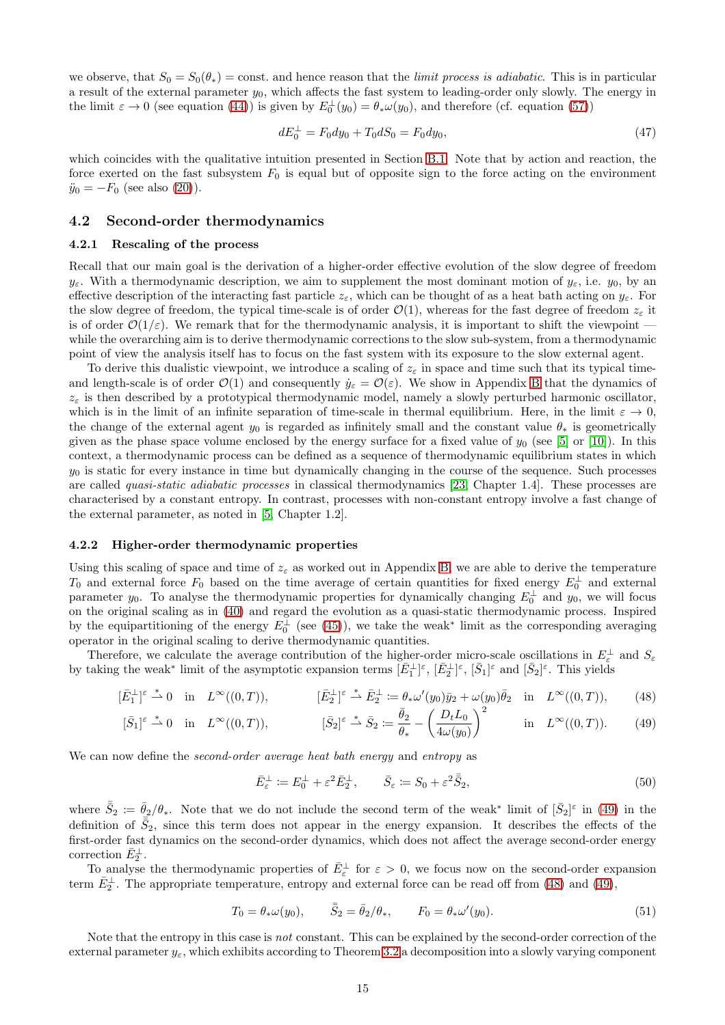we observe, that  $S_0 = S_0(\theta_*)$  = const. and hence reason that the *limit process is adiabatic*. This is in particular a result of the external parameter  $y_0$ , which affects the fast system to leading-order only slowly. The energy in the limit  $\varepsilon \to 0$  (see equation [\(44\)](#page-13-3)) is given by  $E_0^{\perp}(y_0) = \theta_* \omega(y_0)$ , and therefore (cf. equation [\(57\)](#page-18-1))

<span id="page-14-2"></span>
$$
dE_0^{\perp} = F_0 dy_0 + T_0 dS_0 = F_0 dy_0, \tag{47}
$$

which coincides with the qualitative intuition presented in Section [B.1.](#page-18-2) Note that by action and reaction, the force exerted on the fast subsystem  $F_0$  is equal but of opposite sign to the force acting on the environment  $\ddot{y}_0 = -F_0$  (see also [\(20\)](#page-6-8)).

### 4.2 Second-order thermodynamics

#### 4.2.1 Rescaling of the process

Recall that our main goal is the derivation of a higher-order effective evolution of the slow degree of freedom  $y_{\varepsilon}$ . With a thermodynamic description, we aim to supplement the most dominant motion of  $y_{\varepsilon}$ , i.e.  $y_0$ , by an effective description of the interacting fast particle  $z_{\varepsilon}$ , which can be thought of as a heat bath acting on  $y_{\varepsilon}$ . For the slow degree of freedom, the typical time-scale is of order  $\mathcal{O}(1)$ , whereas for the fast degree of freedom  $z_{\varepsilon}$  it is of order  $\mathcal{O}(1/\varepsilon)$ . We remark that for the thermodynamic analysis, it is important to shift the viewpoint while the overarching aim is to derive thermodynamic corrections to the slow sub-system, from a thermodynamic point of view the analysis itself has to focus on the fast system with its exposure to the slow external agent.

To derive this dualistic viewpoint, we introduce a scaling of  $z_{\varepsilon}$  in space and time such that its typical timeand length-scale is of order  $\mathcal{O}(1)$  and consequently  $\dot{y}_{\varepsilon} = \mathcal{O}(\varepsilon)$ . We show in Appendix [B](#page-18-0) that the dynamics of  $z_{\varepsilon}$  is then described by a prototypical thermodynamic model, namely a slowly perturbed harmonic oscillator, which is in the limit of an infinite separation of time-scale in thermal equilibrium. Here, in the limit  $\varepsilon \to 0$ , the change of the external agent  $y_0$  is regarded as infinitely small and the constant value  $\theta_*$  is geometrically given as the phase space volume enclosed by the energy surface for a fixed value of  $y_0$  (see [\[5\]](#page-22-3) or [\[10\]](#page-22-2)). In this context, a thermodynamic process can be defined as a sequence of thermodynamic equilibrium states in which  $y_0$  is static for every instance in time but dynamically changing in the course of the sequence. Such processes are called quasi-static adiabatic processes in classical thermodynamics [\[23,](#page-23-1) Chapter 1.4]. These processes are characterised by a constant entropy. In contrast, processes with non-constant entropy involve a fast change of the external parameter, as noted in [\[5,](#page-22-3) Chapter 1.2].

#### 4.2.2 Higher-order thermodynamic properties

Using this scaling of space and time of  $z_{\varepsilon}$  as worked out in Appendix [B,](#page-18-0) we are able to derive the temperature  $T_0$  and external force  $F_0$  based on the time average of certain quantities for fixed energy  $E_0^{\perp}$  and external parameter  $y_0$ . To analyse the thermodynamic properties for dynamically changing  $E_0^{\perp}$  and  $y_0$ , we will focus on the original scaling as in [\(40\)](#page-12-2) and regard the evolution as a quasi-static thermodynamic process. Inspired by the equipartitioning of the energy  $E_0^{\perp}$  (see [\(45\)](#page-13-0)), we take the weak<sup>\*</sup> limit as the corresponding averaging operator in the original scaling to derive thermodynamic quantities.

Therefore, we calculate the average contribution of the higher-order micro-scale oscillations in  $E_{\varepsilon}^{\perp}$  and  $S_{\varepsilon}$ by taking the weak<sup>\*</sup> limit of the asymptotic expansion terms  $[\bar{E}_1^{\perp}]^{\varepsilon}$ ,  $[\bar{E}_2^{\perp}]^{\varepsilon}$ ,  $[\bar{S}_1]^{\varepsilon}$  and  $[\bar{S}_2]^{\varepsilon}$ . This yields

$$
[\bar{E}_1^{\perp}]^{\varepsilon} \stackrel{*}{\rightharpoonup} 0 \quad \text{in} \quad L^{\infty}((0,T)), \qquad [\bar{E}_2^{\perp}]^{\varepsilon} \stackrel{*}{\rightharpoonup} \bar{E}_2^{\perp} := \theta_* \omega'(y_0) \bar{y}_2 + \omega(y_0) \bar{\theta}_2 \quad \text{in} \quad L^{\infty}((0,T)), \qquad (48)
$$

$$
[\bar{S}_1]^{\varepsilon} \stackrel{*}{\rightharpoonup} 0 \quad \text{in} \quad L^{\infty}((0,T)), \qquad [\bar{S}_2]^{\varepsilon} \stackrel{*}{\rightharpoonup} \bar{S}_2 \coloneqq \frac{\bar{\theta}_2}{\theta_*} - \left(\frac{D_t L_0}{4\omega(y_0)}\right)^2 \qquad \text{in} \quad L^{\infty}((0,T)). \tag{49}
$$

We can now define the *second-order average heat bath energy* and *entropy* as

<span id="page-14-1"></span><span id="page-14-0"></span>
$$
\bar{E}_{\varepsilon}^{\perp} := E_0^{\perp} + \varepsilon^2 \bar{E}_2^{\perp}, \qquad \bar{S}_{\varepsilon} := S_0 + \varepsilon^2 \bar{S}_2,\tag{50}
$$

where  $\bar{S}_2 := \bar{\theta}_2/\theta_*$ . Note that we do not include the second term of the weak\* limit of  $[\bar{S}_2]^{\varepsilon}$  in [\(49\)](#page-14-0) in the definition of  $\bar{S}_2$ , since this term does not appear in the energy expansion. It describes the effects of the first-order fast dynamics on the second-order dynamics, which does not affect the average second-order energy correction  $\bar{E}_2^{\perp}$ .

To analyse the thermodynamic properties of  $\bar{E}^{\perp}_{\varepsilon}$  for  $\varepsilon > 0$ , we focus now on the second-order expansion term  $\bar{E}_2^{\perp}$ . The appropriate temperature, entropy and external force can be read off from [\(48\)](#page-14-1) and [\(49\)](#page-14-0),

<span id="page-14-3"></span>
$$
T_0 = \theta_* \omega(y_0), \qquad \bar{S}_2 = \bar{\theta}_2/\theta_*, \qquad F_0 = \theta_* \omega'(y_0). \tag{51}
$$

Note that the entropy in this case is not constant. This can be explained by the second-order correction of the external parameter  $y_{\varepsilon}$ , which exhibits according to Theorem [3.2](#page-7-0) a decomposition into a slowly varying component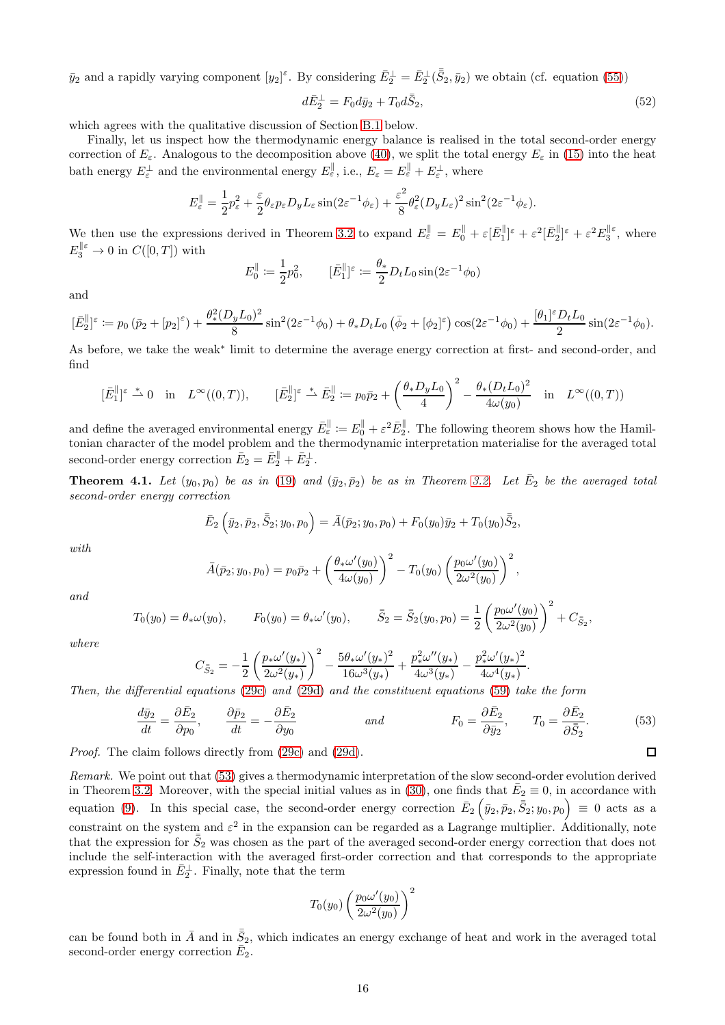$\bar{y}_2$  and a rapidly varying component  $[y_2]^{\varepsilon}$ . By considering  $\bar{E}_2^{\perp} = \bar{E}_2^{\perp}(\bar{S}_2, \bar{y}_2)$  we obtain (cf. equation [\(55\)](#page-18-3))

<span id="page-15-2"></span>
$$
d\bar{E}_2^{\perp} = F_0 d\bar{y}_2 + T_0 d\bar{S}_2,\tag{52}
$$

which agrees with the qualitative discussion of Section [B.1](#page-18-2) below.

Finally, let us inspect how the thermodynamic energy balance is realised in the total second-order energy correction of  $E_{\varepsilon}$ . Analogous to the decomposition above [\(40\)](#page-12-2), we split the total energy  $E_{\varepsilon}$  in [\(15\)](#page-5-7) into the heat bath energy  $E_{\varepsilon}^{\perp}$  and the environmental energy  $E_{\varepsilon}^{\parallel}$ , i.e.,  $E_{\varepsilon} = E_{\varepsilon}^{\parallel} + E_{\varepsilon}^{\perp}$ , where

$$
E_{\varepsilon}^{\parallel} = \frac{1}{2} p_{\varepsilon}^2 + \frac{\varepsilon}{2} \theta_{\varepsilon} p_{\varepsilon} D_y L_{\varepsilon} \sin(2\varepsilon^{-1} \phi_{\varepsilon}) + \frac{\varepsilon^2}{8} \theta_{\varepsilon}^2 (D_y L_{\varepsilon})^2 \sin^2(2\varepsilon^{-1} \phi_{\varepsilon}).
$$

We then use the expressions derived in Theorem [3.2](#page-7-0) to expand  $E_{\varepsilon}^{\parallel} = E_0^{\parallel} + \varepsilon [\bar{E}_1^{\parallel}]^{\varepsilon} + \varepsilon^2 [\bar{E}_2^{\parallel}]^{\varepsilon} + \varepsilon^2 E_3^{\parallel \varepsilon}$ , where  $E_3^{\parallel \varepsilon} \to 0$  in  $C([0,T])$  with

$$
E_0^{\parallel} := \frac{1}{2}p_0^2, \qquad [\bar{E}_1^{\parallel}]^{\varepsilon} := \frac{\theta_*}{2} D_t L_0 \sin(2\varepsilon^{-1} \phi_0)
$$

and

$$
[\bar{E}_2^{\parallel}]^{\varepsilon} := p_0 (\bar{p}_2 + [p_2]^{\varepsilon}) + \frac{\theta_*^2 (D_y L_0)^2}{8} \sin^2(2\varepsilon^{-1} \phi_0) + \theta_* D_t L_0 (\bar{\phi}_2 + [\phi_2]^{\varepsilon}) \cos(2\varepsilon^{-1} \phi_0) + \frac{[\theta_1]^{\varepsilon} D_t L_0}{2} \sin(2\varepsilon^{-1} \phi_0).
$$

As before, we take the weak<sup>∗</sup> limit to determine the average energy correction at first- and second-order, and find

$$
[\bar{E}_1^{\parallel}]^{\varepsilon} \stackrel{*}{\rightharpoonup} 0 \quad \text{in} \quad L^{\infty}((0,T)), \qquad [\bar{E}_2^{\parallel}]^{\varepsilon} \stackrel{*}{\rightharpoonup} \bar{E}_2^{\parallel} := p_0 \bar{p}_2 + \left(\frac{\theta_* D_y L_0}{4}\right)^2 - \frac{\theta_* (D_t L_0)^2}{4\omega(y_0)} \quad \text{in} \quad L^{\infty}((0,T))
$$

and define the averaged environmental energy  $\bar{E}_{\varepsilon}^{\parallel} := E_0^{\parallel} + \varepsilon^2 \bar{E}_2^{\parallel}$ . The following theorem shows how the Hamiltonian character of the model problem and the thermodynamic interpretation materialise for the averaged total second-order energy correction  $\bar{E}_2 = \bar{E}_2^{\parallel} + \bar{E}_2^{\perp}$ .

<span id="page-15-0"></span>**Theorem 4.1.** Let  $(y_0, p_0)$  be as in (19) and  $(\bar{y}_2, \bar{p}_2)$  be as in Theorem [3.2.](#page-7-0) Let  $\bar{E}_2$  be the averaged total second-order energy correction

$$
\bar{E}_2\left(\bar{y}_2,\bar{p}_2,\bar{\bar{S}}_2;y_0,p_0\right)=\bar{A}(\bar{p}_2;y_0,p_0)+F_0(y_0)\bar{y}_2+T_0(y_0)\bar{\bar{S}}_2,
$$

with

$$
\bar{A}(\bar{p}_2; y_0, p_0) = p_0 \bar{p}_2 + \left(\frac{\theta_* \omega'(y_0)}{4\omega(y_0)}\right)^2 - T_0(y_0) \left(\frac{p_0 \omega'(y_0)}{2\omega^2(y_0)}\right)^2,
$$

and

$$
T_0(y_0) = \theta_* \omega(y_0), \qquad F_0(y_0) = \theta_* \omega'(y_0), \qquad \bar{\bar{S}}_2 = \bar{\bar{S}}_2(y_0, p_0) = \frac{1}{2} \left( \frac{p_0 \omega'(y_0)}{2 \omega^2(y_0)} \right)^2 + C_{\bar{S}_2},
$$

where

$$
C_{\bar{S}_2} = -\frac{1}{2}\left(\frac{p_*\omega'(y_*)}{2\omega^2(y_*)}\right)^2 - \frac{5\theta_*\omega'(y_*)^2}{16\omega^3(y_*)} + \frac{p_*^2\omega''(y_*)}{4\omega^3(y_*)} - \frac{p_*^2\omega'(y_*)^2}{4\omega^4(y_*)}
$$

Then, the differential equations [\(29c\)](#page-8-1) and [\(29d\)](#page-8-2) and the constituent equations [\(59\)](#page-18-4) take the form

$$
\frac{d\bar{y}_2}{dt} = \frac{\partial \bar{E}_2}{\partial p_0}, \qquad \frac{\partial \bar{p}_2}{dt} = -\frac{\partial \bar{E}_2}{\partial y_0} \qquad \text{and} \qquad F_0 = \frac{\partial \bar{E}_2}{\partial \bar{y}_2}, \qquad T_0 = \frac{\partial \bar{E}_2}{\partial \bar{S}_2}.\tag{53}
$$

.

<span id="page-15-1"></span> $\Box$ 

Proof. The claim follows directly from [\(29c\)](#page-8-1) and [\(29d\)](#page-8-2).

Remark. We point out that [\(53\)](#page-15-1) gives a thermodynamic interpretation of the slow second-order evolution derived in Theorem [3.2.](#page-7-0) Moreover, with the special initial values as in [\(30\)](#page-8-3), one finds that  $\bar{E}_2 \equiv 0$ , in accordance with equation [\(9\)](#page-3-0). In this special case, the second-order energy correction  $\bar{E}_2(\bar{y}_2, \bar{p}_2, \bar{S}_2; y_0, p_0) \equiv 0$  acts as a constraint on the system and  $\varepsilon^2$  in the expansion can be regarded as a Lagrange multiplier. Additionally, note that the expression for  $\bar{S}_2$  was chosen as the part of the averaged second-order energy correction that does not include the self-interaction with the averaged first-order correction and that corresponds to the appropriate expression found in  $\bar{E}_2^{\perp}$ . Finally, note that the term

$$
T_0(y_0)\left(\frac{p_0\omega'(y_0)}{2\omega^2(y_0)}\right)^2
$$

can be found both in  $\bar{A}$  and in  $\bar{S}_2$ , which indicates an energy exchange of heat and work in the averaged total second-order energy correction  $\bar{E}_2$ .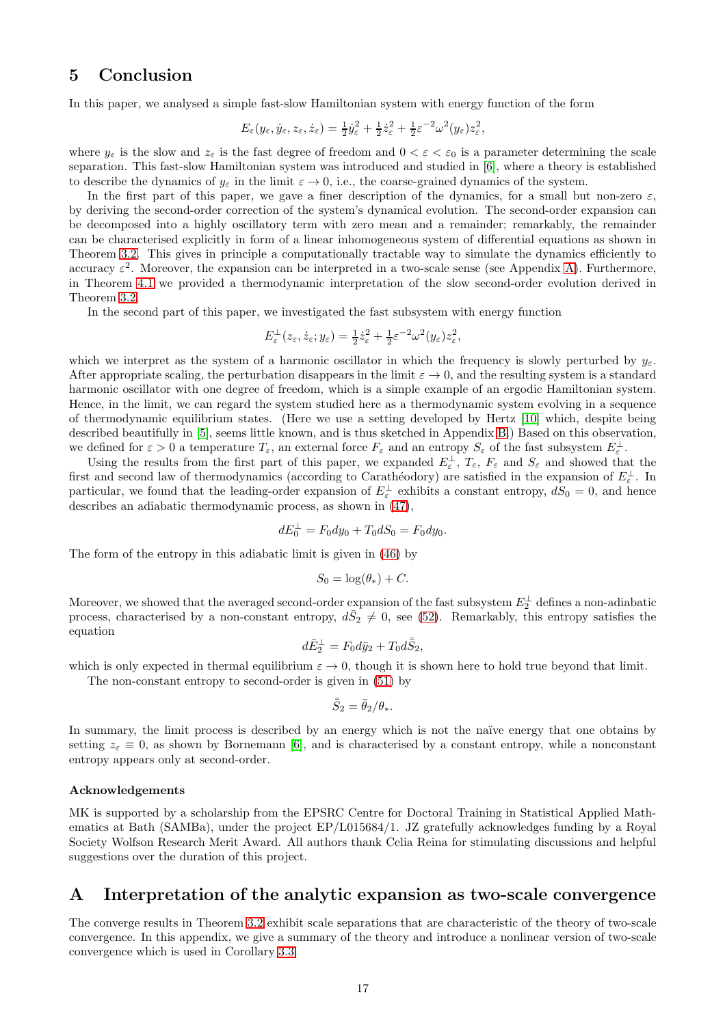## 5 Conclusion

In this paper, we analysed a simple fast-slow Hamiltonian system with energy function of the form

$$
E_{\varepsilon}(y_{\varepsilon}, \dot{y}_{\varepsilon}, z_{\varepsilon}, \dot{z}_{\varepsilon}) = \frac{1}{2} \dot{y}_{\varepsilon}^2 + \frac{1}{2} \dot{z}_{\varepsilon}^2 + \frac{1}{2} \varepsilon^{-2} \omega^2(y_{\varepsilon}) z_{\varepsilon}^2,
$$

where  $y_{\varepsilon}$  is the slow and  $z_{\varepsilon}$  is the fast degree of freedom and  $0 < \varepsilon < \varepsilon_0$  is a parameter determining the scale separation. This fast-slow Hamiltonian system was introduced and studied in [\[6\]](#page-22-0), where a theory is established to describe the dynamics of  $y_{\varepsilon}$  in the limit  $\varepsilon \to 0$ , i.e., the coarse-grained dynamics of the system.

In the first part of this paper, we gave a finer description of the dynamics, for a small but non-zero  $\varepsilon$ , by deriving the second-order correction of the system's dynamical evolution. The second-order expansion can be decomposed into a highly oscillatory term with zero mean and a remainder; remarkably, the remainder can be characterised explicitly in form of a linear inhomogeneous system of differential equations as shown in Theorem [3.2.](#page-7-0) This gives in principle a computationally tractable way to simulate the dynamics efficiently to accuracy  $\varepsilon^2$ . Moreover, the expansion can be interpreted in a two-scale sense (see Appendix [A\)](#page-16-0). Furthermore, in Theorem [4.1](#page-15-0) we provided a thermodynamic interpretation of the slow second-order evolution derived in Theorem [3.2.](#page-7-0)

In the second part of this paper, we investigated the fast subsystem with energy function

$$
E_{\varepsilon}^{\perp}(z_{\varepsilon}, \dot{z}_{\varepsilon}; y_{\varepsilon}) = \frac{1}{2}\dot{z}_{\varepsilon}^2 + \frac{1}{2}\varepsilon^{-2}\omega^2(y_{\varepsilon})z_{\varepsilon}^2,
$$

which we interpret as the system of a harmonic oscillator in which the frequency is slowly perturbed by  $y_{\varepsilon}$ . After appropriate scaling, the perturbation disappears in the limit  $\varepsilon \to 0$ , and the resulting system is a standard harmonic oscillator with one degree of freedom, which is a simple example of an ergodic Hamiltonian system. Hence, in the limit, we can regard the system studied here as a thermodynamic system evolving in a sequence of thermodynamic equilibrium states. (Here we use a setting developed by Hertz [\[10\]](#page-22-2) which, despite being described beautifully in [\[5\]](#page-22-3), seems little known, and is thus sketched in Appendix [B.](#page-18-0)) Based on this observation, we defined for  $\varepsilon > 0$  a temperature  $T_{\varepsilon}$ , an external force  $F_{\varepsilon}$  and an entropy  $S_{\varepsilon}$  of the fast subsystem  $E_{\varepsilon}^{\perp}$ .

Using the results from the first part of this paper, we expanded  $E_{\varepsilon}^{\perp}$ ,  $T_{\varepsilon}$ ,  $F_{\varepsilon}$  and  $S_{\varepsilon}$  and showed that the first and second law of thermodynamics (according to Carathéodory) are satisfied in the expansion of  $E_{\varepsilon}^{\perp}$ . In particular, we found that the leading-order expansion of  $E_{\varepsilon}^{\perp}$  exhibits a constant entropy,  $dS_0 = 0$ , and hence describes an adiabatic thermodynamic process, as shown in [\(47\)](#page-14-2),

$$
dE_0^{\perp} = F_0 dy_0 + T_0 dS_0 = F_0 dy_0.
$$

The form of the entropy in this adiabatic limit is given in [\(46\)](#page-13-4) by

$$
S_0 = \log(\theta_*) + C.
$$

Moreover, we showed that the averaged second-order expansion of the fast subsystem  $E_2^{\perp}$  defines a non-adiabatic process, characterised by a non-constant entropy,  $d\bar{S}_2 \neq 0$ , see [\(52\)](#page-15-2). Remarkably, this entropy satisfies the equation

$$
d\bar{E}_2^{\perp} = F_0 d\bar{y}_2 + T_0 d\bar{\bar{S}}_2,
$$

which is only expected in thermal equilibrium  $\varepsilon \to 0$ , though it is shown here to hold true beyond that limit.

The non-constant entropy to second-order is given in [\(51\)](#page-14-3) by

$$
\bar{\bar{S}}_2 = \bar{\theta}_2/\theta_*
$$

In summary, the limit process is described by an energy which is not the naïve energy that one obtains by setting  $z_{\varepsilon} \equiv 0$ , as shown by Bornemann [\[6\]](#page-22-0), and is characterised by a constant entropy, while a nonconstant entropy appears only at second-order.

#### Acknowledgements

MK is supported by a scholarship from the EPSRC Centre for Doctoral Training in Statistical Applied Mathematics at Bath (SAMBa), under the project EP/L015684/1. JZ gratefully acknowledges funding by a Royal Society Wolfson Research Merit Award. All authors thank Celia Reina for stimulating discussions and helpful suggestions over the duration of this project.

## <span id="page-16-0"></span>A Interpretation of the analytic expansion as two-scale convergence

The converge results in Theorem [3.2](#page-7-0) exhibit scale separations that are characteristic of the theory of two-scale convergence. In this appendix, we give a summary of the theory and introduce a nonlinear version of two-scale convergence which is used in Corollary [3.3.](#page-8-7)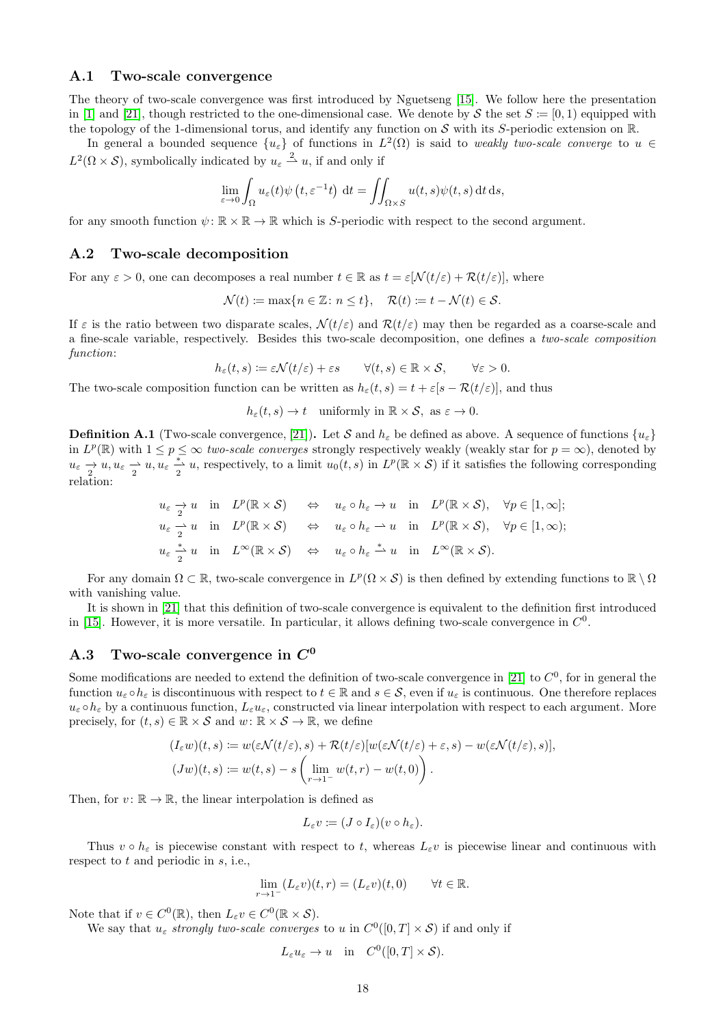## A.1 Two-scale convergence

The theory of two-scale convergence was first introduced by Nguetseng [\[15\]](#page-23-8). We follow here the presentation in [\[1\]](#page-22-11) and [\[21\]](#page-23-6), though restricted to the one-dimensional case. We denote by S the set  $S = [0, 1)$  equipped with the topology of the 1-dimensional torus, and identify any function on S with its S-periodic extension on  $\mathbb{R}$ .

In general a bounded sequence  $\{u_{\varepsilon}\}\$  of functions in  $L^2(\Omega)$  is said to weakly two-scale converge to  $u \in$  $L^2(\Omega \times \mathcal{S})$ , symbolically indicated by  $u_{\varepsilon} \stackrel{2}{\rightharpoonup} u$ , if and only if

$$
\lim_{\varepsilon \to 0} \int_{\Omega} u_{\varepsilon}(t) \psi(t, \varepsilon^{-1}t) dt = \iint_{\Omega \times S} u(t, s) \psi(t, s) dt ds,
$$

for any smooth function  $\psi: \mathbb{R} \times \mathbb{R} \to \mathbb{R}$  which is S-periodic with respect to the second argument.

#### A.2 Two-scale decomposition

For any  $\varepsilon > 0$ , one can decomposes a real number  $t \in \mathbb{R}$  as  $t = \varepsilon[\mathcal{N}(t/\varepsilon) + \mathcal{R}(t/\varepsilon)]$ , where

$$
\mathcal{N}(t) := \max\{n \in \mathbb{Z} \colon n \le t\}, \quad \mathcal{R}(t) := t - \mathcal{N}(t) \in \mathcal{S}.
$$

If  $\varepsilon$  is the ratio between two disparate scales,  $\mathcal{N}(t/\varepsilon)$  and  $\mathcal{R}(t/\varepsilon)$  may then be regarded as a coarse-scale and a fine-scale variable, respectively. Besides this two-scale decomposition, one defines a two-scale composition function:

$$
h_{\varepsilon}(t,s) := \varepsilon \mathcal{N}(t/\varepsilon) + \varepsilon s \qquad \forall (t,s) \in \mathbb{R} \times \mathcal{S}, \qquad \forall \varepsilon > 0.
$$

The two-scale composition function can be written as  $h_{\varepsilon}(t, s) = t + \varepsilon [s - \mathcal{R}(t/\varepsilon)]$ , and thus

 $h_{\varepsilon}(t,s) \to t$  uniformly in  $\mathbb{R} \times S$ , as  $\varepsilon \to 0$ .

**Definition A.1** (Two-scale convergence, [\[21\]](#page-23-6)). Let S and  $h_{\varepsilon}$  be defined as above. A sequence of functions  $\{u_{\varepsilon}\}\$ in  $L^p(\mathbb{R})$  with  $1 \leq p \leq \infty$  two-scale converges strongly respectively weakly (weakly star for  $p = \infty$ ), denoted by  $u_{\varepsilon} \to u, u_{\varepsilon} \to u, u_{\varepsilon} \to u$ , respectively, to a limit  $u_0(t, s)$  in  $L^p(\mathbb{R} \times S)$  if it satisfies the following corresponding relation:

$$
u_{\varepsilon} \to u \quad \text{in} \quad L^p(\mathbb{R} \times \mathcal{S}) \quad \Leftrightarrow \quad u_{\varepsilon} \circ h_{\varepsilon} \to u \quad \text{in} \quad L^p(\mathbb{R} \times \mathcal{S}), \quad \forall p \in [1, \infty];
$$
  
\n
$$
u_{\varepsilon} \to u \quad \text{in} \quad L^p(\mathbb{R} \times \mathcal{S}) \quad \Leftrightarrow \quad u_{\varepsilon} \circ h_{\varepsilon} \to u \quad \text{in} \quad L^p(\mathbb{R} \times \mathcal{S}), \quad \forall p \in [1, \infty);
$$
  
\n
$$
u_{\varepsilon} \stackrel{*}{\to} u \quad \text{in} \quad L^{\infty}(\mathbb{R} \times \mathcal{S}) \quad \Leftrightarrow \quad u_{\varepsilon} \circ h_{\varepsilon} \stackrel{*}{\to} u \quad \text{in} \quad L^{\infty}(\mathbb{R} \times \mathcal{S}).
$$

For any domain  $\Omega \subset \mathbb{R}$ , two-scale convergence in  $L^p(\Omega \times \mathcal{S})$  is then defined by extending functions to  $\mathbb{R} \setminus \Omega$ with vanishing value.

It is shown in [\[21\]](#page-23-6) that this definition of two-scale convergence is equivalent to the definition first introduced in [\[15\]](#page-23-8). However, it is more versatile. In particular, it allows defining two-scale convergence in  $C^0$ .

## A.3 Two-scale convergence in  $C^0$

Some modifications are needed to extend the definition of two-scale convergence in [\[21\]](#page-23-6) to  $C^0$ , for in general the function  $u_{\varepsilon} \circ h_{\varepsilon}$  is discontinuous with respect to  $t \in \mathbb{R}$  and  $s \in \mathcal{S}$ , even if  $u_{\varepsilon}$  is continuous. One therefore replaces  $u_{\varepsilon} \circ h_{\varepsilon}$  by a continuous function,  $L_{\varepsilon}u_{\varepsilon}$ , constructed via linear interpolation with respect to each argument. More precisely, for  $(t, s) \in \mathbb{R} \times S$  and  $w: \mathbb{R} \times S \to \mathbb{R}$ , we define

$$
(I_{\varepsilon}w)(t,s) := w(\varepsilon \mathcal{N}(t/\varepsilon),s) + \mathcal{R}(t/\varepsilon)[w(\varepsilon \mathcal{N}(t/\varepsilon) + \varepsilon,s) - w(\varepsilon \mathcal{N}(t/\varepsilon),s)],
$$
  

$$
(Jw)(t,s) := w(t,s) - s\left(\lim_{r\to 1^-} w(t,r) - w(t,0)\right).
$$

Then, for  $v: \mathbb{R} \to \mathbb{R}$ , the linear interpolation is defined as

$$
L_{\varepsilon}v\coloneqq (J\circ I_{\varepsilon})(v\circ h_{\varepsilon}).
$$

Thus  $v \circ h_{\varepsilon}$  is piecewise constant with respect to t, whereas  $L_{\varepsilon}v$  is piecewise linear and continuous with respect to t and periodic in s, i.e.,

$$
\lim_{r \to 1^-} (L_{\varepsilon} v)(t, r) = (L_{\varepsilon} v)(t, 0) \qquad \forall t \in \mathbb{R}.
$$

Note that if  $v \in C^0(\mathbb{R})$ , then  $L_{\varepsilon}v \in C^0(\mathbb{R} \times S)$ .

We say that  $u_{\varepsilon}$  strongly two-scale converges to u in  $C^0([0,T] \times S)$  if and only if

$$
L_{\varepsilon}u_{\varepsilon} \to u \quad \text{in} \quad C^0([0,T] \times \mathcal{S}).
$$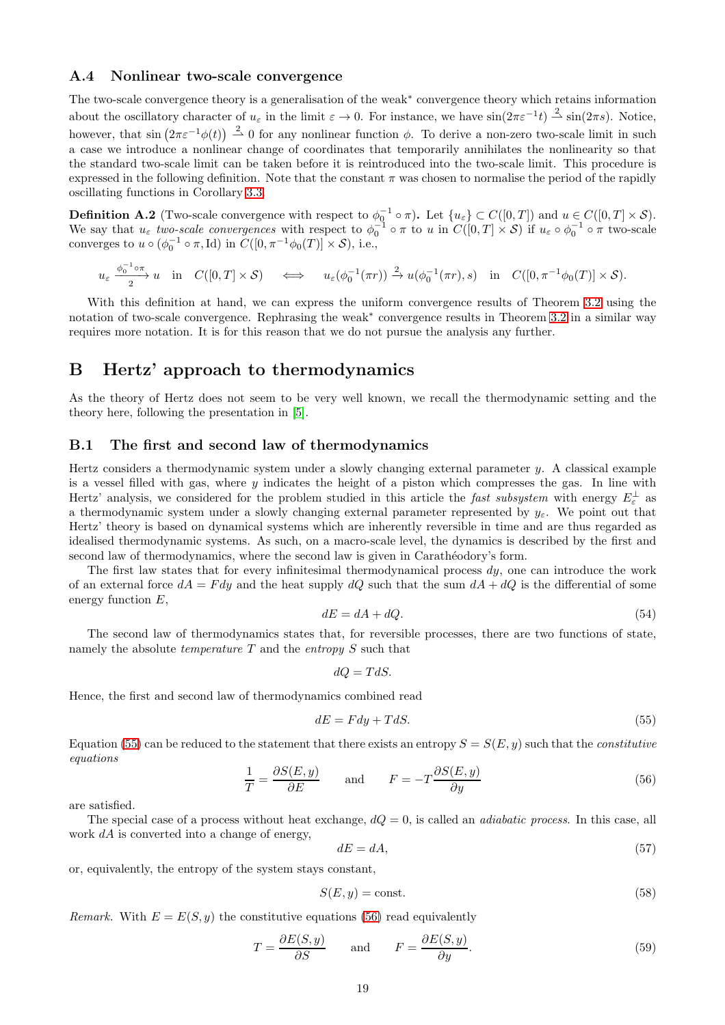## A.4 Nonlinear two-scale convergence

The two-scale convergence theory is a generalisation of the weak<sup>∗</sup> convergence theory which retains information about the oscillatory character of  $u_{\varepsilon}$  in the limit  $\varepsilon \to 0$ . For instance, we have  $\sin(2\pi \varepsilon^{-1}t) \stackrel{2}{\rightharpoonup} \sin(2\pi s)$ . Notice, however, that  $\sin(2\pi \varepsilon^{-1} \phi(t)) \stackrel{2}{\rightharpoonup} 0$  for any nonlinear function  $\phi$ . To derive a non-zero two-scale limit in such a case we introduce a nonlinear change of coordinates that temporarily annihilates the nonlinearity so that the standard two-scale limit can be taken before it is reintroduced into the two-scale limit. This procedure is expressed in the following definition. Note that the constant  $\pi$  was chosen to normalise the period of the rapidly oscillating functions in Corollary [3.3.](#page-8-7)

**Definition A.2** (Two-scale convergence with respect to  $\phi_0^{-1} \circ \pi$ ). Let  $\{u_{\varepsilon}\} \subset C([0,T])$  and  $u \in C([0,T] \times S)$ . We say that  $u_{\varepsilon}$  two-scale convergences with respect to  $\phi_0^{-1} \circ \pi$  to u in  $C([0,T] \times S)$  if  $u_{\varepsilon} \circ \phi_0^{-1} \circ \pi$  two-scale converges to  $u \circ (\phi_0^{-1} \circ \pi, \text{Id})$  in  $C([0, \pi^{-1} \phi_0(T)] \times S)$ , i.e.,

$$
u_{\varepsilon} \xrightarrow{\phi_0^{-1} \circ \pi} u \quad \text{in} \quad C([0,T] \times \mathcal{S}) \quad \iff \quad u_{\varepsilon}(\phi_0^{-1}(\pi r)) \xrightarrow{2} u(\phi_0^{-1}(\pi r), s) \quad \text{in} \quad C([0,\pi^{-1} \phi_0(T)] \times \mathcal{S}).
$$

With this definition at hand, we can express the uniform convergence results of Theorem [3.2](#page-7-0) using the notation of two-scale convergence. Rephrasing the weak<sup>∗</sup> convergence results in Theorem [3.2](#page-7-0) in a similar way requires more notation. It is for this reason that we do not pursue the analysis any further.

## <span id="page-18-0"></span>B Hertz' approach to thermodynamics

As the theory of Hertz does not seem to be very well known, we recall the thermodynamic setting and the theory here, following the presentation in [\[5\]](#page-22-3).

## <span id="page-18-2"></span>B.1 The first and second law of thermodynamics

Hertz considers a thermodynamic system under a slowly changing external parameter y. A classical example is a vessel filled with gas, where y indicates the height of a piston which compresses the gas. In line with Hertz' analysis, we considered for the problem studied in this article the *fast subsystem* with energy  $E_{\varepsilon}^{\perp}$  as a thermodynamic system under a slowly changing external parameter represented by  $y_{\varepsilon}$ . We point out that Hertz' theory is based on dynamical systems which are inherently reversible in time and are thus regarded as idealised thermodynamic systems. As such, on a macro-scale level, the dynamics is described by the first and second law of thermodynamics, where the second law is given in Carathéodory's form.

The first law states that for every infinitesimal thermodynamical process  $du$ , one can introduce the work of an external force  $dA = Fdy$  and the heat supply dQ such that the sum  $dA + dQ$  is the differential of some energy function E,

<span id="page-18-6"></span>
$$
dE = dA + dQ.\tag{54}
$$

The second law of thermodynamics states that, for reversible processes, there are two functions of state, namely the absolute *temperature* T and the *entropy* S such that

$$
dQ = TdS.
$$

Hence, the first and second law of thermodynamics combined read

<span id="page-18-3"></span>
$$
dE = Fdy + TdS. \tag{55}
$$

Equation [\(55\)](#page-18-3) can be reduced to the statement that there exists an entropy  $S = S(E, y)$  such that the *constitutive* equations

<span id="page-18-5"></span>
$$
\frac{1}{T} = \frac{\partial S(E, y)}{\partial E} \quad \text{and} \quad F = -T \frac{\partial S(E, y)}{\partial y}
$$
\n(56)

are satisfied.

The special case of a process without heat exchange,  $dQ = 0$ , is called an *adiabatic process*. In this case, all work  $dA$  is converted into a change of energy,

<span id="page-18-1"></span>
$$
dE = dA,\tag{57}
$$

or, equivalently, the entropy of the system stays constant,

$$
S(E, y) = \text{const.}\tag{58}
$$

Remark. With  $E = E(S, y)$  the constitutive equations [\(56\)](#page-18-5) read equivalently

<span id="page-18-4"></span>
$$
T = \frac{\partial E(S, y)}{\partial S} \quad \text{and} \quad F = \frac{\partial E(S, y)}{\partial y}.
$$
 (59)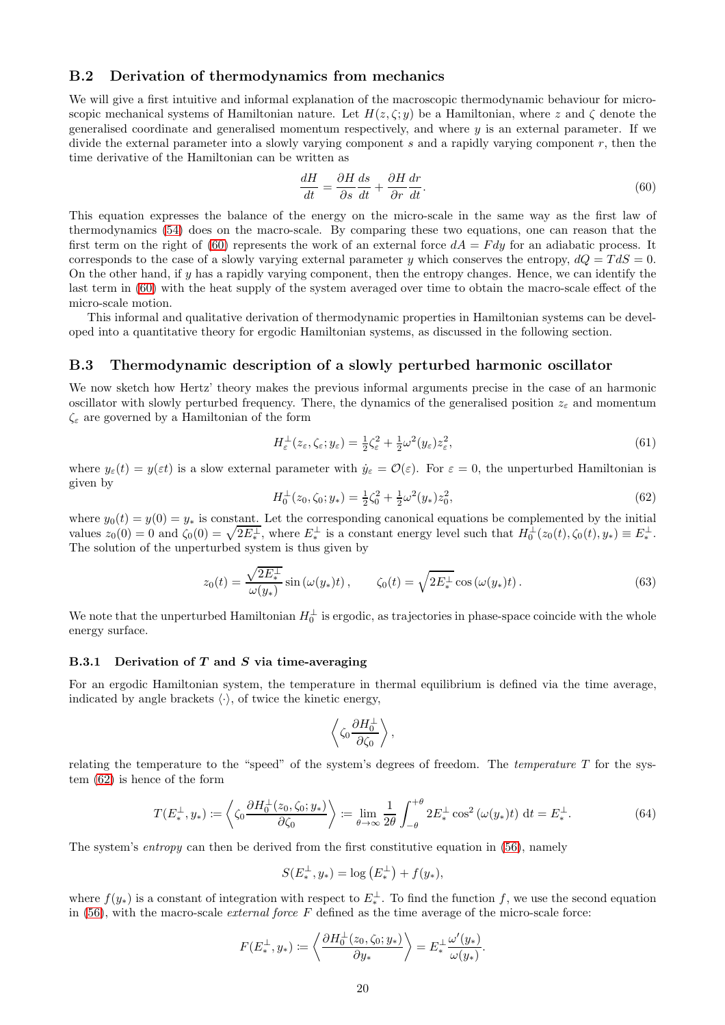## B.2 Derivation of thermodynamics from mechanics

We will give a first intuitive and informal explanation of the macroscopic thermodynamic behaviour for microscopic mechanical systems of Hamiltonian nature. Let  $H(z, \zeta; y)$  be a Hamiltonian, where z and  $\zeta$  denote the generalised coordinate and generalised momentum respectively, and where  $y$  is an external parameter. If we divide the external parameter into a slowly varying component s and a rapidly varying component r, then the time derivative of the Hamiltonian can be written as

<span id="page-19-0"></span>
$$
\frac{dH}{dt} = \frac{\partial H}{\partial s}\frac{ds}{dt} + \frac{\partial H}{\partial r}\frac{dr}{dt}.
$$
\n(60)

This equation expresses the balance of the energy on the micro-scale in the same way as the first law of thermodynamics [\(54\)](#page-18-6) does on the macro-scale. By comparing these two equations, one can reason that the first term on the right of [\(60\)](#page-19-0) represents the work of an external force  $dA = F dy$  for an adiabatic process. It corresponds to the case of a slowly varying external parameter y which conserves the entropy,  $dQ = T dS = 0$ . On the other hand, if y has a rapidly varying component, then the entropy changes. Hence, we can identify the last term in [\(60\)](#page-19-0) with the heat supply of the system averaged over time to obtain the macro-scale effect of the micro-scale motion.

This informal and qualitative derivation of thermodynamic properties in Hamiltonian systems can be developed into a quantitative theory for ergodic Hamiltonian systems, as discussed in the following section.

### <span id="page-19-4"></span>B.3 Thermodynamic description of a slowly perturbed harmonic oscillator

We now sketch how Hertz' theory makes the previous informal arguments precise in the case of an harmonic oscillator with slowly perturbed frequency. There, the dynamics of the generalised position  $z_{\varepsilon}$  and momentum  $\zeta_{\varepsilon}$  are governed by a Hamiltonian of the form

<span id="page-19-5"></span>
$$
H_{\varepsilon}^{\perp}(z_{\varepsilon}, \zeta_{\varepsilon}; y_{\varepsilon}) = \frac{1}{2}\zeta_{\varepsilon}^2 + \frac{1}{2}\omega^2(y_{\varepsilon})z_{\varepsilon}^2,\tag{61}
$$

where  $y_{\varepsilon}(t) = y(\varepsilon t)$  is a slow external parameter with  $\dot{y}_{\varepsilon} = \mathcal{O}(\varepsilon)$ . For  $\varepsilon = 0$ , the unperturbed Hamiltonian is given by

<span id="page-19-1"></span>
$$
H_0^{\perp}(z_0, \zeta_0; y_*) = \frac{1}{2}\zeta_0^2 + \frac{1}{2}\omega^2(y_*)z_0^2,
$$
\n(62)

where  $y_0(t) = y(0) = y_*$  is constant. Let the corresponding canonical equations be complemented by the initial values  $z_0(0) = 0$  and  $\zeta_0(0) = \sqrt{2E_*^{\perp}}$ , where  $E_*^{\perp}$  is a constant energy level such that  $H_0^{\perp}(z_0(t), \zeta_0(t), y_*) \equiv E_*^{\perp}$ . The solution of the unperturbed system is thus given by

<span id="page-19-3"></span>
$$
z_0(t) = \frac{\sqrt{2E_*^\perp}}{\omega(y_*)} \sin(\omega(y_*)t), \qquad \zeta_0(t) = \sqrt{2E_*^\perp} \cos(\omega(y_*)t). \tag{63}
$$

We note that the unperturbed Hamiltonian  $H_0^{\perp}$  is ergodic, as trajectories in phase-space coincide with the whole energy surface.

#### B.3.1 Derivation of  $T$  and  $S$  via time-averaging

For an ergodic Hamiltonian system, the temperature in thermal equilibrium is defined via the time average, indicated by angle brackets  $\langle \cdot \rangle$ , of twice the kinetic energy,

$$
\left\langle \zeta_0 \frac{\partial H_0^{\perp}}{\partial \zeta_0} \right\rangle,
$$

relating the temperature to the "speed" of the system's degrees of freedom. The temperature  $T$  for the system [\(62\)](#page-19-1) is hence of the form

<span id="page-19-2"></span>
$$
T(E_*^{\perp}, y_*) \coloneqq \left\langle \zeta_0 \frac{\partial H_0^{\perp}(z_0, \zeta_0; y_*)}{\partial \zeta_0} \right\rangle \coloneqq \lim_{\theta \to \infty} \frac{1}{2\theta} \int_{-\theta}^{+\theta} 2E_*^{\perp} \cos^2(\omega(y_*)t) \, \mathrm{d}t = E_*^{\perp}.
$$
 (64)

The system's *entropy* can then be derived from the first constitutive equation in  $(56)$ , namely

$$
S(E_*^{\perp}, y_*) = \log (E_*^{\perp}) + f(y_*),
$$

where  $f(y_*)$  is a constant of integration with respect to  $E_*^{\perp}$ . To find the function f, we use the second equation in  $(56)$ , with the macro-scale *external force* F defined as the time average of the micro-scale force:

$$
F(E_*^{\perp}, y_*) \coloneqq \left\langle \frac{\partial H_0^{\perp}(z_0, \zeta_0; y_*)}{\partial y_*} \right\rangle = E_*^{\perp} \frac{\omega'(y_*)}{\omega(y_*)}.
$$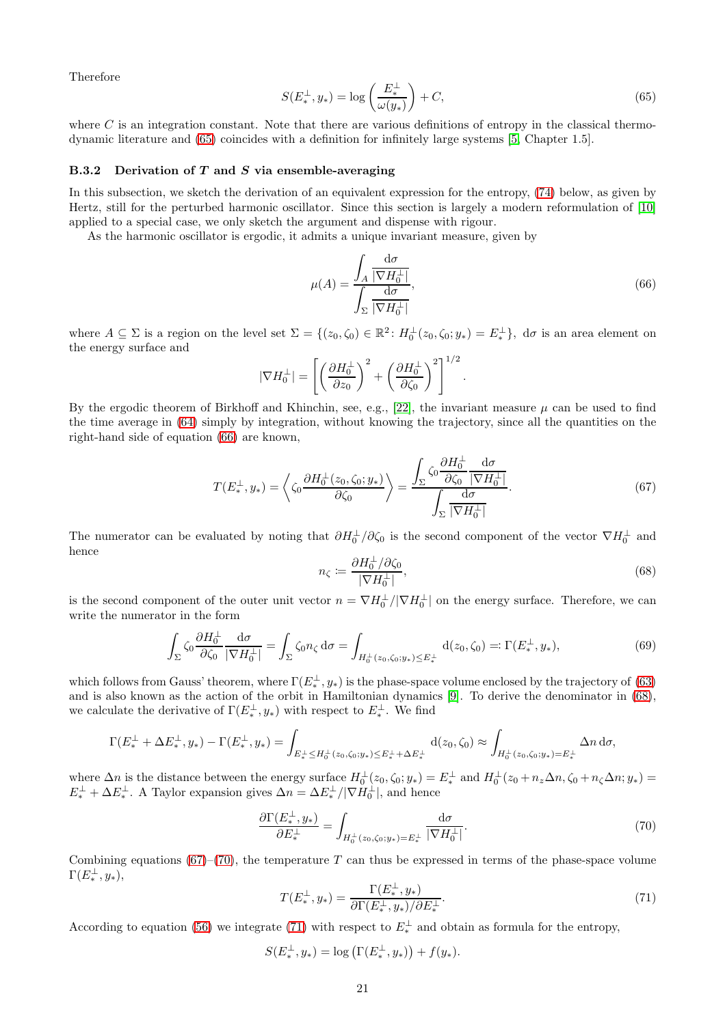Therefore

<span id="page-20-0"></span>
$$
S(E_*^{\perp}, y_*) = \log\left(\frac{E_*^{\perp}}{\omega(y_*)}\right) + C,\tag{65}
$$

where  $C$  is an integration constant. Note that there are various definitions of entropy in the classical thermodynamic literature and [\(65\)](#page-20-0) coincides with a definition for infinitely large systems [\[5,](#page-22-3) Chapter 1.5].

#### B.3.2 Derivation of  $T$  and  $S$  via ensemble-averaging

In this subsection, we sketch the derivation of an equivalent expression for the entropy, [\(74\)](#page-21-1) below, as given by Hertz, still for the perturbed harmonic oscillator. Since this section is largely a modern reformulation of [\[10\]](#page-22-2) applied to a special case, we only sketch the argument and dispense with rigour.

As the harmonic oscillator is ergodic, it admits a unique invariant measure, given by

<span id="page-20-1"></span>
$$
\mu(A) = \frac{\int_A \frac{\mathrm{d}\sigma}{|\nabla H_0^\perp|}}{\int_\Sigma \frac{\mathrm{d}\sigma}{|\nabla H_0^\perp|}},\tag{66}
$$

where  $A \subseteq \Sigma$  is a region on the level set  $\Sigma = \{(z_0, \zeta_0) \in \mathbb{R}^2 : H_0^{\perp}(z_0, \zeta_0; y_*) = E_*^{\perp}\}, d\sigma$  is an area element on the energy surface and

$$
|\nabla H_0^{\perp}| = \left[ \left( \frac{\partial H_0^{\perp}}{\partial z_0} \right)^2 + \left( \frac{\partial H_0^{\perp}}{\partial \zeta_0} \right)^2 \right]^{1/2}.
$$

By the ergodic theorem of Birkhoff and Khinchin, see, e.g., [\[22\]](#page-23-9), the invariant measure  $\mu$  can be used to find the time average in [\(64\)](#page-19-2) simply by integration, without knowing the trajectory, since all the quantities on the right-hand side of equation [\(66\)](#page-20-1) are known,

<span id="page-20-3"></span>
$$
T(E_{*}^{\perp}, y_{*}) = \left\langle \zeta_{0} \frac{\partial H_{0}^{\perp}(z_{0}, \zeta_{0}; y_{*})}{\partial \zeta_{0}} \right\rangle = \frac{\int_{\Sigma} \zeta_{0} \frac{\partial H_{0}^{\perp}}{\partial \zeta_{0}} \frac{\mathrm{d}\sigma}{|\nabla H_{0}^{\perp}|}}{\int_{\Sigma} \frac{\mathrm{d}\sigma}{|\nabla H_{0}^{\perp}|}}.
$$
(67)

∂H<sup>⊥</sup>

The numerator can be evaluated by noting that  $\partial H_0^{\perp}/\partial \zeta_0$  is the second component of the vector  $\nabla H_0^{\perp}$  and hence

<span id="page-20-2"></span>
$$
n_{\zeta} := \frac{\partial H_0^{\perp} / \partial \zeta_0}{|\nabla H_0^{\perp}|},\tag{68}
$$

is the second component of the outer unit vector  $n = \nabla H_0^{\perp}/|\nabla H_0^{\perp}|$  on the energy surface. Therefore, we can write the numerator in the form

$$
\int_{\Sigma} \zeta_0 \frac{\partial H_0^{\bot}}{\partial \zeta_0} \frac{\mathrm{d}\sigma}{|\nabla H_0^{\bot}|} = \int_{\Sigma} \zeta_0 n_{\zeta} \, \mathrm{d}\sigma = \int_{H_0^{\bot}(z_0, \zeta_0; y_*) \le E_*^{\bot}} \mathrm{d}(z_0, \zeta_0) =: \Gamma(E_*^{\bot}, y_*),\tag{69}
$$

which follows from Gauss' theorem, where  $\Gamma(E^{\perp}_{*}, y_{*})$  is the phase-space volume enclosed by the trajectory of [\(63\)](#page-19-3) and is also known as the action of the orbit in Hamiltonian dynamics [\[9\]](#page-22-12). To derive the denominator in [\(68\)](#page-20-2), we calculate the derivative of  $\Gamma(E^{\perp}_{*}, y_{*})$  with respect to  $E^{\perp}_{*}$ . We find

$$
\Gamma(E^{\perp}_{*} + \Delta E^{\perp}_{*}, y_{*}) - \Gamma(E^{\perp}_{*}, y_{*}) = \int_{E^{\perp}_{*} \leq H_{0}^{\perp}(z_{0}, \zeta_{0}; y_{*}) \leq E^{\perp}_{*} + \Delta E^{\perp}_{*}} d(z_{0}, \zeta_{0}) \approx \int_{H_{0}^{\perp}(z_{0}, \zeta_{0}; y_{*}) = E^{\perp}_{*}} \Delta n \, d\sigma,
$$

where  $\Delta n$  is the distance between the energy surface  $H_0^{\perp}(z_0,\zeta_0;y_*)=E_*^{\perp}$  and  $H_0^{\perp}(z_0+n_z\Delta n,\zeta_0+n_{\zeta}\Delta n;y_*)=$  $E^{\perp}_{*} + \Delta E^{\perp}_{*}$ . A Taylor expansion gives  $\Delta n = \Delta E^{\perp}_{*} / |\nabla H_0^{\perp}|$ , and hence

<span id="page-20-4"></span>
$$
\frac{\partial \Gamma(E^{\perp}_{*}, y_{*})}{\partial E^{\perp}_{*}} = \int_{H_{0}^{\perp}(z_{0}, \zeta_{0}; y_{*}) = E^{\perp}_{*}} \frac{\mathrm{d}\sigma}{|\nabla H_{0}^{\perp}|}.
$$
\n(70)

Combining equations  $(67)$ – $(70)$ , the temperature T can thus be expressed in terms of the phase-space volume  $\Gamma(E_*^{\perp},y_*),$ 

<span id="page-20-5"></span>
$$
T(E_*^{\perp}, y_*) = \frac{\Gamma(E_*^{\perp}, y_*)}{\partial \Gamma(E_*^{\perp}, y_*)/\partial E_*^{\perp}}.
$$
\n(71)

According to equation [\(56\)](#page-18-5) we integrate [\(71\)](#page-20-5) with respect to  $E^{\perp}_{*}$  and obtain as formula for the entropy,

$$
S(E_*^{\perp}, y_*) = \log (\Gamma(E_*^{\perp}, y_*)) + f(y_*).
$$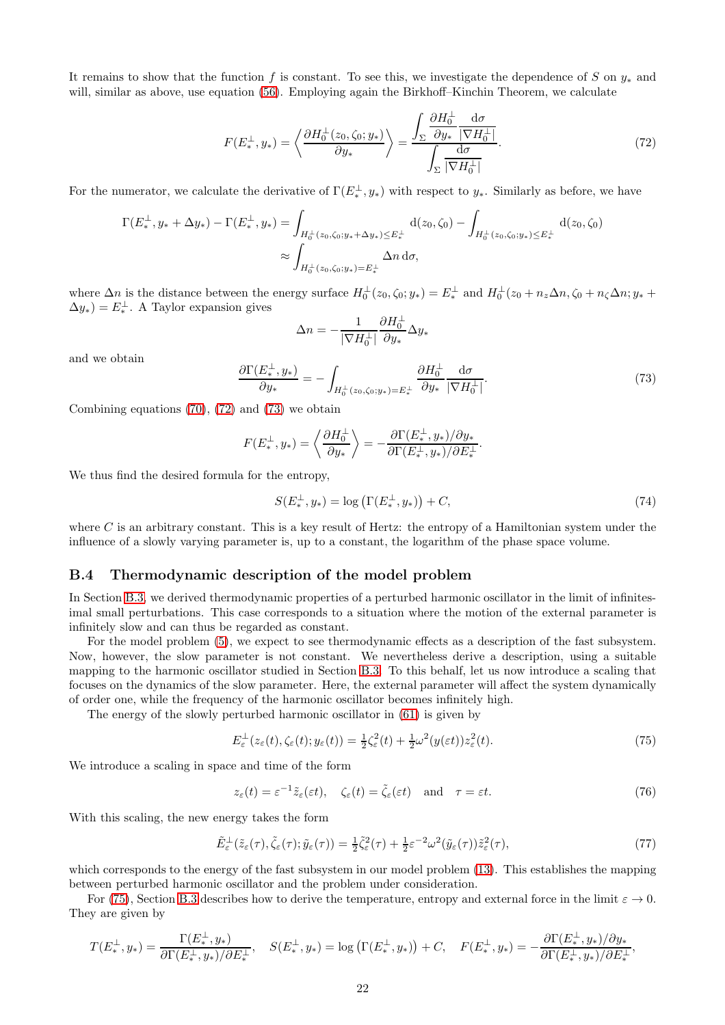It remains to show that the function f is constant. To see this, we investigate the dependence of S on  $y_*$  and will, similar as above, use equation [\(56\)](#page-18-5). Employing again the Birkhoff–Kinchin Theorem, we calculate

<span id="page-21-2"></span>
$$
F(E_{*}^{\perp}, y_{*}) = \left\langle \frac{\partial H_{0}^{\perp}(z_{0}, \zeta_{0}; y_{*})}{\partial y_{*}} \right\rangle = \frac{\int_{\Sigma} \frac{\partial H_{0}^{\perp}}{\partial y_{*}} \frac{\mathrm{d}\sigma}{|\nabla H_{0}^{\perp}|}}{\int_{\Sigma} \frac{\mathrm{d}\sigma}{|\nabla H_{0}^{\perp}|}}. \tag{72}
$$

For the numerator, we calculate the derivative of  $\Gamma(E^{\perp}_{*}, y_{*})$  with respect to  $y_{*}$ . Similarly as before, we have

$$
\Gamma(E^{\perp}_{*}, y_{*} + \Delta y_{*}) - \Gamma(E^{\perp}_{*}, y_{*}) = \int_{H_{0}^{\perp}(z_{0}, \zeta_{0}; y_{*} + \Delta y_{*}) \le E^{\perp}_{*}} d(z_{0}, \zeta_{0}) - \int_{H_{0}^{\perp}(z_{0}, \zeta_{0}; y_{*}) \le E^{\perp}_{*}} d(z_{0}, \zeta_{0})
$$

$$
\approx \int_{H_{0}^{\perp}(z_{0}, \zeta_{0}; y_{*}) = E^{\perp}_{*}} \Delta n d\sigma,
$$

where  $\Delta n$  is the distance between the energy surface  $H_0^{\perp}(z_0,\zeta_0;y_*)=E_*^{\perp}$  and  $H_0^{\perp}(z_0+n_z\Delta n,\zeta_0+n_\zeta\Delta n;y_*+$  $\Delta y_*) = E_*^{\perp}$ . A Taylor expansion gives

$$
\Delta n = -\frac{1}{|\nabla H_0^\perp|} \frac{\partial H_0^\perp}{\partial y_*} \Delta y_*
$$

and we obtain

<span id="page-21-3"></span>
$$
\frac{\partial \Gamma(E^{\perp}_{*}, y_{*})}{\partial y_{*}} = -\int_{H_{0}^{\perp}(z_{0}, \zeta_{0}; y_{*})=E^{\perp}_{*}} \frac{\partial H_{0}^{\perp}}{\partial y_{*}} \frac{\mathrm{d}\sigma}{|\nabla H_{0}^{\perp}|}.
$$
(73)

Combining equations  $(70)$ ,  $(72)$  and  $(73)$  we obtain

$$
F(E_*^{\perp}, y_*) = \left\langle \frac{\partial H_0^{\perp}}{\partial y_*} \right\rangle = -\frac{\partial \Gamma(E_*^{\perp}, y_*)}{\partial \Gamma(E_*^{\perp}, y_*)/\partial E_*^{\perp}}
$$

We thus find the desired formula for the entropy,

<span id="page-21-1"></span>
$$
S(E_*^{\perp}, y_*) = \log\left(\Gamma(E_*^{\perp}, y_*)\right) + C,\tag{74}
$$

.

where C is an arbitrary constant. This is a key result of Hertz: the entropy of a Hamiltonian system under the influence of a slowly varying parameter is, up to a constant, the logarithm of the phase space volume.

### <span id="page-21-0"></span>B.4 Thermodynamic description of the model problem

In Section [B.3,](#page-19-4) we derived thermodynamic properties of a perturbed harmonic oscillator in the limit of infinitesimal small perturbations. This case corresponds to a situation where the motion of the external parameter is infinitely slow and can thus be regarded as constant.

For the model problem [\(5\)](#page-2-2), we expect to see thermodynamic effects as a description of the fast subsystem. Now, however, the slow parameter is not constant. We nevertheless derive a description, using a suitable mapping to the harmonic oscillator studied in Section [B.3.](#page-19-4) To this behalf, let us now introduce a scaling that focuses on the dynamics of the slow parameter. Here, the external parameter will affect the system dynamically of order one, while the frequency of the harmonic oscillator becomes infinitely high.

The energy of the slowly perturbed harmonic oscillator in [\(61\)](#page-19-5) is given by

<span id="page-21-4"></span>
$$
E_{\varepsilon}^{\perp}(z_{\varepsilon}(t), \zeta_{\varepsilon}(t); y_{\varepsilon}(t)) = \frac{1}{2}\zeta_{\varepsilon}^{2}(t) + \frac{1}{2}\omega^{2}(y(\varepsilon t))z_{\varepsilon}^{2}(t).
$$
\n(75)

We introduce a scaling in space and time of the form

<span id="page-21-6"></span>
$$
z_{\varepsilon}(t) = \varepsilon^{-1}\tilde{z}_{\varepsilon}(\varepsilon t), \quad \zeta_{\varepsilon}(t) = \tilde{\zeta}_{\varepsilon}(\varepsilon t) \quad \text{and} \quad \tau = \varepsilon t.
$$
 (76)

With this scaling, the new energy takes the form

<span id="page-21-5"></span>
$$
\tilde{E}_{\varepsilon}^{\perp}(\tilde{z}_{\varepsilon}(\tau), \tilde{\zeta}_{\varepsilon}(\tau); \tilde{y}_{\varepsilon}(\tau)) = \frac{1}{2}\tilde{\zeta}_{\varepsilon}^{2}(\tau) + \frac{1}{2}\varepsilon^{-2}\omega^{2}(\tilde{y}_{\varepsilon}(\tau))\tilde{z}_{\varepsilon}^{2}(\tau),
$$
\n(77)

which corresponds to the energy of the fast subsystem in our model problem [\(13\)](#page-5-1). This establishes the mapping between perturbed harmonic oscillator and the problem under consideration.

For [\(75\)](#page-21-4), Section [B.3](#page-19-4) describes how to derive the temperature, entropy and external force in the limit  $\varepsilon \to 0$ . They are given by

$$
T(E_{*}^{\perp}, y_{*}) = \frac{\Gamma(E_{*}^{\perp}, y_{*})}{\partial \Gamma(E_{*}^{\perp}, y_{*})/\partial E_{*}^{\perp}}, \quad S(E_{*}^{\perp}, y_{*}) = \log (\Gamma(E_{*}^{\perp}, y_{*})) + C, \quad F(E_{*}^{\perp}, y_{*}) = -\frac{\partial \Gamma(E_{*}^{\perp}, y_{*})/\partial y_{*}}{\partial \Gamma(E_{*}^{\perp}, y_{*})/\partial E_{*}^{\perp}},
$$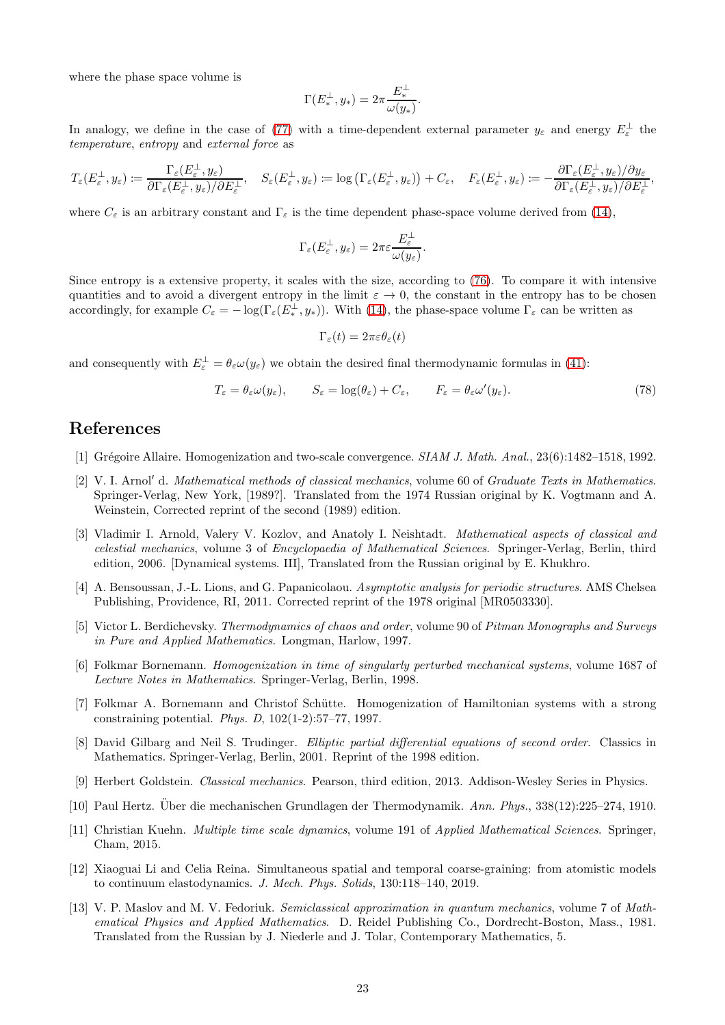where the phase space volume is

$$
\Gamma(E_*^\perp,y_*)=2\pi\frac{E_*^\perp}{\omega(y_*)}.
$$

In analogy, we define in the case of [\(77\)](#page-21-5) with a time-dependent external parameter  $y_\varepsilon$  and energy  $E_\varepsilon^{\perp}$  the temperature, entropy and external force as

$$
T_{\varepsilon}(E_{\varepsilon}^{\perp},y_{\varepsilon})\coloneqq\frac{\Gamma_{\varepsilon}(E_{\varepsilon}^{\perp},y_{\varepsilon})}{\partial \Gamma_{\varepsilon}(E_{\varepsilon}^{\perp},y_{\varepsilon})/\partial E_{\varepsilon}^{\perp}},\quad S_{\varepsilon}(E_{\varepsilon}^{\perp},y_{\varepsilon})\coloneqq\log\left(\Gamma_{\varepsilon}(E_{\varepsilon}^{\perp},y_{\varepsilon})\right)+C_{\varepsilon},\quad F_{\varepsilon}(E_{\varepsilon}^{\perp},y_{\varepsilon})\coloneqq-\frac{\partial \Gamma_{\varepsilon}(E_{\varepsilon}^{\perp},y_{\varepsilon})/\partial y_{\varepsilon}}{\partial \Gamma_{\varepsilon}(E_{\varepsilon}^{\perp},y_{\varepsilon})/\partial E_{\varepsilon}^{\perp}},
$$

where  $C_{\varepsilon}$  is an arbitrary constant and  $\Gamma_{\varepsilon}$  is the time dependent phase-space volume derived from [\(14\)](#page-5-8),

$$
\Gamma_{\varepsilon}(E_{\varepsilon}^{\perp}, y_{\varepsilon}) = 2\pi \varepsilon \frac{E_{\varepsilon}^{\perp}}{\omega(y_{\varepsilon})}.
$$

Since entropy is a extensive property, it scales with the size, according to [\(76\)](#page-21-6). To compare it with intensive quantities and to avoid a divergent entropy in the limit  $\varepsilon \to 0$ , the constant in the entropy has to be chosen accordingly, for example  $C_{\varepsilon} = -\log(\Gamma_{\varepsilon}(E^{\perp}_{*}, y_{*}))$ . With [\(14\)](#page-5-8), the phase-space volume  $\Gamma_{\varepsilon}$  can be written as

$$
\Gamma_\varepsilon(t)=2\pi\varepsilon\theta_\varepsilon(t)
$$

and consequently with  $E_{\varepsilon}^{\perp} = \theta_{\varepsilon} \omega(y_{\varepsilon})$  we obtain the desired final thermodynamic formulas in [\(41\)](#page-12-1):

$$
T_{\varepsilon} = \theta_{\varepsilon} \omega(y_{\varepsilon}), \qquad S_{\varepsilon} = \log(\theta_{\varepsilon}) + C_{\varepsilon}, \qquad F_{\varepsilon} = \theta_{\varepsilon} \omega'(y_{\varepsilon}). \tag{78}
$$

## <span id="page-22-11"></span>References

- <span id="page-22-9"></span>[1] Grégoire Allaire. Homogenization and two-scale convergence. SIAM J. Math. Anal., 23(6):1482–1518, 1992.
- [2] V. I. Arnol′ d. Mathematical methods of classical mechanics, volume 60 of Graduate Texts in Mathematics. Springer-Verlag, New York, [1989?]. Translated from the 1974 Russian original by K. Vogtmann and A. Weinstein, Corrected reprint of the second (1989) edition.
- <span id="page-22-4"></span>[3] Vladimir I. Arnold, Valery V. Kozlov, and Anatoly I. Neishtadt. Mathematical aspects of classical and celestial mechanics, volume 3 of Encyclopaedia of Mathematical Sciences. Springer-Verlag, Berlin, third edition, 2006. [Dynamical systems. III], Translated from the Russian original by E. Khukhro.
- <span id="page-22-6"></span>[4] A. Bensoussan, J.-L. Lions, and G. Papanicolaou. Asymptotic analysis for periodic structures. AMS Chelsea Publishing, Providence, RI, 2011. Corrected reprint of the 1978 original [MR0503330].
- <span id="page-22-3"></span>[5] Victor L. Berdichevsky. Thermodynamics of chaos and order, volume 90 of Pitman Monographs and Surveys in Pure and Applied Mathematics. Longman, Harlow, 1997.
- <span id="page-22-0"></span>[6] Folkmar Bornemann. Homogenization in time of singularly perturbed mechanical systems, volume 1687 of Lecture Notes in Mathematics. Springer-Verlag, Berlin, 1998.
- <span id="page-22-8"></span>[7] Folkmar A. Bornemann and Christof Sch¨utte. Homogenization of Hamiltonian systems with a strong constraining potential. Phys. D, 102(1-2):57–77, 1997.
- <span id="page-22-10"></span>[8] David Gilbarg and Neil S. Trudinger. Elliptic partial differential equations of second order. Classics in Mathematics. Springer-Verlag, Berlin, 2001. Reprint of the 1998 edition.
- <span id="page-22-12"></span><span id="page-22-2"></span>[9] Herbert Goldstein. Classical mechanics. Pearson, third edition, 2013. Addison-Wesley Series in Physics.
- <span id="page-22-7"></span>[10] Paul Hertz. Über die mechanischen Grundlagen der Thermodynamik. Ann. Phys., 338(12):225–274, 1910.
- [11] Christian Kuehn. Multiple time scale dynamics, volume 191 of Applied Mathematical Sciences. Springer, Cham, 2015.
- <span id="page-22-1"></span>[12] Xiaoguai Li and Celia Reina. Simultaneous spatial and temporal coarse-graining: from atomistic models to continuum elastodynamics. J. Mech. Phys. Solids, 130:118–140, 2019.
- <span id="page-22-5"></span>[13] V. P. Maslov and M. V. Fedoriuk. Semiclassical approximation in quantum mechanics, volume 7 of Mathematical Physics and Applied Mathematics. D. Reidel Publishing Co., Dordrecht-Boston, Mass., 1981. Translated from the Russian by J. Niederle and J. Tolar, Contemporary Mathematics, 5.